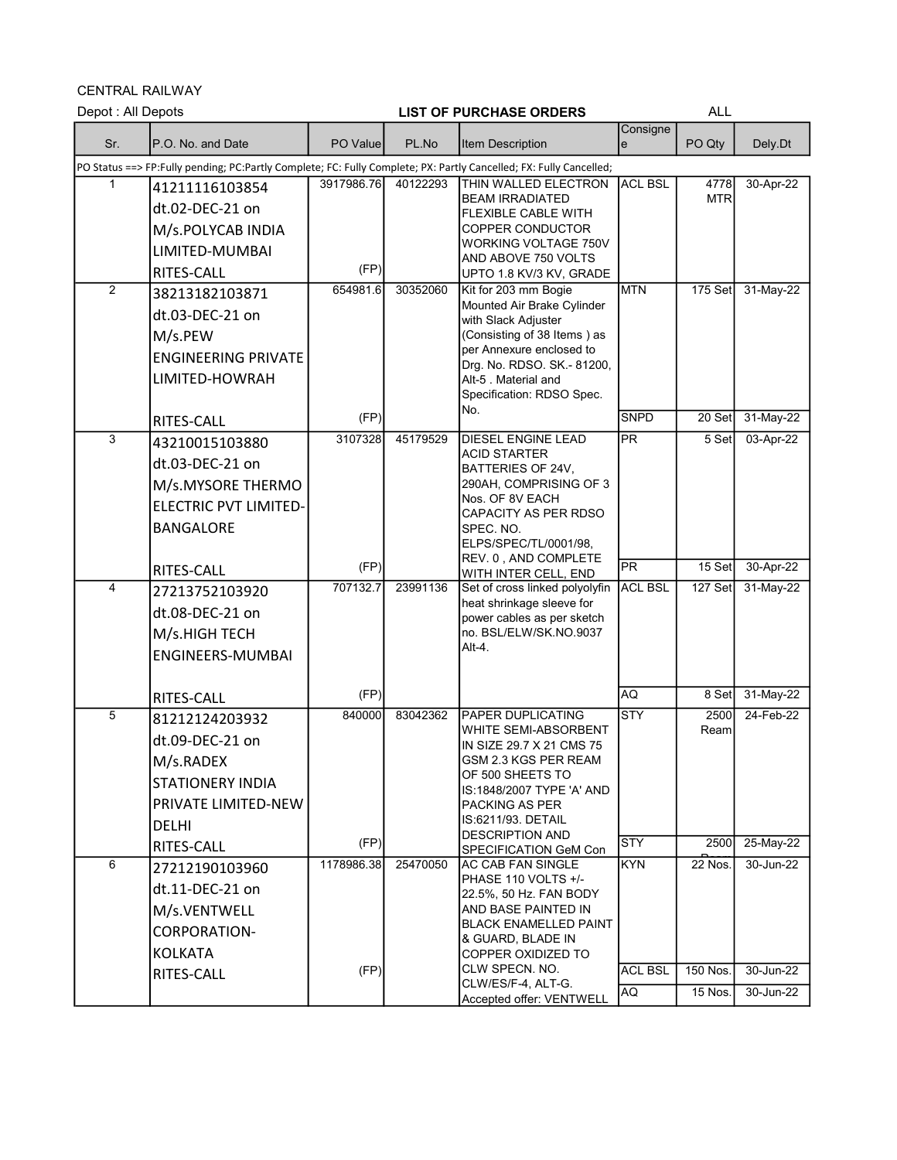CENTRAL RAILWAY

| Depot : All Depots |                                                                                                                    |            |          | <b>LIST OF PURCHASE ORDERS</b>                          |                          | <b>ALL</b>         |           |
|--------------------|--------------------------------------------------------------------------------------------------------------------|------------|----------|---------------------------------------------------------|--------------------------|--------------------|-----------|
| Sr.                | P.O. No. and Date                                                                                                  | PO Value   | PL.No    | <b>Item Description</b>                                 | Consigne<br>le           | PO Qty             | Dely.Dt   |
|                    | PO Status ==> FP:Fully pending; PC:Partly Complete; FC: Fully Complete; PX: Partly Cancelled; FX: Fully Cancelled; |            |          |                                                         |                          |                    |           |
|                    | 41211116103854<br>dt.02-DEC-21 on                                                                                  | 3917986.76 | 40122293 | <b>THIN WALLED ELECTRON</b><br><b>BEAM IRRADIATED</b>   | <b>ACL BSL</b>           | 4778<br><b>MTR</b> | 30-Apr-22 |
|                    | M/s.POLYCAB INDIA                                                                                                  |            |          | <b>FLEXIBLE CABLE WITH</b><br>COPPER CONDUCTOR          |                          |                    |           |
|                    | LIMITED-MUMBAI                                                                                                     |            |          | <b>WORKING VOLTAGE 750V</b>                             |                          |                    |           |
|                    |                                                                                                                    | (FP)       |          | AND ABOVE 750 VOLTS                                     |                          |                    |           |
| $\overline{2}$     | RITES-CALL<br>38213182103871                                                                                       | 654981.6   | 30352060 | UPTO 1.8 KV/3 KV, GRADE<br>Kit for 203 mm Bogie         | <b>MTN</b>               | 175 Set            | 31-May-22 |
|                    | dt.03-DEC-21 on                                                                                                    |            |          | Mounted Air Brake Cylinder                              |                          |                    |           |
|                    |                                                                                                                    |            |          | with Slack Adjuster<br>(Consisting of 38 Items) as      |                          |                    |           |
|                    | M/s.PEW                                                                                                            |            |          | per Annexure enclosed to                                |                          |                    |           |
|                    | <b>ENGINEERING PRIVATE</b>                                                                                         |            |          | Drg. No. RDSO. SK - 81200,                              |                          |                    |           |
|                    | LIMITED-HOWRAH                                                                                                     |            |          | Alt-5 . Material and<br>Specification: RDSO Spec.       |                          |                    |           |
|                    |                                                                                                                    | (FP)       |          | No.                                                     | <b>SNPD</b>              | 20 Set             | 31-May-22 |
| 3                  | RITES-CALL                                                                                                         | 3107328    | 45179529 | <b>DIESEL ENGINE LEAD</b>                               | PR                       | 5 Set              | 03-Apr-22 |
|                    | 43210015103880                                                                                                     |            |          | <b>ACID STARTER</b>                                     |                          |                    |           |
|                    | dt.03-DEC-21 on                                                                                                    |            |          | <b>BATTERIES OF 24V.</b><br>290AH, COMPRISING OF 3      |                          |                    |           |
|                    | M/s.MYSORE THERMO                                                                                                  |            |          | Nos. OF 8V EACH                                         |                          |                    |           |
|                    | ELECTRIC PVT LIMITED-                                                                                              |            |          | CAPACITY AS PER RDSO                                    |                          |                    |           |
|                    | <b>BANGALORE</b>                                                                                                   |            |          | SPEC. NO.<br>ELPS/SPEC/TL/0001/98,                      |                          |                    |           |
|                    |                                                                                                                    | (FP)       |          | REV. 0, AND COMPLETE                                    | $\overline{\mathsf{PR}}$ | 15 Set             | 30-Apr-22 |
| 4                  | RITES-CALL                                                                                                         | 707132.7   | 23991136 | WITH INTER CELL, END<br>Set of cross linked polyolyfin  | <b>ACL BSL</b>           | 127 Set            | 31-May-22 |
|                    | 27213752103920                                                                                                     |            |          | heat shrinkage sleeve for                               |                          |                    |           |
|                    | dt.08-DEC-21 on                                                                                                    |            |          | power cables as per sketch                              |                          |                    |           |
|                    | M/s.HIGH TECH                                                                                                      |            |          | no. BSL/ELW/SK.NO.9037<br>Alt-4                         |                          |                    |           |
|                    | ENGINEERS-MUMBAI                                                                                                   |            |          |                                                         |                          |                    |           |
|                    | RITES-CALL                                                                                                         | (FP)       |          |                                                         | AQ                       | 8 Set              | 31-May-22 |
| 5                  | 81212124203932                                                                                                     | 840000     | 83042362 | <b>PAPER DUPLICATING</b>                                | <b>STY</b>               | 2500               | 24-Feb-22 |
|                    | dt.09-DEC-21 on                                                                                                    |            |          | <b>WHITE SEMI-ABSORBENT</b><br>IN SIZE 29.7 X 21 CMS 75 |                          | Ream               |           |
|                    | M/s.RADEX                                                                                                          |            |          | GSM 2.3 KGS PER REAM                                    |                          |                    |           |
|                    | STATIONERY INDIA                                                                                                   |            |          | OF 500 SHEETS TO<br>IS:1848/2007 TYPE 'A' AND           |                          |                    |           |
|                    | PRIVATE LIMITED-NEW                                                                                                |            |          | IPACKING AS PER                                         |                          |                    |           |
|                    | <b>DELHI</b>                                                                                                       |            |          | IIS:6211/93. DETAIL                                     |                          |                    |           |
|                    | RITES-CALL                                                                                                         | (FP)       |          | <b>DESCRIPTION AND</b><br>SPECIFICATION GeM Con         | <b>STY</b>               | 2500               | 25-May-22 |
| 6                  | 27212190103960                                                                                                     | 1178986.38 | 25470050 | AC CAB FAN SINGLE                                       | KYN                      | <b>22 Nos.</b>     | 30-Jun-22 |
|                    | dt.11-DEC-21 on                                                                                                    |            |          | PHASE 110 VOLTS +/-<br>22.5%, 50 Hz. FAN BODY           |                          |                    |           |
|                    | M/s.VENTWELL                                                                                                       |            |          | AND BASE PAINTED IN                                     |                          |                    |           |
|                    | <b>CORPORATION-</b>                                                                                                |            |          | BLACK ENAMELLED PAINT<br><b>&amp; GUARD, BLADE IN</b>   |                          |                    |           |
|                    | <b>KOLKATA</b>                                                                                                     |            |          | COPPER OXIDIZED TO                                      |                          |                    |           |
|                    | RITES-CALL                                                                                                         | (FP)       |          | CLW SPECN. NO.                                          | <b>ACL BSL</b>           | 150 Nos.           | 30-Jun-22 |
|                    |                                                                                                                    |            |          | CLW/ES/F-4, ALT-G.<br>Accepted offer: VENTWELL          | AQ                       | 15 Nos.            | 30-Jun-22 |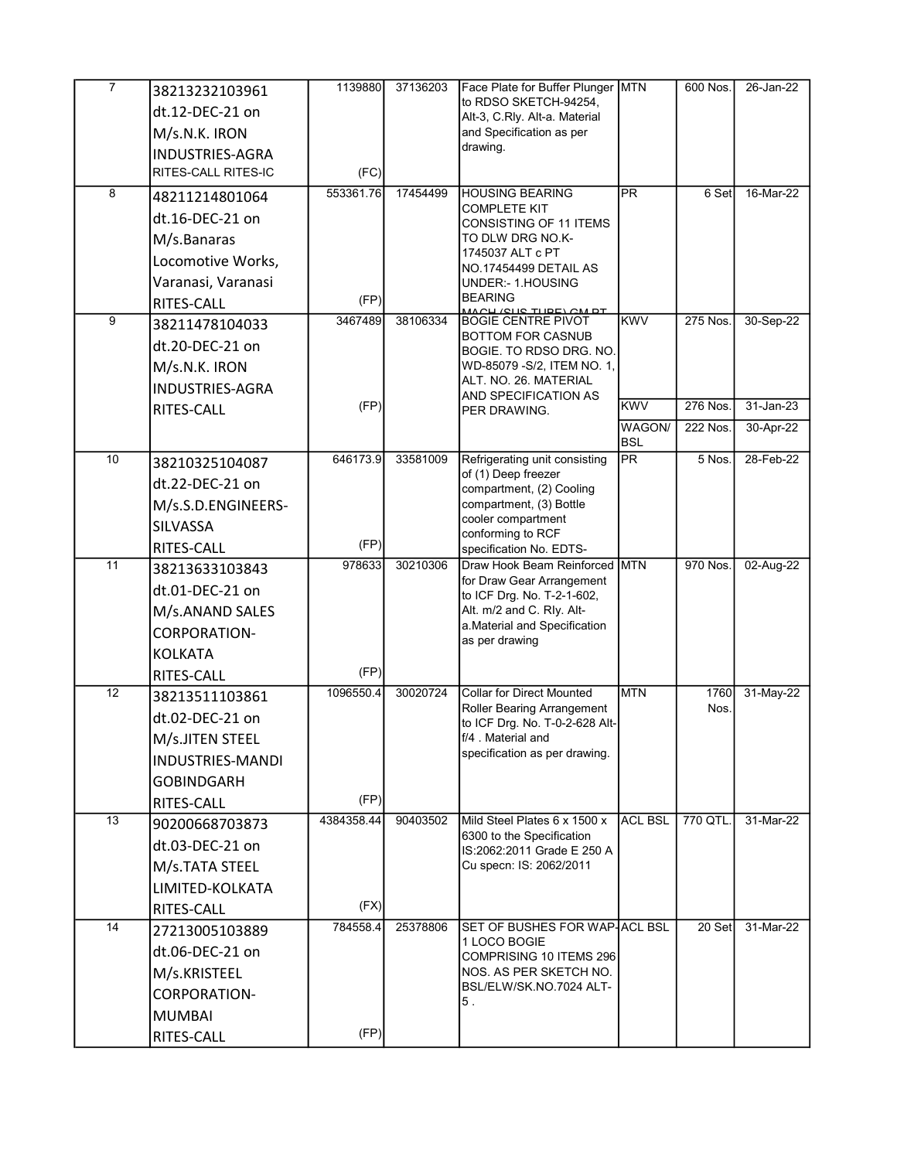| $\overline{7}$  | 38213232103961          | 1139880          | 37136203 | Face Plate for Buffer Plunger MTN                              |                      | 600 Nos.     | 26-Jan-22 |
|-----------------|-------------------------|------------------|----------|----------------------------------------------------------------|----------------------|--------------|-----------|
|                 | dt.12-DEC-21 on         |                  |          | to RDSO SKETCH-94254,<br>Alt-3, C.Rly. Alt-a. Material         |                      |              |           |
|                 | M/s.N.K. IRON           |                  |          | and Specification as per                                       |                      |              |           |
|                 | INDUSTRIES-AGRA         |                  |          | drawing.                                                       |                      |              |           |
|                 | RITES-CALL RITES-IC     | (FC)             |          |                                                                |                      |              |           |
| 8               | 48211214801064          | 553361.76        | 17454499 | <b>HOUSING BEARING</b>                                         | <b>PR</b>            | 6 Set        | 16-Mar-22 |
|                 | dt.16-DEC-21 on         |                  |          | <b>COMPLETE KIT</b><br>CONSISTING OF 11 ITEMS                  |                      |              |           |
|                 | M/s.Banaras             |                  |          | TO DLW DRG NO.K-                                               |                      |              |           |
|                 | Locomotive Works,       |                  |          | 1745037 ALT c PT<br>NO.17454499 DETAIL AS                      |                      |              |           |
|                 | Varanasi, Varanasi      |                  |          | UNDER:- 1.HOUSING                                              |                      |              |           |
|                 | RITES-CALL              | (FP)             |          | <b>BEARING</b><br><u>OU (QUE TUDE) OM DT</u>                   |                      |              |           |
| 9               | 38211478104033          | 3467489          | 38106334 | <b>BOGIE CENTRE PIVOT</b><br>BOTTOM FOR CASNUB                 | KWV                  | 275 Nos.     | 30-Sep-22 |
|                 | dt.20-DEC-21 on         |                  |          | BOGIE. TO RDSO DRG. NO.                                        |                      |              |           |
|                 | M/s.N.K. IRON           |                  |          | WD-85079 - S/2, ITEM NO. 1,                                    |                      |              |           |
|                 | <b>INDUSTRIES-AGRA</b>  |                  |          | ALT. NO. 26. MATERIAL<br>AND SPECIFICATION AS                  |                      |              |           |
|                 | RITES-CALL              | (FP)             |          | PER DRAWING.                                                   | <b>KWV</b>           | 276 Nos.     | 31-Jan-23 |
|                 |                         |                  |          |                                                                | WAGON/<br><b>BSL</b> | 222 Nos.     | 30-Apr-22 |
| 10              | 38210325104087          | 646173.9         | 33581009 | Refrigerating unit consisting                                  | PR                   | 5 Nos.       | 28-Feb-22 |
|                 | dt.22-DEC-21 on         |                  |          | of (1) Deep freezer<br>compartment, (2) Cooling                |                      |              |           |
|                 | M/s.S.D.ENGINEERS-      |                  |          | compartment, (3) Bottle                                        |                      |              |           |
|                 | SILVASSA                |                  |          | cooler compartment<br>conforming to RCF                        |                      |              |           |
|                 | RITES-CALL              | (FP)             |          | specification No. EDTS-                                        |                      |              |           |
| $\overline{11}$ | 38213633103843          | 978633           | 30210306 | Draw Hook Beam Reinforced MTN<br>for Draw Gear Arrangement     |                      | 970 Nos.     | 02-Aug-22 |
|                 | dt.01-DEC-21 on         |                  |          | to ICF Drg. No. T-2-1-602,                                     |                      |              |           |
|                 | M/s.ANAND SALES         |                  |          | Alt. m/2 and C. Rly. Alt-<br>a. Material and Specification     |                      |              |           |
|                 | CORPORATION-            |                  |          | as per drawing                                                 |                      |              |           |
|                 | <b>KOLKATA</b>          |                  |          |                                                                |                      |              |           |
|                 | RITES-CALL              | (FP)             |          |                                                                |                      |              |           |
| 12              | 38213511103861          | 1096550.4        | 30020724 | <b>Collar for Direct Mounted</b><br>Roller Bearing Arrangement | MTN                  | 1760<br>Nos. | 31-May-22 |
|                 | dt.02-DEC-21 on         |                  |          | to ICF Drg. No. T-0-2-628 Alt-                                 |                      |              |           |
|                 | M/s.JITEN STEEL         |                  |          | f/4 . Material and<br>specification as per drawing.            |                      |              |           |
|                 | <b>INDUSTRIES-MANDI</b> |                  |          |                                                                |                      |              |           |
|                 | <b>GOBINDGARH</b>       |                  |          |                                                                |                      |              |           |
|                 | RITES-CALL              | (FP)             |          |                                                                |                      |              |           |
| 13              | 90200668703873          | 4384358.44       | 90403502 | Mild Steel Plates 6 x 1500 x<br>6300 to the Specification      | <b>ACL BSL</b>       | 770 QTL.     | 31-Mar-22 |
|                 | dt.03-DEC-21 on         |                  |          | IS:2062:2011 Grade E 250 A                                     |                      |              |           |
|                 | M/s.TATA STEEL          |                  |          | Cu specn: IS: 2062/2011                                        |                      |              |           |
|                 | LIMITED-KOLKATA         |                  |          |                                                                |                      |              |           |
| 14              | RITES-CALL              | (FX)<br>784558.4 | 25378806 | SET OF BUSHES FOR WAP ACL BSL                                  |                      | 20 Set       | 31-Mar-22 |
|                 | 27213005103889          |                  |          | 1 LOCO BOGIE                                                   |                      |              |           |
|                 | dt.06-DEC-21 on         |                  |          | COMPRISING 10 ITEMS 296                                        |                      |              |           |
|                 | M/s.KRISTEEL            |                  |          | NOS. AS PER SKETCH NO.<br>BSL/ELW/SK.NO.7024 ALT-              |                      |              |           |
|                 | CORPORATION-            |                  |          | 5.                                                             |                      |              |           |
|                 | <b>MUMBAI</b>           |                  |          |                                                                |                      |              |           |
|                 | RITES-CALL              | (FP)             |          |                                                                |                      |              |           |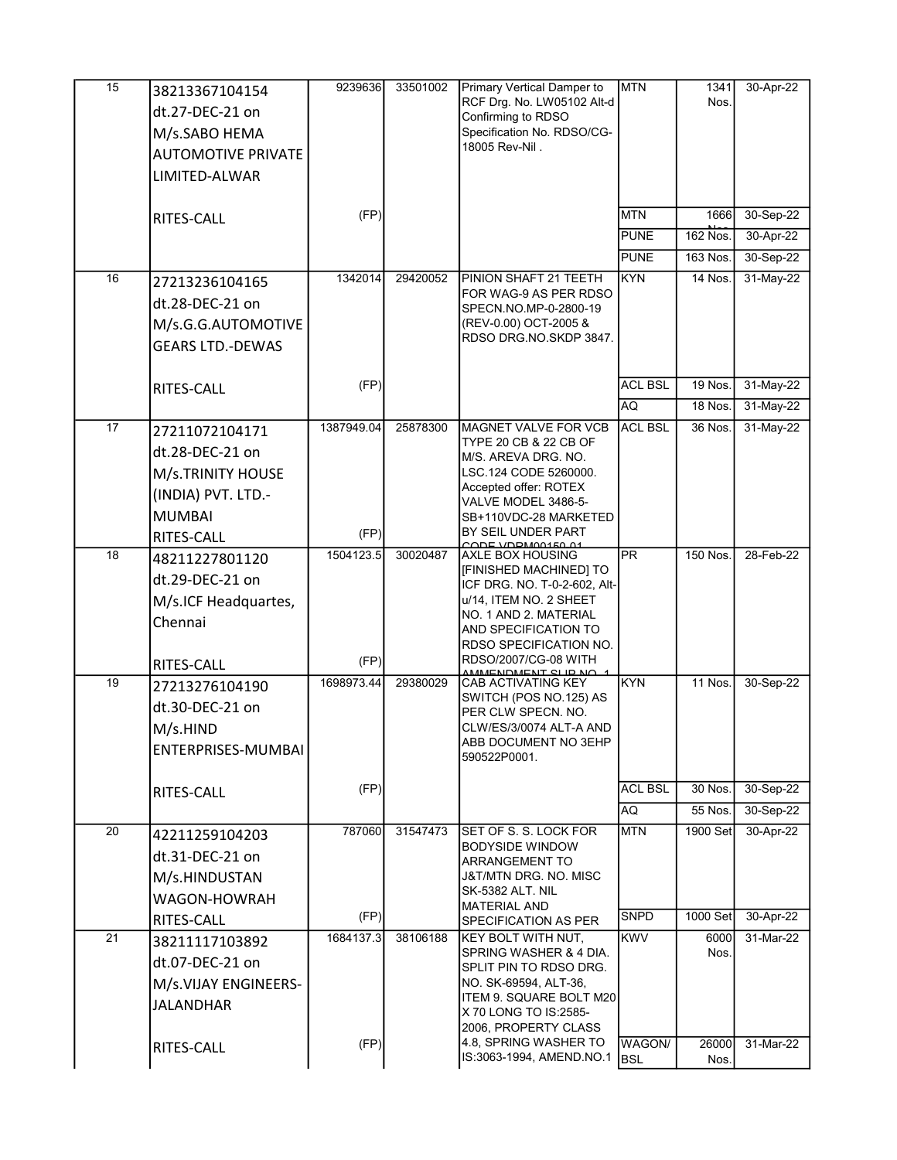| 15              | 38213367104154            | 9239636    | 33501002 | Primary Vertical Damper to                          | <b>MTN</b>     | 1341           | 30-Apr-22 |
|-----------------|---------------------------|------------|----------|-----------------------------------------------------|----------------|----------------|-----------|
|                 | dt.27-DEC-21 on           |            |          | RCF Drg. No. LW05102 Alt-d<br>Confirming to RDSO    |                | Nos.           |           |
|                 | M/s.SABO HEMA             |            |          | Specification No. RDSO/CG-                          |                |                |           |
|                 | <b>AUTOMOTIVE PRIVATE</b> |            |          | 18005 Rev-Nil.                                      |                |                |           |
|                 | LIMITED-ALWAR             |            |          |                                                     |                |                |           |
|                 |                           |            |          |                                                     |                |                |           |
|                 | RITES-CALL                | (FP)       |          |                                                     | <b>MTN</b>     | 1666           | 30-Sep-22 |
|                 |                           |            |          |                                                     | PUNE           | 162 Nos.       | 30-Apr-22 |
|                 |                           |            |          |                                                     | <b>PUNE</b>    | 163 Nos.       | 30-Sep-22 |
| 16              | 27213236104165            | 1342014    | 29420052 | PINION SHAFT 21 TEETH                               | KYN            | 14 Nos.        | 31-May-22 |
|                 | dt.28-DEC-21 on           |            |          | FOR WAG-9 AS PER RDSO<br>SPECN.NO.MP-0-2800-19      |                |                |           |
|                 | M/s.G.G.AUTOMOTIVE        |            |          | (REV-0.00) OCT-2005 &                               |                |                |           |
|                 | <b>GEARS LTD.-DEWAS</b>   |            |          | RDSO DRG NO.SKDP 3847.                              |                |                |           |
|                 |                           |            |          |                                                     |                |                |           |
|                 | RITES-CALL                | (FP)       |          |                                                     | <b>ACL BSL</b> | 19 Nos.        | 31-May-22 |
|                 |                           |            |          |                                                     | AQ             | <b>18 Nos.</b> | 31-May-22 |
| 17              | 27211072104171            | 1387949.04 | 25878300 | MAGNET VALVE FOR VCB<br>TYPE 20 CB & 22 CB OF       | <b>ACL BSL</b> | 36 Nos.        | 31-May-22 |
|                 | dt.28-DEC-21 on           |            |          | M/S. AREVA DRG. NO.                                 |                |                |           |
|                 | M/s.TRINITY HOUSE         |            |          | LSC.124 CODE 5260000.<br>Accepted offer: ROTEX      |                |                |           |
|                 | (INDIA) PVT. LTD.-        |            |          | VALVE MODEL 3486-5-                                 |                |                |           |
|                 | <b>MUMBAI</b>             |            |          | SB+110VDC-28 MARKETED                               |                |                |           |
|                 | RITES-CALL                | (FP)       |          | BY SEIL UNDER PART<br>CODE VORMONASO 01             |                |                |           |
| 18              | 48211227801120            | 1504123.5  | 30020487 | <b>AXLE BOX HOUSING</b><br>[FINISHED MACHINED] TO   | PR             | 150 Nos.       | 28-Feb-22 |
|                 | dt.29-DEC-21 on           |            |          | ICF DRG. NO. T-0-2-602, Alt-                        |                |                |           |
|                 | M/s.ICF Headquartes,      |            |          | u/14, ITEM NO. 2 SHEET<br>NO. 1 AND 2. MATERIAL     |                |                |           |
|                 | Chennai                   |            |          | AND SPECIFICATION TO                                |                |                |           |
|                 |                           |            |          | RDSO SPECIFICATION NO.                              |                |                |           |
|                 | RITES-CALL                | (FP)       |          | RDSO/2007/CG-08 WITH<br><u>AMMENDMENT CLID NO</u>   |                |                |           |
| 19              | 27213276104190            | 1698973.44 | 29380029 | <b>CAB ACTIVATING KEY</b><br>SWITCH (POS NO.125) AS | KYN            | 11 Nos.        | 30-Sep-22 |
|                 | dt.30-DEC-21 on           |            |          | PER CLW SPECN. NO.                                  |                |                |           |
|                 | M/s.HIND                  |            |          | CLW/ES/3/0074 ALT-A AND<br>ABB DOCUMENT NO 3EHP     |                |                |           |
|                 | ENTERPRISES-MUMBAI        |            |          | 590522P0001.                                        |                |                |           |
|                 | RITES-CALL                | (FP)       |          |                                                     | <b>ACL BSL</b> | 30 Nos.        | 30-Sep-22 |
|                 |                           |            |          |                                                     | AQ             | 55 Nos.        | 30-Sep-22 |
| 20              | 42211259104203            | 787060     | 31547473 | SET OF S. S. LOCK FOR                               | <b>MTN</b>     | 1900 Set       | 30-Apr-22 |
|                 | dt.31-DEC-21 on           |            |          | <b>BODYSIDE WINDOW</b>                              |                |                |           |
|                 | M/s.HINDUSTAN             |            |          | ARRANGEMENT TO<br>J&T/MTN DRG. NO. MISC             |                |                |           |
|                 | WAGON-HOWRAH              |            |          | SK-5382 ALT. NIL                                    |                |                |           |
|                 | RITES-CALL                | (FP)       |          | <b>MATERIAL AND</b><br>SPECIFICATION AS PER         | <b>SNPD</b>    | 1000 Set       | 30-Apr-22 |
| $\overline{21}$ | 38211117103892            | 1684137.3  | 38106188 | KEY BOLT WITH NUT.                                  | <b>KWV</b>     | 6000           | 31-Mar-22 |
|                 | dt.07-DEC-21 on           |            |          | SPRING WASHER & 4 DIA.<br>SPLIT PIN TO RDSO DRG.    |                | Nos.           |           |
|                 | M/s.VIJAY ENGINEERS-      |            |          | NO. SK-69594, ALT-36,                               |                |                |           |
|                 | <b>JALANDHAR</b>          |            |          | ITEM 9. SQUARE BOLT M20                             |                |                |           |
|                 |                           |            |          | X 70 LONG TO IS:2585-<br>2006, PROPERTY CLASS       |                |                |           |
|                 | RITES-CALL                | (FP)       |          | 4.8, SPRING WASHER TO                               | WAGON/         | 26000          | 31-Mar-22 |
|                 |                           |            |          | IS:3063-1994, AMEND.NO.1                            | <b>BSL</b>     | Nos.           |           |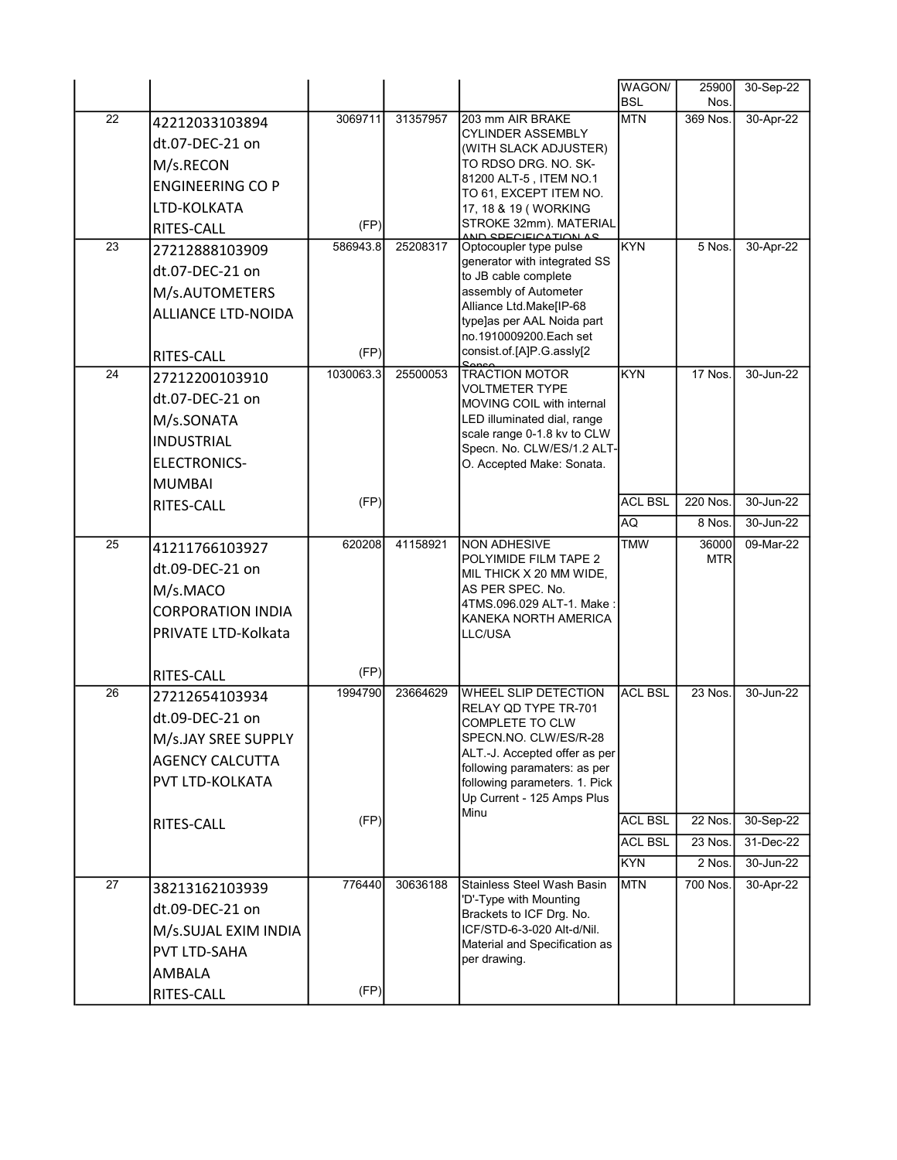|                 |                           |           |          |                                                               | WAGON/                   | 25900      | 30-Sep-22 |
|-----------------|---------------------------|-----------|----------|---------------------------------------------------------------|--------------------------|------------|-----------|
| $\overline{22}$ |                           | 3069711   | 31357957 |                                                               | <b>BSL</b><br><b>MTN</b> | Nos.       | 30-Apr-22 |
|                 | 42212033103894            |           |          | 203 mm AIR BRAKE<br><b>CYLINDER ASSEMBLY</b>                  |                          | 369 Nos.   |           |
|                 | dt.07-DEC-21 on           |           |          | (WITH SLACK ADJUSTER)                                         |                          |            |           |
|                 | M/s.RECON                 |           |          | TO RDSO DRG. NO. SK-<br>81200 ALT-5, ITEM NO.1                |                          |            |           |
|                 | <b>ENGINEERING CO P</b>   |           |          | TO 61, EXCEPT ITEM NO.                                        |                          |            |           |
|                 | LTD-KOLKATA               |           |          | 17, 18 & 19 (WORKING                                          |                          |            |           |
|                 | RITES-CALL                | (FP)      |          | STROKE 32mm). MATERIAL<br>AND CDECIEICATION AC                |                          |            |           |
| 23              | 27212888103909            | 586943.8  | 25208317 | Optocoupler type pulse<br>generator with integrated SS        | <b>KYN</b>               | 5 Nos.     | 30-Apr-22 |
|                 | dt.07-DEC-21 on           |           |          | to JB cable complete                                          |                          |            |           |
|                 | M/s.AUTOMETERS            |           |          | assembly of Autometer                                         |                          |            |           |
|                 | <b>ALLIANCE LTD-NOIDA</b> |           |          | Alliance Ltd.Make[IP-68<br>type]as per AAL Noida part         |                          |            |           |
|                 |                           |           |          | no.1910009200.Each set                                        |                          |            |           |
|                 | RITES-CALL                | (FP)      |          | consist.of.[A]P.G.assly[2                                     |                          |            |           |
| 24              | 27212200103910            | 1030063.3 | 25500053 |                                                               | KYN                      | 17 Nos.    | 30-Jun-22 |
|                 | dt.07-DEC-21 on           |           |          | <b>VOLTMETER TYPE</b><br>MOVING COIL with internal            |                          |            |           |
|                 | M/s.SONATA                |           |          | LED illuminated dial, range                                   |                          |            |           |
|                 | <b>INDUSTRIAL</b>         |           |          | scale range 0-1.8 kv to CLW<br>Specn. No. CLW/ES/1.2 ALT-     |                          |            |           |
|                 | ELECTRONICS-              |           |          | O. Accepted Make: Sonata.                                     |                          |            |           |
|                 | MUMBAI                    |           |          |                                                               |                          |            |           |
|                 | <b>RITES-CALL</b>         | (FP)      |          |                                                               | <b>ACL BSL</b>           | 220 Nos.   | 30-Jun-22 |
|                 |                           |           |          |                                                               | AQ                       | 8 Nos.     | 30-Jun-22 |
| 25              | 41211766103927            | 620208    | 41158921 | <b>NON ADHESIVE</b>                                           | <b>TMW</b>               | 36000      | 09-Mar-22 |
|                 | dt.09-DEC-21 on           |           |          | POLYIMIDE FILM TAPE 2<br>MIL THICK X 20 MM WIDE,              |                          | <b>MTR</b> |           |
|                 | M/s.MACO                  |           |          | AS PER SPEC. No.                                              |                          |            |           |
|                 | <b>CORPORATION INDIA</b>  |           |          | 4TMS.096.029 ALT-1. Make:                                     |                          |            |           |
|                 | PRIVATE LTD-Kolkata       |           |          | KANEKA NORTH AMERICA<br>LLC/USA                               |                          |            |           |
|                 |                           |           |          |                                                               |                          |            |           |
|                 | <b>RITES-CALL</b>         | (FP)      |          |                                                               |                          |            |           |
| 26              | 27212654103934            | 1994790   | 23664629 | <b>WHEEL SLIP DETECTION</b>                                   | <b>ACL BSL</b>           | 23 Nos.    | 30-Jun-22 |
|                 | dt.09-DEC-21 on           |           |          | RELAY QD TYPE TR-701<br>COMPLETE TO CLW                       |                          |            |           |
|                 | M/s.JAY SREE SUPPLY       |           |          | SPECN.NO. CLW/ES/R-28                                         |                          |            |           |
|                 | <b>AGENCY CALCUTTA</b>    |           |          | ALT.-J. Accepted offer as per                                 |                          |            |           |
|                 | <b>PVT LTD-KOLKATA</b>    |           |          | following paramaters: as per<br>following parameters. 1. Pick |                          |            |           |
|                 |                           |           |          | Up Current - 125 Amps Plus                                    |                          |            |           |
|                 | <b>RITES-CALL</b>         | (FP)      |          | Minu                                                          | <b>ACL BSL</b>           | 22 Nos.    | 30-Sep-22 |
|                 |                           |           |          |                                                               | <b>ACL BSL</b>           | 23 Nos.    | 31-Dec-22 |
|                 |                           |           |          |                                                               | <b>KYN</b>               | 2 Nos.     | 30-Jun-22 |
| 27              | 38213162103939            | 776440    | 30636188 | Stainless Steel Wash Basin                                    | <b>MTN</b>               | 700 Nos.   | 30-Apr-22 |
|                 | dt.09-DEC-21 on           |           |          | 'D'-Type with Mounting<br>Brackets to ICF Drg. No.            |                          |            |           |
|                 | M/s.SUJAL EXIM INDIA      |           |          | ICF/STD-6-3-020 Alt-d/Nil.                                    |                          |            |           |
|                 | <b>PVT LTD-SAHA</b>       |           |          | Material and Specification as                                 |                          |            |           |
|                 | AMBALA                    |           |          | per drawing.                                                  |                          |            |           |
|                 | RITES-CALL                | (FP)      |          |                                                               |                          |            |           |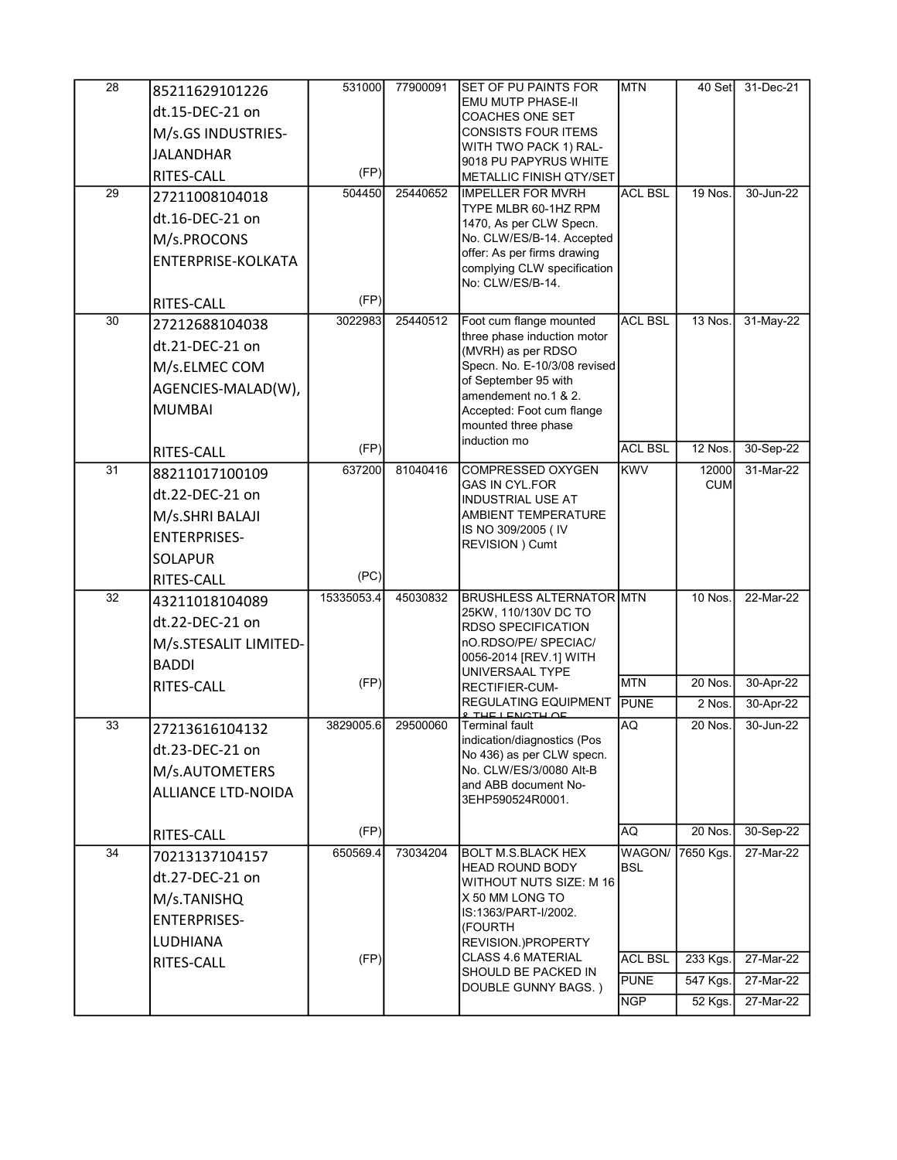| $\overline{28}$ | 85211629101226            | 531000     | 77900091 | <b>SET OF PU PAINTS FOR</b>                             | <b>MTN</b>     | 40 Set              | 31-Dec-21   |
|-----------------|---------------------------|------------|----------|---------------------------------------------------------|----------------|---------------------|-------------|
|                 | dt.15-DEC-21 on           |            |          | EMU MUTP PHASE-II<br><b>COACHES ONE SET</b>             |                |                     |             |
|                 | M/s.GS INDUSTRIES-        |            |          | <b>CONSISTS FOUR ITEMS</b>                              |                |                     |             |
|                 | <b>JALANDHAR</b>          |            |          | WITH TWO PACK 1) RAL-                                   |                |                     |             |
|                 | <b>RITES-CALL</b>         | (FP)       |          | 9018 PU PAPYRUS WHITE<br><b>METALLIC FINISH QTY/SET</b> |                |                     |             |
| 29              | 27211008104018            | 504450     | 25440652 | <b>IMPELLER FOR MVRH</b>                                | <b>ACL BSL</b> | 19 Nos.             | 30-Jun-22   |
|                 | dt.16-DEC-21 on           |            |          | TYPE MLBR 60-1HZ RPM<br>1470, As per CLW Specn.         |                |                     |             |
|                 | M/s.PROCONS               |            |          | No. CLW/ES/B-14. Accepted                               |                |                     |             |
|                 | ENTERPRISE-KOLKATA        |            |          | offer: As per firms drawing                             |                |                     |             |
|                 |                           |            |          | complying CLW specification<br>No: CLW/ES/B-14.         |                |                     |             |
|                 | RITES-CALL                | (FP)       |          |                                                         |                |                     |             |
| $\overline{30}$ | 27212688104038            | 3022983    | 25440512 | Foot cum flange mounted                                 | <b>ACL BSL</b> | 13 Nos.             | 31-May-22   |
|                 | dt.21-DEC-21 on           |            |          | three phase induction motor<br>(MVRH) as per RDSO       |                |                     |             |
|                 | M/s.ELMEC COM             |            |          | Specn. No. E-10/3/08 revised                            |                |                     |             |
|                 | AGENCIES-MALAD(W),        |            |          | of September 95 with<br>amendement no.1 & 2.            |                |                     |             |
|                 | <b>MUMBAI</b>             |            |          | Accepted: Foot cum flange                               |                |                     |             |
|                 |                           |            |          | mounted three phase<br>induction mo                     |                |                     |             |
|                 | RITES-CALL                | (FP)       |          |                                                         | <b>ACL BSL</b> | 12 Nos.             | 30-Sep-22   |
| $\overline{31}$ | 88211017100109            | 637200     | 81040416 | <b>COMPRESSED OXYGEN</b><br><b>GAS IN CYL.FOR</b>       | <b>KWV</b>     | 12000<br><b>CUM</b> | 31-Mar-22   |
|                 | dt.22-DEC-21 on           |            |          | INDUSTRIAL USE AT                                       |                |                     |             |
|                 | M/s.SHRI BALAJI           |            |          | AMBIENT TEMPERATURE                                     |                |                     |             |
|                 | <b>ENTERPRISES-</b>       |            |          | IS NO 309/2005 (IV<br>REVISION ) Cumt                   |                |                     |             |
|                 | <b>SOLAPUR</b>            |            |          |                                                         |                |                     |             |
|                 | RITES-CALL                | (PC)       |          |                                                         |                |                     |             |
| 32              | 43211018104089            | 15335053.4 | 45030832 | <b>BRUSHLESS ALTERNATOR MTN</b><br>25KW, 110/130V DC TO |                | 10 Nos.             | 22-Mar-22   |
|                 | dt.22-DEC-21 on           |            |          | <b>RDSO SPECIFICATION</b>                               |                |                     |             |
|                 | M/s.STESALIT LIMITED-     |            |          | nO.RDSO/PE/ SPECIAC/<br>0056-2014 [REV.1] WITH          |                |                     |             |
|                 | <b>BADDI</b>              |            |          | UNIVERSAAL TYPE                                         |                |                     |             |
|                 | RITES-CALL                | (FP)       |          | <b>RECTIFIER-CUM-</b>                                   | <b>MTN</b>     | 20 Nos.             | 30-Apr-22   |
|                 |                           |            |          | REGULATING EQUIPMENT<br><u><b>2 THE LENCTH OF</b></u>   | <b>PUNE</b>    | $2$ Nos.            | 30-Apr-22   |
| 33              | 27213616104132            | 3829005.6  | 29500060 | <b>Terminal fault</b><br>indication/diagnostics (Pos    | AQ             | 20 Nos.             | 30-Jun-22   |
|                 | dt.23-DEC-21 on           |            |          | No 436) as per CLW specn.                               |                |                     |             |
|                 | M/s.AUTOMETERS            |            |          | No. CLW/ES/3/0080 Alt-B<br>and ABB document No-         |                |                     |             |
|                 | <b>ALLIANCE LTD-NOIDA</b> |            |          | 3EHP590524R0001.                                        |                |                     |             |
|                 | <b>RITES-CALL</b>         | (FP)       |          |                                                         | AQ.            | 20 Nos.             | 30-Sep-22   |
| $\overline{34}$ | 70213137104157            | 650569.4   | 73034204 | <b>BOLT M.S.BLACK HEX</b>                               | WAGON/         | 7650 Kgs.           | 27-Mar-22   |
|                 | dt.27-DEC-21 on           |            |          | <b>HEAD ROUND BODY</b>                                  | <b>BSL</b>     |                     |             |
|                 | M/s.TANISHQ               |            |          | WITHOUT NUTS SIZE: M 16<br>X 50 MM LONG TO              |                |                     |             |
|                 | <b>ENTERPRISES-</b>       |            |          | IS:1363/PART-I/2002.                                    |                |                     |             |
|                 | LUDHIANA                  |            |          | (FOURTH<br>REVISION.)PROPERTY                           |                |                     |             |
|                 | RITES-CALL                | (FP)       |          | <b>CLASS 4.6 MATERIAL</b>                               | <b>ACL BSL</b> | 233 Kgs.            | 27-Mar-22   |
|                 |                           |            |          | SHOULD BE PACKED IN<br>DOUBLE GUNNY BAGS.)              | <b>PUNE</b>    | 547 Kgs.            | $27-Mar-22$ |
|                 |                           |            |          |                                                         | <b>NGP</b>     | 52 Kgs.             | 27-Mar-22   |
|                 |                           |            |          |                                                         |                |                     |             |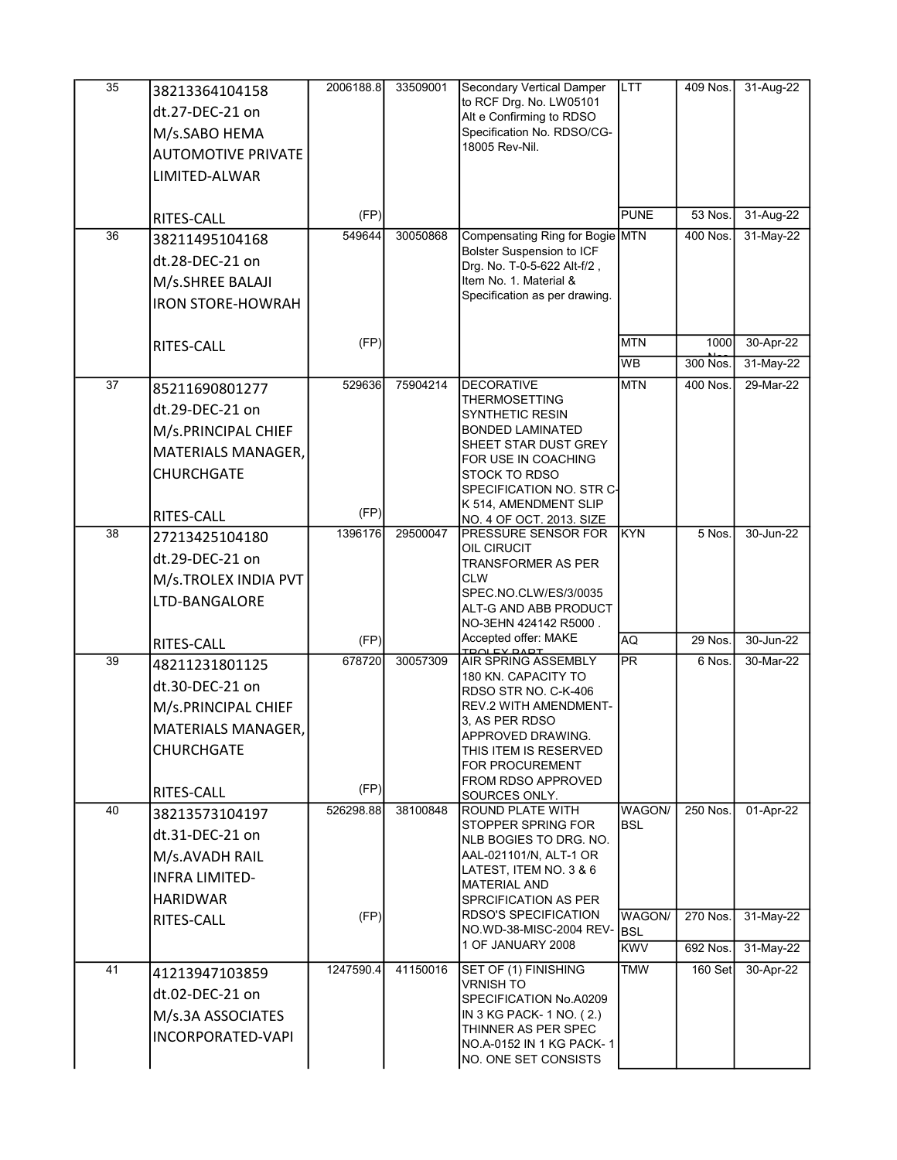| $\overline{35}$ | 38213364104158            | 2006188.8 | 33509001 | <b>Secondary Vertical Damper</b>                                | <b>LTT</b>               | 409 Nos.   | 31-Aug-22 |
|-----------------|---------------------------|-----------|----------|-----------------------------------------------------------------|--------------------------|------------|-----------|
|                 | dt.27-DEC-21 on           |           |          | to RCF Drg. No. LW05101<br>Alt e Confirming to RDSO             |                          |            |           |
|                 | M/s.SABO HEMA             |           |          | Specification No. RDSO/CG-                                      |                          |            |           |
|                 | <b>AUTOMOTIVE PRIVATE</b> |           |          | 18005 Rev-Nil.                                                  |                          |            |           |
|                 | LIMITED-ALWAR             |           |          |                                                                 |                          |            |           |
|                 |                           |           |          |                                                                 |                          |            |           |
|                 | RITES-CALL                | (FP)      |          |                                                                 | PUNE                     | 53 Nos.    | 31-Aug-22 |
| 36              | 38211495104168            | 549644    | 30050868 | Compensating Ring for Bogie MTN                                 |                          | 400 Nos.   | 31-May-22 |
|                 | dt.28-DEC-21 on           |           |          | <b>Bolster Suspension to ICF</b><br>Drg. No. T-0-5-622 Alt-f/2, |                          |            |           |
|                 | M/s.SHREE BALAJI          |           |          | Item No. 1. Material &                                          |                          |            |           |
|                 | <b>IRON STORE-HOWRAH</b>  |           |          | Specification as per drawing.                                   |                          |            |           |
|                 |                           |           |          |                                                                 |                          |            |           |
|                 | RITES-CALL                | (FP)      |          |                                                                 | <b>MTN</b>               | 1000       | 30-Apr-22 |
|                 |                           |           |          |                                                                 | <b>WB</b>                | $300$ Nos. | 31-May-22 |
| $\overline{37}$ | 85211690801277            | 529636    | 75904214 | <b>DECORATIVE</b><br><b>THERMOSETTING</b>                       | <b>MTN</b>               | 400 Nos.   | 29-Mar-22 |
|                 | dt.29-DEC-21 on           |           |          | SYNTHETIC RESIN                                                 |                          |            |           |
|                 | M/s.PRINCIPAL CHIEF       |           |          | <b>BONDED LAMINATED</b>                                         |                          |            |           |
|                 | MATERIALS MANAGER,        |           |          | SHEET STAR DUST GREY<br>FOR USE IN COACHING                     |                          |            |           |
|                 | <b>CHURCHGATE</b>         |           |          | <b>STOCK TO RDSO</b>                                            |                          |            |           |
|                 |                           |           |          | SPECIFICATION NO. STR C-                                        |                          |            |           |
|                 | RITES-CALL                | (FP)      |          | K 514, AMENDMENT SLIP<br>NO. 4 OF OCT. 2013. SIZE               |                          |            |           |
| 38              | 27213425104180            | 1396176   | 29500047 | PRESSURE SENSOR FOR                                             | KYN                      | 5 Nos.     | 30-Jun-22 |
|                 | dt.29-DEC-21 on           |           |          | OIL CIRUCIT<br><b>TRANSFORMER AS PER</b>                        |                          |            |           |
|                 | M/s.TROLEX INDIA PVT      |           |          | <b>CLW</b>                                                      |                          |            |           |
|                 | LTD-BANGALORE             |           |          | SPEC.NO.CLW/ES/3/0035                                           |                          |            |           |
|                 |                           |           |          | ALT-G AND ABB PRODUCT<br>NO-3EHN 424142 R5000.                  |                          |            |           |
|                 | RITES-CALL                | (FP)      |          | Accepted offer: MAKE<br>TOOL EV DADT                            | AQ                       | 29 Nos.    | 30-Jun-22 |
| 39              | 48211231801125            | 678720    | 30057309 | AIR SPRING ASSEMBLY                                             | <b>PR</b>                | 6 Nos.     | 30-Mar-22 |
|                 | dt.30-DEC-21 on           |           |          | 180 KN. CAPACITY TO<br>RDSO STR NO. C-K-406                     |                          |            |           |
|                 | M/s.PRINCIPAL CHIEF       |           |          | <b>REV.2 WITH AMENDMENT-</b>                                    |                          |            |           |
|                 | MATERIALS MANAGER,        |           |          | 3, AS PER RDSO<br>APPROVED DRAWING.                             |                          |            |           |
|                 | <b>CHURCHGATE</b>         |           |          | THIS ITEM IS RESERVED                                           |                          |            |           |
|                 |                           |           |          | <b>FOR PROCUREMENT</b>                                          |                          |            |           |
|                 | RITES-CALL                | (FP)      |          | FROM RDSO APPROVED<br>SOURCES ONLY.                             |                          |            |           |
| 40              | 38213573104197            | 526298.88 | 38100848 | <b>ROUND PLATE WITH</b>                                         | WAGON/                   | 250 Nos.   | 01-Apr-22 |
|                 | dt.31-DEC-21 on           |           |          | STOPPER SPRING FOR<br>NLB BOGIES TO DRG. NO.                    | <b>BSL</b>               |            |           |
|                 | M/s.AVADH RAIL            |           |          | AAL-021101/N, ALT-1 OR                                          |                          |            |           |
|                 | <b>INFRA LIMITED-</b>     |           |          | LATEST, ITEM NO. 3 & 6                                          |                          |            |           |
|                 | <b>HARIDWAR</b>           |           |          | <b>MATERIAL AND</b><br>SPRCIFICATION AS PER                     |                          |            |           |
|                 | RITES-CALL                | (FP)      |          | <b>RDSO'S SPECIFICATION</b>                                     | <b>WAGON/</b>            | 270 Nos.   | 31-May-22 |
|                 |                           |           |          | NO.WD-38-MISC-2004 REV-<br>1 OF JANUARY 2008                    | <b>BSL</b><br><b>KWV</b> | 692 Nos.   | 31-May-22 |
| 41              |                           | 1247590.4 | 41150016 | SET OF (1) FINISHING                                            | TMW                      | 160 Set    | 30-Apr-22 |
|                 | 41213947103859            |           |          | <b>VRNISH TO</b>                                                |                          |            |           |
|                 | dt.02-DEC-21 on           |           |          | SPECIFICATION No.A0209                                          |                          |            |           |
|                 | M/s.3A ASSOCIATES         |           |          | IN 3 KG PACK- 1 NO. (2.)<br>THINNER AS PER SPEC                 |                          |            |           |
|                 | INCORPORATED-VAPI         |           |          | NO.A-0152 IN 1 KG PACK-1                                        |                          |            |           |
|                 |                           |           |          | NO. ONE SET CONSISTS                                            |                          |            |           |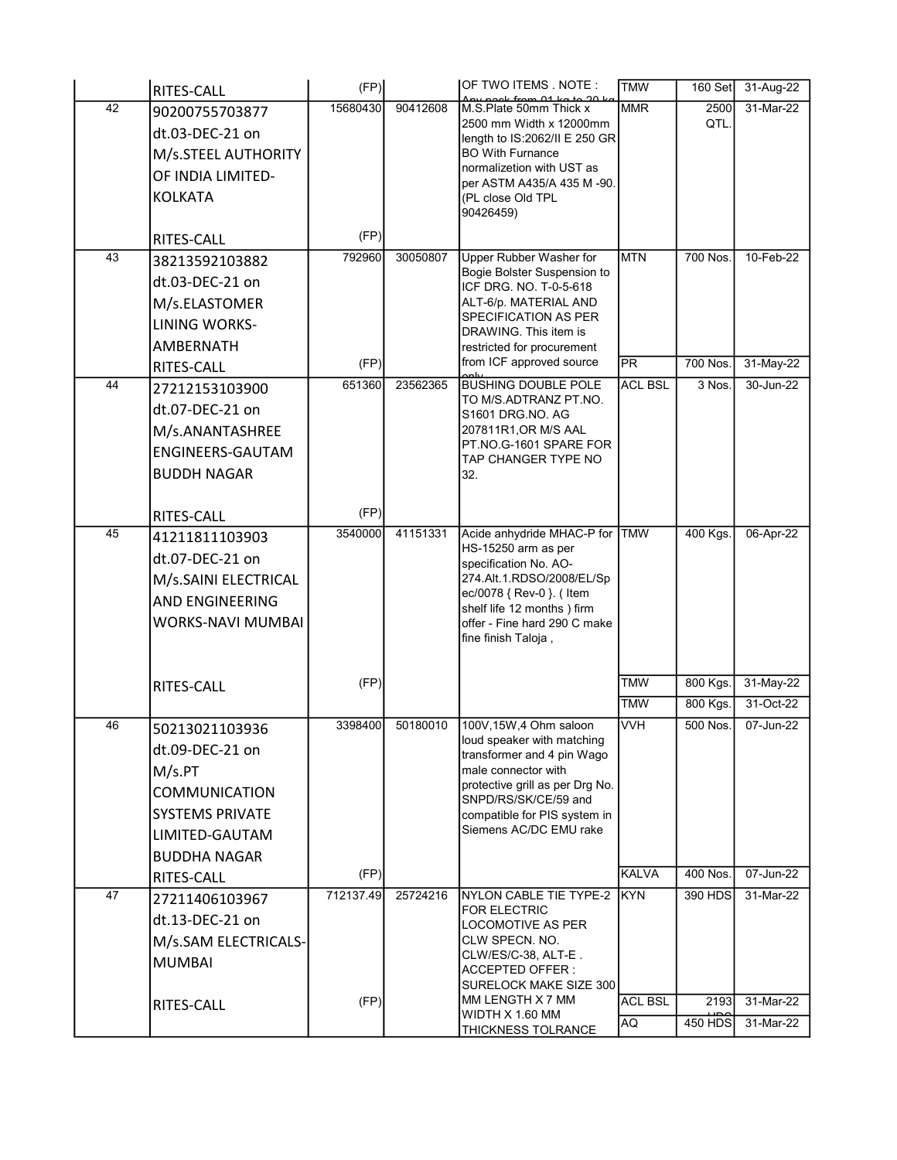|    | <b>RITES-CALL</b>        | (FP)      |          | OF TWO ITEMS NOTE :<br>$ck$ from $01$ $kc$               | <b>TMW</b>     | 160 Set        | 31-Aug-22   |
|----|--------------------------|-----------|----------|----------------------------------------------------------|----------------|----------------|-------------|
| 42 | 90200755703877           | 15680430  | 90412608 | M.S.Plate 50mm Thick x                                   | <b>MMR</b>     | 2500           | 31-Mar-22   |
|    | dt.03-DEC-21 on          |           |          | 2500 mm Width x 12000mm<br>length to IS:2062/II E 250 GR |                | QTL.           |             |
|    | M/s.STEEL AUTHORITY      |           |          | <b>BO With Furnance</b>                                  |                |                |             |
|    | OF INDIA LIMITED-        |           |          | normalizetion with UST as                                |                |                |             |
|    | <b>KOLKATA</b>           |           |          | per ASTM A435/A 435 M-90.<br>(PL close Old TPL           |                |                |             |
|    |                          |           |          | 90426459)                                                |                |                |             |
|    | RITES-CALL               | (FP)      |          |                                                          |                |                |             |
| 43 | 38213592103882           | 792960    | 30050807 | <b>Upper Rubber Washer for</b>                           | <b>MTN</b>     | 700 Nos.       | 10-Feb-22   |
|    | dt.03-DEC-21 on          |           |          | Bogie Bolster Suspension to<br>ICF DRG. NO. T-0-5-618    |                |                |             |
|    | M/s.ELASTOMER            |           |          | ALT-6/p. MATERIAL AND                                    |                |                |             |
|    | <b>LINING WORKS-</b>     |           |          | SPECIFICATION AS PER<br>DRAWING. This item is            |                |                |             |
|    | <b>AMBERNATH</b>         |           |          | restricted for procurement                               |                |                |             |
|    | RITES-CALL               | (FP)      |          | from ICF approved source                                 | lpr            | 700 Nos.       | $31-May-22$ |
| 44 | 27212153103900           | 651360    | 23562365 | <b>BUSHING DOUBLE POLE</b>                               | <b>ACL BSL</b> | 3 Nos.         | 30-Jun-22   |
|    | dt.07-DEC-21 on          |           |          | TO M/S.ADTRANZ PT.NO.<br>S1601 DRG.NO. AG                |                |                |             |
|    | M/s.ANANTASHREE          |           |          | 207811R1, OR M/S AAL                                     |                |                |             |
|    | ENGINEERS-GAUTAM         |           |          | PT.NO.G-1601 SPARE FOR<br>TAP CHANGER TYPE NO            |                |                |             |
|    | <b>BUDDH NAGAR</b>       |           |          | 32.                                                      |                |                |             |
|    |                          |           |          |                                                          |                |                |             |
|    | RITES-CALL               | (FP)      |          |                                                          |                |                |             |
| 45 | 41211811103903           | 3540000   | 41151331 | Acide anhydride MHAC-P for TMW<br>HS-15250 arm as per    |                | 400 Kgs.       | 06-Apr-22   |
|    | dt.07-DEC-21 on          |           |          | specification No. AO-                                    |                |                |             |
|    | M/s.SAINI ELECTRICAL     |           |          | 274.Alt.1.RDSO/2008/EL/Sp                                |                |                |             |
|    | <b>AND ENGINEERING</b>   |           |          | ec/0078 { Rev-0 }. ( Item<br>shelf life 12 months) firm  |                |                |             |
|    | <b>WORKS-NAVI MUMBAI</b> |           |          | offer - Fine hard 290 C make                             |                |                |             |
|    |                          |           |          | fine finish Taloja,                                      |                |                |             |
|    |                          |           |          |                                                          |                |                |             |
|    | RITES-CALL               | (FP)      |          |                                                          | <b>TMW</b>     | 800 Kgs.       | 31-May-22   |
|    |                          |           |          |                                                          | <b>TMW</b>     | 800 Kgs.       | 31-Oct-22   |
| 46 | 50213021103936           | 3398400   | 50180010 | 100V,15W,4 Ohm saloon<br>loud speaker with matching      | <b>VVH</b>     | 500 Nos.       | 07-Jun-22   |
|    | dt.09-DEC-21 on          |           |          | transformer and 4 pin Wago                               |                |                |             |
|    | M/s.PT                   |           |          | male connector with<br>protective grill as per Drg No.   |                |                |             |
|    | <b>COMMUNICATION</b>     |           |          | SNPD/RS/SK/CE/59 and                                     |                |                |             |
|    | <b>SYSTEMS PRIVATE</b>   |           |          | compatible for PIS system in                             |                |                |             |
|    | LIMITED-GAUTAM           |           |          | Siemens AC/DC EMU rake                                   |                |                |             |
|    | <b>BUDDHA NAGAR</b>      |           |          |                                                          |                |                |             |
|    | RITES-CALL               | (FP)      |          |                                                          | <b>KALVA</b>   | 400 Nos.       | 07-Jun-22   |
| 47 | 27211406103967           | 712137.49 | 25724216 | NYLON CABLE TIE TYPE-2 KYN<br><b>FOR ELECTRIC</b>        |                | 390 HDS        | 31-Mar-22   |
|    | dt.13-DEC-21 on          |           |          | <b>LOCOMOTIVE AS PER</b>                                 |                |                |             |
|    | M/s.SAM ELECTRICALS-     |           |          | CLW SPECN. NO.<br>CLW/ES/C-38, ALT-E.                    |                |                |             |
|    | <b>MUMBAI</b>            |           |          | <b>ACCEPTED OFFER:</b>                                   |                |                |             |
|    |                          |           |          | SURELOCK MAKE SIZE 300                                   |                |                |             |
|    | RITES-CALL               | (FP)      |          | MM LENGTH X 7 MM<br>WIDTH X 1.60 MM                      | <b>ACL BSL</b> | 2193           | 31-Mar-22   |
|    |                          |           |          | THICKNESS TOLRANCE                                       | <b>AQ</b>      | <b>450 HDS</b> | 31-Mar-22   |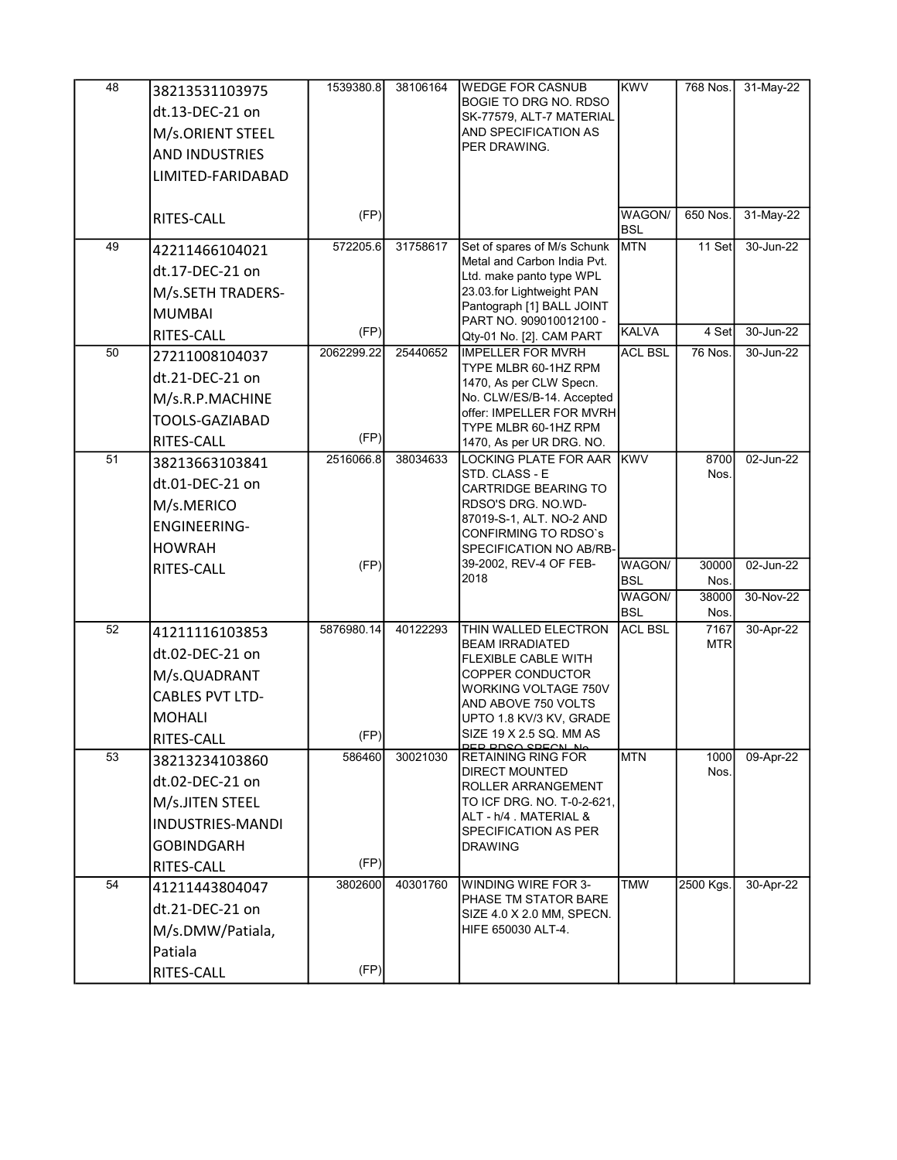| 48 | 38213531103975          | 1539380.8  | 38106164 | <b>WEDGE FOR CASNUB</b>                                  | <b>KWV</b>           | 768 Nos.      | 31-May-22 |
|----|-------------------------|------------|----------|----------------------------------------------------------|----------------------|---------------|-----------|
|    | dt.13-DEC-21 on         |            |          | <b>BOGIE TO DRG NO. RDSO</b><br>SK-77579, ALT-7 MATERIAL |                      |               |           |
|    | M/s.ORIENT STEEL        |            |          | AND SPECIFICATION AS                                     |                      |               |           |
|    | <b>AND INDUSTRIES</b>   |            |          | PER DRAWING.                                             |                      |               |           |
|    | LIMITED-FARIDABAD       |            |          |                                                          |                      |               |           |
|    |                         |            |          |                                                          |                      |               |           |
|    | <b>RITES-CALL</b>       | (FP)       |          |                                                          | WAGON/<br><b>BSL</b> | 650 Nos.      | 31-May-22 |
| 49 | 42211466104021          | 572205.6   | 31758617 | Set of spares of M/s Schunk                              | <b>MTN</b>           | 11 Set        | 30-Jun-22 |
|    | dt.17-DEC-21 on         |            |          | Metal and Carbon India Pvt.<br>Ltd. make panto type WPL  |                      |               |           |
|    | M/s.SETH TRADERS-       |            |          | 23.03.for Lightweight PAN                                |                      |               |           |
|    | <b>MUMBAI</b>           |            |          | Pantograph [1] BALL JOINT<br>PART NO. 909010012100 -     |                      |               |           |
|    | <b>RITES-CALL</b>       | (FP)       |          | Qty-01 No. [2]. CAM PART                                 | KALVA                | 4 Set         | 30-Jun-22 |
| 50 | 27211008104037          | 2062299.22 | 25440652 | <b>IMPELLER FOR MVRH</b><br>TYPE MLBR 60-1HZ RPM         | <b>ACL BSL</b>       | 76 Nos.       | 30-Jun-22 |
|    | dt.21-DEC-21 on         |            |          | 1470, As per CLW Specn.                                  |                      |               |           |
|    | M/s.R.P.MACHINE         |            |          | No. CLW/ES/B-14. Accepted                                |                      |               |           |
|    | TOOLS-GAZIABAD          |            |          | offer: IMPELLER FOR MVRH<br>TYPE MLBR 60-1HZ RPM         |                      |               |           |
|    | RITES-CALL              | (FP)       |          | 1470, As per UR DRG. NO.                                 |                      |               |           |
| 51 | 38213663103841          | 2516066.8  | 38034633 | LOCKING PLATE FOR AAR KWV                                |                      | 8700          | 02-Jun-22 |
|    | dt.01-DEC-21 on         |            |          | STD. CLASS - E<br><b>CARTRIDGE BEARING TO</b>            |                      | Nos.          |           |
|    | M/s.MERICO              |            |          | RDSO'S DRG. NO.WD-                                       |                      |               |           |
|    | <b>ENGINEERING-</b>     |            |          | 87019-S-1, ALT. NO-2 AND<br><b>CONFIRMING TO RDSO's</b>  |                      |               |           |
|    | <b>HOWRAH</b>           |            |          | SPECIFICATION NO AB/RB-                                  |                      |               |           |
|    | RITES-CALL              | (FP)       |          | 39-2002, REV-4 OF FEB-<br>2018                           | WAGON/               | 30000         | 02-Jun-22 |
|    |                         |            |          |                                                          | BSL<br>WAGON/        | Nos.<br>38000 | 30-Nov-22 |
|    |                         |            |          |                                                          | <b>BSL</b>           | Nos.          |           |
| 52 | 41211116103853          | 5876980.14 | 40122293 | THIN WALLED ELECTRON                                     | <b>ACL BSL</b>       | 7167          | 30-Apr-22 |
|    | dt.02-DEC-21 on         |            |          | <b>BEAM IRRADIATED</b><br><b>FLEXIBLE CABLE WITH</b>     |                      | <b>MTR</b>    |           |
|    | M/s.QUADRANT            |            |          | COPPER CONDUCTOR                                         |                      |               |           |
|    | <b>CABLES PVT LTD-</b>  |            |          | WORKING VOLTAGE 750V<br>AND ABOVE 750 VOLTS              |                      |               |           |
|    | <b>MOHALI</b>           |            |          | UPTO 1.8 KV/3 KV, GRADE                                  |                      |               |           |
|    | RITES-CALL              | (FP)       |          | SIZE 19 X 2.5 SQ. MM AS<br><u>DED DNSA SDEANLNA</u>      |                      |               |           |
| 53 | 38213234103860          | 586460     | 30021030 | <b>RETAINING RING FOR</b>                                | <b>MTN</b>           | 1000          | 09-Apr-22 |
|    | dt.02-DEC-21 on         |            |          | <b>DIRECT MOUNTED</b><br>ROLLER ARRANGEMENT              |                      | Nos.          |           |
|    | M/s.JITEN STEEL         |            |          | TO ICF DRG. NO. T-0-2-621,                               |                      |               |           |
|    | <b>INDUSTRIES-MANDI</b> |            |          | ALT - h/4 . MATERIAL &<br>SPECIFICATION AS PER           |                      |               |           |
|    | <b>GOBINDGARH</b>       |            |          | <b>DRAWING</b>                                           |                      |               |           |
|    | RITES-CALL              | (FP)       |          |                                                          |                      |               |           |
| 54 | 41211443804047          | 3802600    | 40301760 | WINDING WIRE FOR 3-                                      | <b>TMW</b>           | 2500 Kgs.     | 30-Apr-22 |
|    | dt.21-DEC-21 on         |            |          | PHASE TM STATOR BARE<br>SIZE 4.0 X 2.0 MM, SPECN.        |                      |               |           |
|    | M/s.DMW/Patiala,        |            |          | HIFE 650030 ALT-4.                                       |                      |               |           |
|    | Patiala                 |            |          |                                                          |                      |               |           |
|    | RITES-CALL              | (FP)       |          |                                                          |                      |               |           |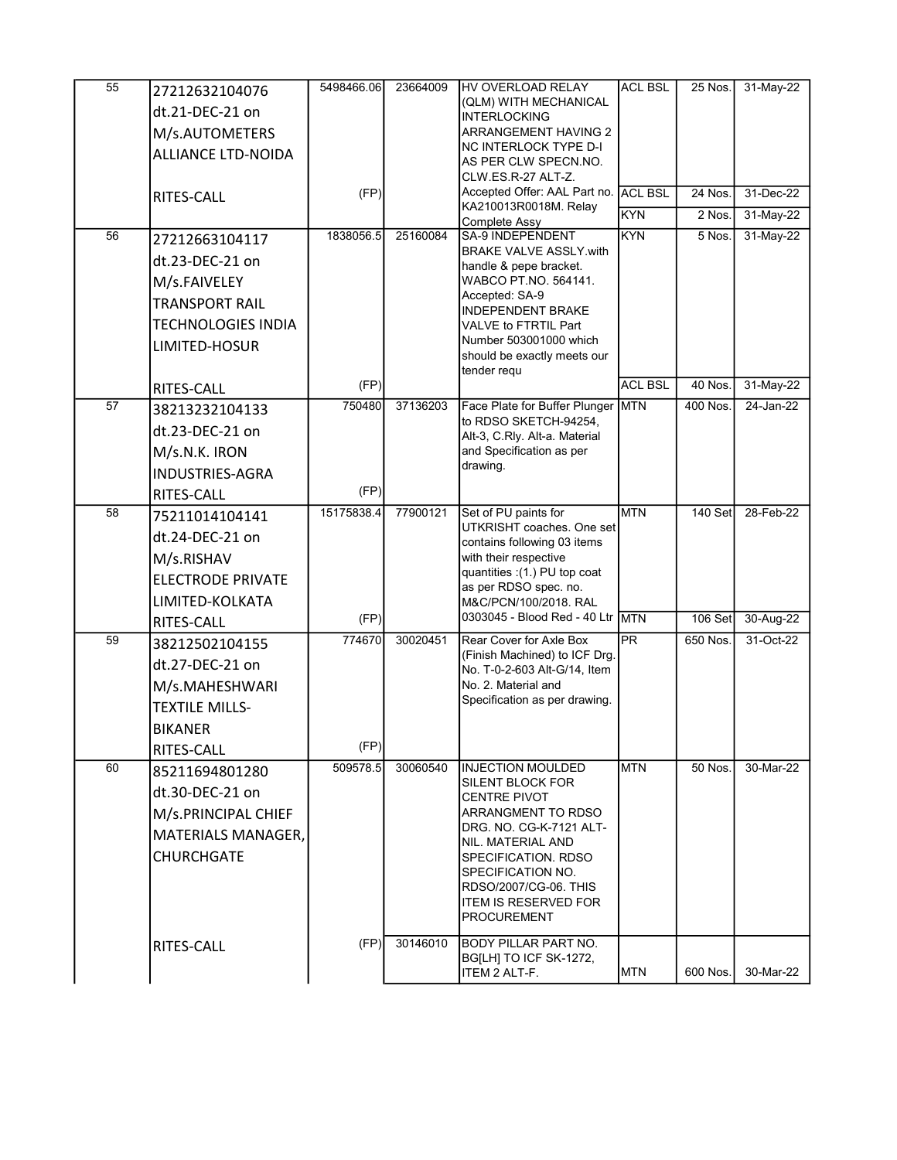| 55 | 27212632104076<br>dt.21-DEC-21 on<br>M/s.AUTOMETERS<br><b>ALLIANCE LTD-NOIDA</b><br>RITES-CALL                             | 5498466.06<br>(FP) | 23664009 | HV OVERLOAD RELAY<br>(QLM) WITH MECHANICAL<br><b>INTERLOCKING</b><br><b>ARRANGEMENT HAVING 2</b><br>NC INTERLOCK TYPE D-I<br>AS PER CLW SPECN NO.<br>CLW.ES.R-27 ALT-Z.<br>Accepted Offer: AAL Part no. ACL BSL<br>KA210013R0018M. Relay                                                  | <b>ACL BSL</b><br><b>KYN</b> | 25 Nos.<br>24 Nos.<br>2 Nos. | 31-May-22<br>31-Dec-22<br>31-May-22 |
|----|----------------------------------------------------------------------------------------------------------------------------|--------------------|----------|-------------------------------------------------------------------------------------------------------------------------------------------------------------------------------------------------------------------------------------------------------------------------------------------|------------------------------|------------------------------|-------------------------------------|
| 56 | 27212663104117<br>dt.23-DEC-21 on<br>M/s.FAIVELEY<br><b>TRANSPORT RAIL</b><br><b>TECHNOLOGIES INDIA</b><br>LIMITED-HOSUR   | 1838056.5<br>(FP)  | 25160084 | Complete Assy<br><b>SA-9 INDEPENDENT</b><br><b>BRAKE VALVE ASSLY.with</b><br>handle & pepe bracket.<br>WABCO PT.NO. 564141.<br>Accepted: SA-9<br><b>INDEPENDENT BRAKE</b><br>VALVE to FTRTIL Part<br>Number 503001000 which<br>should be exactly meets our<br>tender requ                 | <b>KYN</b><br><b>ACL BSL</b> | 5 Nos.<br>$40$ Nos.          | 31-May-22<br>31-May-22              |
| 57 | <b>RITES-CALL</b><br>38213232104133<br>dt.23-DEC-21 on<br>M/s.N.K. IRON<br><b>INDUSTRIES-AGRA</b>                          | 750480<br>(FP)     | 37136203 | Face Plate for Buffer Plunger<br>to RDSO SKETCH-94254,<br>Alt-3, C.Rly. Alt-a. Material<br>and Specification as per<br>drawing.                                                                                                                                                           | <b>MTN</b>                   | 400 Nos.                     | 24-Jan-22                           |
| 58 | <b>RITES-CALL</b><br>75211014104141<br>dt.24-DEC-21 on<br>M/s.RISHAV<br><b>ELECTRODE PRIVATE</b><br>LIMITED-KOLKATA        | 15175838.4<br>(FP) | 77900121 | Set of PU paints for<br>UTKRISHT coaches. One set<br>contains following 03 items<br>with their respective<br>quantities : (1.) PU top coat<br>as per RDSO spec. no.<br>M&C/PCN/100/2018. RAL<br>0303045 - Blood Red - 40 Ltr MTN                                                          | <b>MTN</b>                   | 140 Set<br>106 Set           | 28-Feb-22<br>30-Aug-22              |
| 59 | RITES-CALL<br>38212502104155<br>dt.27-DEC-21 on<br>M/s.MAHESHWARI<br><b>TEXTILE MILLS-</b><br><b>BIKANER</b><br>RITES-CALL | 774670<br>(FP)     | 30020451 | Rear Cover for Axle Box<br>(Finish Machined) to ICF Drg.<br>No. T-0-2-603 Alt-G/14, Item<br>No. 2. Material and<br>Specification as per drawing.                                                                                                                                          | <b>PR</b>                    | 650 Nos.                     | 31-Oct-22                           |
| 60 | 85211694801280<br>dt.30-DEC-21 on<br>M/s.PRINCIPAL CHIEF<br><b>MATERIALS MANAGER,</b><br><b>CHURCHGATE</b>                 | 509578.5           | 30060540 | <b>IINJECTION MOULDED</b><br><b>SILENT BLOCK FOR</b><br><b>CENTRE PIVOT</b><br>ARRANGMENT TO RDSO<br>DRG. NO. CG-K-7121 ALT-<br>NIL. MATERIAL AND<br><b>SPECIFICATION, RDSO</b><br><b>SPECIFICATION NO.</b><br>RDSO/2007/CG-06, THIS<br><b>ITEM IS RESERVED FOR</b><br><b>PROCUREMENT</b> | <b>MTN</b>                   | 50 Nos.                      | 30-Mar-22                           |
|    | RITES-CALL                                                                                                                 | (FP)               | 30146010 | <b>BODY PILLAR PART NO.</b><br>BG[LH] TO ICF SK-1272,<br>ITEM 2 ALT-F.                                                                                                                                                                                                                    | <b>MTN</b>                   | 600 Nos.                     | 30-Mar-22                           |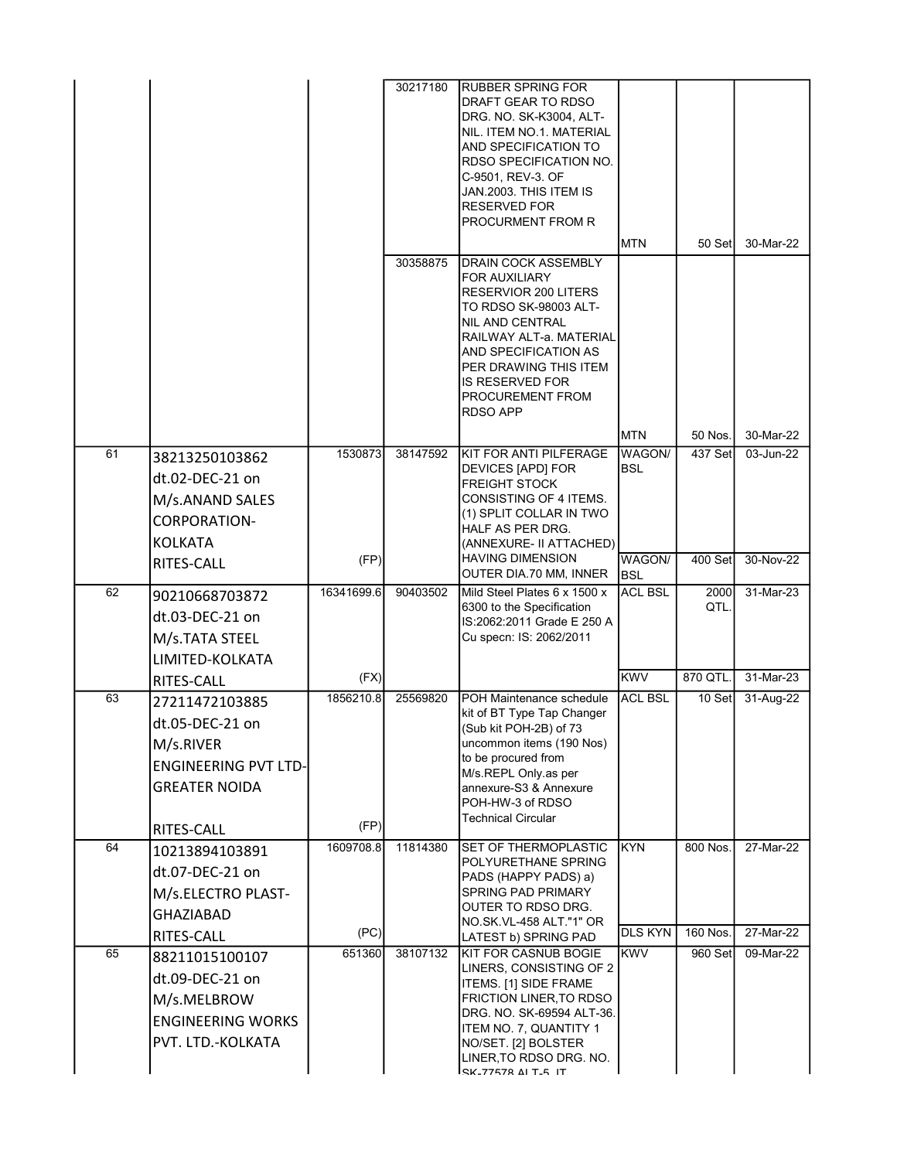|    |                                                                                                       |                   | 30217180<br>30358875 | <b>RUBBER SPRING FOR</b><br>DRAFT GEAR TO RDSO<br>DRG. NO. SK-K3004, ALT-<br>INIL. ITEM NO.1. MATERIAL<br>AND SPECIFICATION TO<br><b>RDSO SPECIFICATION NO.</b><br>C-9501, REV-3. OF<br>JAN.2003. THIS ITEM IS<br><b>RESERVED FOR</b><br><b>PROCURMENT FROM R</b><br> DRAIN COCK ASSEMBLY<br><b>FOR AUXILIARY</b><br>RESERVIOR 200 LITERS<br>TO RDSO SK-98003 ALT-<br>INIL AND CENTRAL<br> RAILWAY ALT-a. MATERIAL<br>AND SPECIFICATION AS<br>IPER DRAWING THIS ITEM<br><b>IS RESERVED FOR</b><br><b>PROCUREMENT FROM</b><br><b>RDSO APP</b> | <b>MTN</b>            | 50 Set                      | 30-Mar-22              |
|----|-------------------------------------------------------------------------------------------------------|-------------------|----------------------|----------------------------------------------------------------------------------------------------------------------------------------------------------------------------------------------------------------------------------------------------------------------------------------------------------------------------------------------------------------------------------------------------------------------------------------------------------------------------------------------------------------------------------------------|-----------------------|-----------------------------|------------------------|
| 61 | 38213250103862                                                                                        | 1530873           | 38147592             | KIT FOR ANTI PILFERAGE                                                                                                                                                                                                                                                                                                                                                                                                                                                                                                                       | <b>MTN</b><br>WAGON/  | 50 Nos.<br>437 Set          | 30-Mar-22<br>03-Jun-22 |
|    | dt.02-DEC-21 on<br>M/s.ANAND SALES<br><b>CORPORATION-</b><br><b>KOLKATA</b>                           |                   |                      | DEVICES [APD] FOR<br> FREIGHT STOCK<br>CONSISTING OF 4 ITEMS.<br>(1) SPLIT COLLAR IN TWO<br>HALF AS PER DRG.<br>(ANNEXURE- II ATTACHED)                                                                                                                                                                                                                                                                                                                                                                                                      | <b>BSL</b>            |                             |                        |
|    | RITES-CALL                                                                                            | (FP)              |                      | <b>HAVING DIMENSION</b><br>OUTER DIA.70 MM, INNER                                                                                                                                                                                                                                                                                                                                                                                                                                                                                            | WAGON/<br><b>BSL</b>  | 400 Set                     | 30-Nov-22              |
| 62 | 90210668703872<br>dt.03-DEC-21 on<br>M/s.TATA STEEL<br>LIMITED-KOLKATA                                | 16341699.6        | 90403502             | Mild Steel Plates 6 x 1500 x<br>6300 to the Specification<br>IS:2062:2011 Grade E 250 A<br>Cu specn: IS: 2062/2011                                                                                                                                                                                                                                                                                                                                                                                                                           | <b>ACL BSL</b>        | 2000<br>QTL.                | 31-Mar-23              |
|    | RITES-CALL                                                                                            | (FX)              |                      |                                                                                                                                                                                                                                                                                                                                                                                                                                                                                                                                              | KWV                   | 870 QTL.                    | 31-Mar-23              |
| 63 | 27211472103885<br>dt.05-DEC-21 on<br>M/s.RIVER<br><b>ENGINEERING PVT LTD-</b><br><b>GREATER NOIDA</b> | 1856210.8         | 25569820             | POH Maintenance schedule<br>kit of BT Type Tap Changer<br>(Sub kit POH-2B) of 73<br>uncommon items (190 Nos)<br>to be procured from<br>M/s.REPL Only.as per<br>lannexure-S3 & Annexure<br>POH-HW-3 of RDSO<br><b>Technical Circular</b>                                                                                                                                                                                                                                                                                                      | <b>ACL BSL</b>        | 10 Set                      | 31-Aug-22              |
|    | RITES-CALL                                                                                            | (FP)              |                      |                                                                                                                                                                                                                                                                                                                                                                                                                                                                                                                                              |                       |                             |                        |
| 64 | 10213894103891<br>dt.07-DEC-21 on<br>M/s.ELECTRO PLAST-<br><b>GHAZIABAD</b><br>RITES-CALL             | 1609708.8<br>(PC) | 11814380             | <b>SET OF THERMOPLASTIC</b><br>POLYURETHANE SPRING<br>PADS (HAPPY PADS) a)<br><b>SPRING PAD PRIMARY</b><br>OUTER TO RDSO DRG.<br>NO SK VL-458 ALT "1" OR<br>LATEST b) SPRING PAD                                                                                                                                                                                                                                                                                                                                                             | KYN<br><b>DLS KYN</b> | 800 Nos.<br><b>160 Nos.</b> | 27-Mar-22<br>27-Mar-22 |
| 65 | 88211015100107<br>dt.09-DEC-21 on<br>M/s.MELBROW<br><b>ENGINEERING WORKS</b><br>PVT. LTD.-KOLKATA     | 651360            | 38107132             | KIT FOR CASNUB BOGIE<br>LINERS, CONSISTING OF 2<br>ITEMS. [1] SIDE FRAME<br><b>FRICTION LINER, TO RDSO</b><br>DRG. NO. SK-69594 ALT-36.<br>ITEM NO. 7, QUANTITY 1<br>NO/SET. [2] BOLSTER<br>LINER, TO RDSO DRG. NO.<br>EK-77578 ALT-5 IT                                                                                                                                                                                                                                                                                                     | <b>KWV</b>            | 960 Set                     | 09-Mar-22              |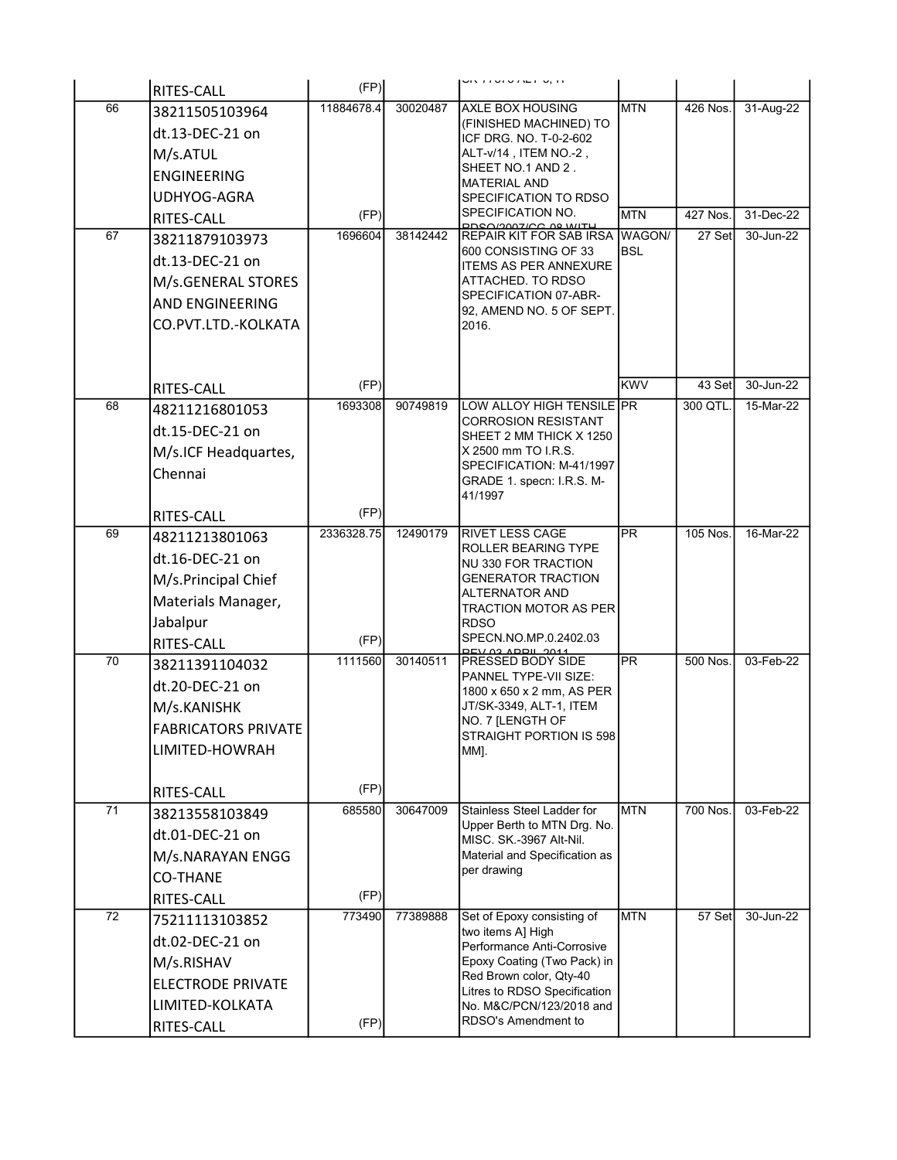|                 | RITES-CALL               | (FP)       |          | וון,טרובות טונט ודיווט                                    |            |          |           |
|-----------------|--------------------------|------------|----------|-----------------------------------------------------------|------------|----------|-----------|
| 66              | 38211505103964           | 11884678.4 | 30020487 | AXLE BOX HOUSING                                          | <b>MTN</b> | 426 Nos. | 31-Aug-22 |
|                 | dt.13-DEC-21 on          |            |          | (FINISHED MACHINED) TO                                    |            |          |           |
|                 | M/s.ATUL                 |            |          | ICF DRG. NO. T-0-2-602<br>ALT-v/14, ITEM NO.-2,           |            |          |           |
|                 | <b>ENGINEERING</b>       |            |          | SHEET NO.1 AND 2.                                         |            |          |           |
|                 | UDHYOG-AGRA              |            |          | <b>MATERIAL AND</b><br>SPECIFICATION TO RDSO              |            |          |           |
|                 | <b>RITES-CALL</b>        | (FP)       |          | SPECIFICATION NO.                                         | <b>MTN</b> | 427 Nos. | 31-Dec-22 |
| 67              | 38211879103973           | 1696604    | 38142442 | <b>DDCO/2007/CC 08 WITH</b><br>REPAIR KIT FOR SAB IRSA    | WAGON/     | 27 Set   | 30-Jun-22 |
|                 | dt.13-DEC-21 on          |            |          | 600 CONSISTING OF 33                                      | <b>BSL</b> |          |           |
|                 | M/s.GENERAL STORES       |            |          | <b>ITEMS AS PER ANNEXURE</b><br>ATTACHED. TO RDSO         |            |          |           |
|                 | AND ENGINEERING          |            |          | SPECIFICATION 07-ABR-                                     |            |          |           |
|                 | CO.PVT.LTD.-KOLKATA      |            |          | 92, AMEND NO. 5 OF SEPT.<br>2016.                         |            |          |           |
|                 |                          |            |          |                                                           |            |          |           |
|                 |                          |            |          |                                                           |            |          |           |
|                 | RITES-CALL               | (FP)       |          |                                                           | KWV        | 43 Set   | 30-Jun-22 |
| 68              | 48211216801053           | 1693308    | 90749819 | LOW ALLOY HIGH TENSILE PR                                 |            | 300 QTL. | 15-Mar-22 |
|                 | dt.15-DEC-21 on          |            |          | <b>CORROSION RESISTANT</b><br>SHEET 2 MM THICK X 1250     |            |          |           |
|                 | M/s.ICF Headquartes,     |            |          | X 2500 mm TO I.R.S.                                       |            |          |           |
|                 | Chennai                  |            |          | SPECIFICATION: M-41/1997<br>GRADE 1. specn: I.R.S. M-     |            |          |           |
|                 |                          |            |          | 41/1997                                                   |            |          |           |
|                 | RITES-CALL               | (FP)       |          |                                                           |            |          |           |
| 69              | 48211213801063           | 2336328.75 | 12490179 | <b>RIVET LESS CAGE</b>                                    | <b>PR</b>  | 105 Nos. | 16-Mar-22 |
|                 | dt.16-DEC-21 on          |            |          | ROLLER BEARING TYPE<br>NU 330 FOR TRACTION                |            |          |           |
|                 | M/s.Principal Chief      |            |          | <b>GENERATOR TRACTION</b>                                 |            |          |           |
|                 | Materials Manager,       |            |          | <b>ALTERNATOR AND</b><br><b>TRACTION MOTOR AS PER</b>     |            |          |           |
|                 | Jabalpur                 |            |          | <b>RDSO</b>                                               |            |          |           |
|                 | RITES-CALL               | (FP)       |          | SPECN.NO.MP.0.2402.03<br><b>DEV A2 ADDIL 2011</b>         |            |          |           |
| 70              | 38211391104032           | 1111560    | 30140511 | PRESSED BODY SIDE                                         | <b>PR</b>  | 500 Nos. | 03-Feb-22 |
|                 | dt.20-DEC-21 on          |            |          | PANNEL TYPE-VII SIZE:<br>1800 x 650 x 2 mm, AS PER        |            |          |           |
|                 | M/s.KANISHK              |            |          | JT/SK-3349, ALT-1, ITEM                                   |            |          |           |
|                 | IFABRICATORS PRIVATE     |            |          | NO. 7 [LENGTH OF<br>STRAIGHT PORTION IS 598               |            |          |           |
|                 | LIMITED-HOWRAH           |            |          | MM].                                                      |            |          |           |
|                 |                          |            |          |                                                           |            |          |           |
|                 | <b>RITES-CALL</b>        | (FP)       |          |                                                           |            |          |           |
| 71              | 38213558103849           | 685580     | 30647009 | Stainless Steel Ladder for<br>Upper Berth to MTN Drg. No. | <b>MTN</b> | 700 Nos. | 03-Feb-22 |
|                 | dt.01-DEC-21 on          |            |          | MISC. SK.-3967 Alt-Nil.                                   |            |          |           |
|                 | M/s.NARAYAN ENGG         |            |          | Material and Specification as                             |            |          |           |
|                 | <b>CO-THANE</b>          |            |          | per drawing                                               |            |          |           |
|                 | RITES-CALL               | (FP)       |          |                                                           |            |          |           |
| $\overline{72}$ | 75211113103852           | 773490     | 77389888 | Set of Epoxy consisting of<br>two items A] High           | <b>MTN</b> | 57 Set   | 30-Jun-22 |
|                 | dt.02-DEC-21 on          |            |          | Performance Anti-Corrosive                                |            |          |           |
|                 | M/s.RISHAV               |            |          | Epoxy Coating (Two Pack) in                               |            |          |           |
|                 | <b>ELECTRODE PRIVATE</b> |            |          | Red Brown color, Qty-40<br>Litres to RDSO Specification   |            |          |           |
|                 | LIMITED-KOLKATA          |            |          | No. M&C/PCN/123/2018 and                                  |            |          |           |
|                 | RITES-CALL               | (FP)       |          | RDSO's Amendment to                                       |            |          |           |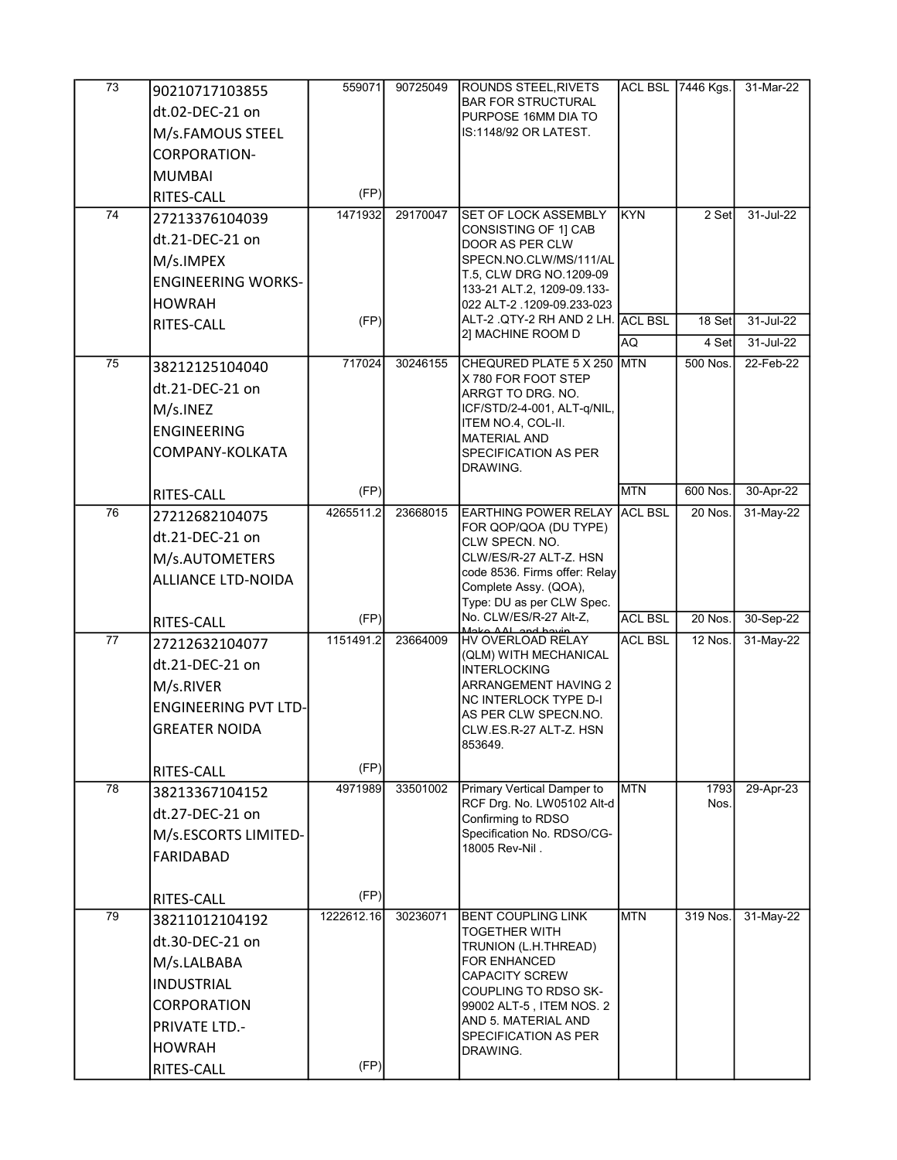| $\overline{73}$ | 90210717103855              | 559071     | 90725049 | <b>ROUNDS STEEL, RIVETS</b>                                     |                | ACL BSL 7446 Kgs.     | 31-Mar-22 |
|-----------------|-----------------------------|------------|----------|-----------------------------------------------------------------|----------------|-----------------------|-----------|
|                 | dt.02-DEC-21 on             |            |          | <b>IBAR FOR STRUCTURAL</b>                                      |                |                       |           |
|                 | M/s.FAMOUS STEEL            |            |          | PURPOSE 16MM DIA TO<br>IS:1148/92 OR LATEST.                    |                |                       |           |
|                 | CORPORATION-                |            |          |                                                                 |                |                       |           |
|                 |                             |            |          |                                                                 |                |                       |           |
|                 | <b>MUMBAI</b><br>RITES-CALL | (FP)       |          |                                                                 |                |                       |           |
| 74              | 27213376104039              | 1471932    | 29170047 | SET OF LOCK ASSEMBLY                                            | <b>IKYN</b>    | 2 Set                 | 31-Jul-22 |
|                 | dt.21-DEC-21 on             |            |          | CONSISTING OF 11 CAB                                            |                |                       |           |
|                 |                             |            |          | DOOR AS PER CLW<br>SPECN.NO.CLW/MS/111/AL                       |                |                       |           |
|                 | M/s.IMPEX                   |            |          | T.5, CLW DRG NO.1209-09                                         |                |                       |           |
|                 | <b>ENGINEERING WORKS-</b>   |            |          | 133-21 ALT.2, 1209-09.133-                                      |                |                       |           |
|                 | <b>HOWRAH</b>               | (FP)       |          | 022 ALT-2 .1209-09.233-023<br>ALT-2 .QTY-2 RH AND 2 LH. ACL BSL |                | 18 Set                | 31-Jul-22 |
|                 | RITES-CALL                  |            |          | 2] MACHINE ROOM D                                               | <b>AQ</b>      | 4 Set                 | 31-Jul-22 |
| 75              |                             | 717024     | 30246155 | CHEQURED PLATE 5 X 250                                          | <b>MTN</b>     | $\overline{500}$ Nos. | 22-Feb-22 |
|                 | 38212125104040              |            |          | X 780 FOR FOOT STEP                                             |                |                       |           |
|                 | dt.21-DEC-21 on             |            |          | ARRGT TO DRG. NO.                                               |                |                       |           |
|                 | M/s.INEZ                    |            |          | ICF/STD/2-4-001, ALT-q/NIL,<br>ITEM NO.4, COL-II.               |                |                       |           |
|                 | <b>ENGINEERING</b>          |            |          | IMATERIAL AND                                                   |                |                       |           |
|                 | COMPANY-KOLKATA             |            |          | <b>SPECIFICATION AS PER</b>                                     |                |                       |           |
|                 |                             |            |          | DRAWING.                                                        |                |                       |           |
|                 | RITES-CALL                  | (FP)       |          |                                                                 | <b>MTN</b>     | 600 Nos.              | 30-Apr-22 |
| 76              | 27212682104075              | 4265511.2  | 23668015 | EARTHING POWER RELAY ACL BSL<br>FOR QOP/QOA (DU TYPE)           |                | 20 Nos.               | 31-May-22 |
|                 | dt.21-DEC-21 on             |            |          | <b>CLW SPECN. NO.</b>                                           |                |                       |           |
|                 | M/s.AUTOMETERS              |            |          | CLW/ES/R-27 ALT-Z. HSN<br>code 8536. Firms offer: Relay         |                |                       |           |
|                 | <b>ALLIANCE LTD-NOIDA</b>   |            |          | Complete Assy. (QOA),                                           |                |                       |           |
|                 |                             |            |          | Type: DU as per CLW Spec.                                       |                |                       |           |
|                 | RITES-CALL                  | (FP)       |          | No. CLW/ES/R-27 Alt-Z,<br>Maka AAL and havin                    | <b>ACL BSL</b> | 20 Nos.               | 30-Sep-22 |
| 77              | 27212632104077              | 1151491.2  | 23664009 | HV OVERLOAD RELAY<br>(QLM) WITH MECHANICAL                      | <b>ACL BSL</b> | 12 Nos.               | 31-May-22 |
|                 | dt.21-DEC-21 on             |            |          | IINTERLOCKING                                                   |                |                       |           |
|                 | M/s.RIVER                   |            |          | <b>ARRANGEMENT HAVING 2</b>                                     |                |                       |           |
|                 | <b>ENGINEERING PVT LTD-</b> |            |          | INC INTERLOCK TYPE D-I<br>AS PER CLW SPECN.NO.                  |                |                       |           |
|                 | <b>GREATER NOIDA</b>        |            |          | CLW.ES.R-27 ALT-Z. HSN                                          |                |                       |           |
|                 |                             |            |          | 853649.                                                         |                |                       |           |
|                 | RITES-CALL                  | (FP)       |          |                                                                 |                |                       |           |
| 78              | 38213367104152              | 4971989    | 33501002 | Primary Vertical Damper to<br>RCF Drg. No. LW05102 Alt-d        | <b>MTN</b>     | 1793<br>Nos.          | 29-Apr-23 |
|                 | dt.27-DEC-21 on             |            |          | Confirming to RDSO                                              |                |                       |           |
|                 | M/s.ESCORTS LIMITED-        |            |          | Specification No. RDSO/CG-                                      |                |                       |           |
|                 | FARIDABAD                   |            |          | 18005 Rev-Nil.                                                  |                |                       |           |
|                 |                             |            |          |                                                                 |                |                       |           |
|                 | RITES-CALL                  | (FP)       |          |                                                                 |                |                       |           |
| $\overline{79}$ | 38211012104192              | 1222612.16 | 30236071 | <b>IBENT COUPLING LINK</b><br><b>TOGETHER WITH</b>              | <b>MTN</b>     | 319 Nos.              | 31-May-22 |
|                 | dt.30-DEC-21 on             |            |          | TRUNION (L.H.THREAD)                                            |                |                       |           |
|                 | M/s.LALBABA                 |            |          | <b>FOR ENHANCED</b>                                             |                |                       |           |
|                 | <b>INDUSTRIAL</b>           |            |          | <b>CAPACITY SCREW</b><br>COUPLING TO RDSO SK-                   |                |                       |           |
|                 | <b>CORPORATION</b>          |            |          | 99002 ALT-5, ITEM NOS. 2                                        |                |                       |           |
|                 | <b>PRIVATE LTD.-</b>        |            |          | AND 5. MATERIAL AND                                             |                |                       |           |
|                 | <b>HOWRAH</b>               |            |          | <b>SPECIFICATION AS PER</b><br>DRAWING.                         |                |                       |           |
|                 | RITES-CALL                  | (FP)       |          |                                                                 |                |                       |           |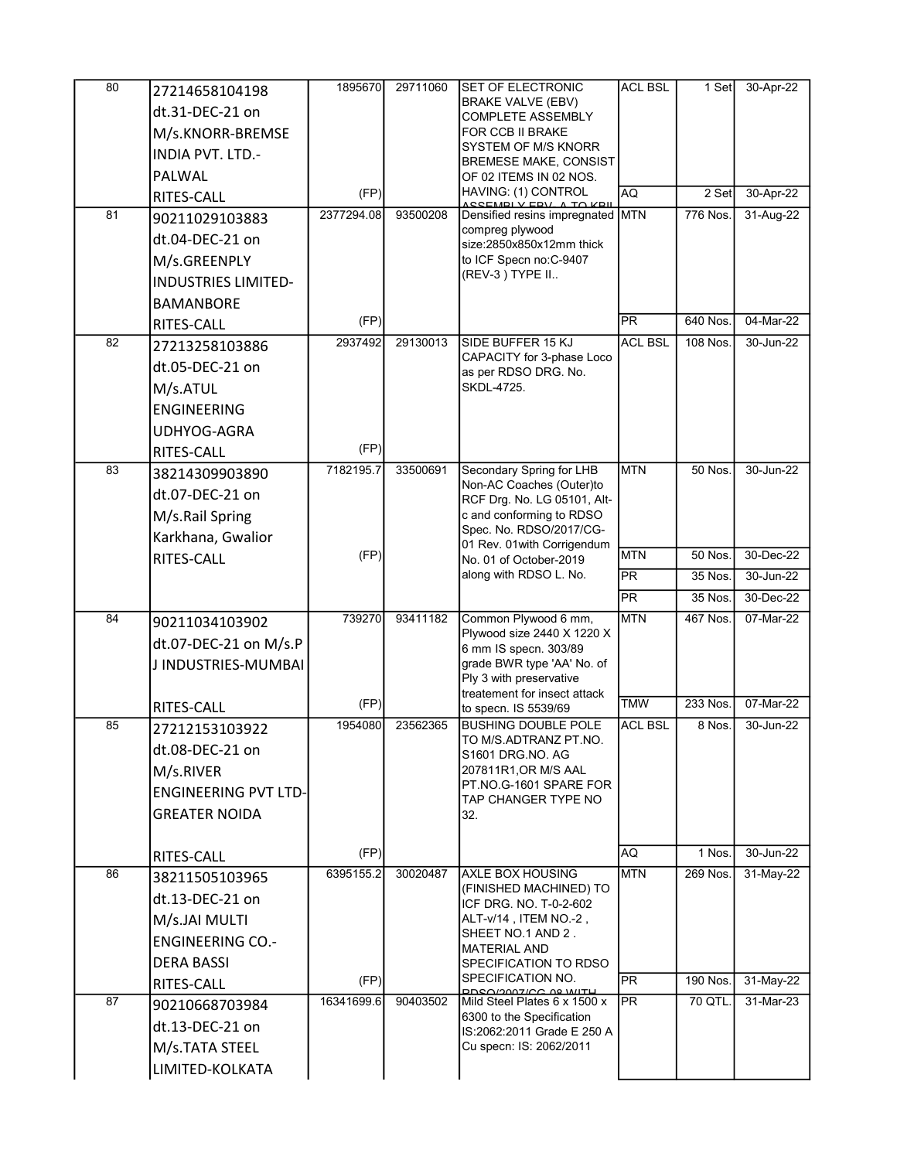| <b>BRAKE VALVE (EBV)</b><br>dt.31-DEC-21 on<br><b>COMPLETE ASSEMBLY</b><br>M/s.KNORR-BREMSE<br>FOR CCB II BRAKE<br>SYSTEM OF M/S KNORR<br><b>INDIA PVT. LTD.-</b><br><b>BREMESE MAKE, CONSIST</b><br>PALWAL<br>OF 02 ITEMS IN 02 NOS.<br>HAVING: (1) CONTROL<br>(FP)<br>RITES-CALL<br>81<br>2377294.08<br>93500208<br>90211029103883<br>compreg plywood<br>dt.04-DEC-21 on<br>size:2850x850x12mm thick<br>to ICF Specn no:C-9407<br>M/s.GREENPLY<br>(REV-3) TYPE II<br><b>INDUSTRIES LIMITED-</b><br><b>BAMANBORE</b><br>(FP)<br>RITES-CALL<br>2937492<br>29130013<br>82<br>SIDE BUFFER 15 KJ<br>27213258103886<br>CAPACITY for 3-phase Loco<br>dt.05-DEC-21 on<br>as per RDSO DRG. No.<br>M/s.ATUL<br>SKDL-4725.<br><b>ENGINEERING</b><br>UDHYOG-AGRA<br>(FP)<br>RITES-CALL<br>83<br>7182195.7<br>33500691<br>Secondary Spring for LHB<br>38214309903890<br>Non-AC Coaches (Outer)to<br>dt.07-DEC-21 on<br>RCF Drg. No. LG 05101, Alt-<br>c and conforming to RDSO<br>M/s.Rail Spring<br>Spec. No. RDSO/2017/CG-<br>Karkhana, Gwalior<br>01 Rev. 01 with Corrigendum<br>(FP)<br>RITES-CALL<br>No. 01 of October-2019<br>along with RDSO L. No.<br>739270<br>93411182<br>Common Plywood 6 mm,<br>84<br>90211034103902<br>Plywood size 2440 X 1220 X<br>dt.07-DEC-21 on M/s.P<br>6 mm IS specn. 303/89<br>grade BWR type 'AA' No. of<br>J INDUSTRIES-MUMBAI<br>Ply 3 with preservative<br>treatement for insect attack<br>(FP)<br>RITES-CALL<br>to specn. IS 5539/69<br>1954080<br>85<br>23562365<br><b>BUSHING DOUBLE POLE</b><br>27212153103922<br>TO M/S.ADTRANZ PT.NO.<br>dt.08-DEC-21 on<br>S1601 DRG NO. AG<br>M/s.RIVER<br>207811R1, OR M/S AAL<br>PT.NO.G-1601 SPARE FOR<br><b>ENGINEERING PVT LTD-</b><br>TAP CHANGER TYPE NO<br><b>GREATER NOIDA</b><br>32.<br>(FP)<br>RITES-CALL<br>86<br>6395155.2<br>30020487<br><b>AXLE BOX HOUSING</b><br>38211505103965<br>(FINISHED MACHINED) TO<br>dt.13-DEC-21 on<br>ICF DRG. NO. T-0-2-602<br>M/s.JAI MULTI<br>ALT-v/14, ITEM NO.-2,<br>SHEET NO.1 AND 2.<br><b>ENGINEERING CO.-</b><br><b>MATERIAL AND</b><br><b>DERA BASSI</b><br>SPECIFICATION TO RDSO<br>SPECIFICATION NO.<br>(FP)<br>RITES-CALL<br><b>DDCO/2007/CC 00 WITH</b><br>87<br>16341699.6<br>90403502<br>Mild Steel Plates 6 x 1500 x<br>90210668703984 | AQ<br>2 Set<br>ASSEMBLY EBV A TO KBILLET<br>Densified resins impregnated MTN<br>776 Nos.<br>$\overline{\mathsf{PR}}$<br>640 Nos.<br><b>ACL BSL</b><br>108 Nos.<br><b>MTN</b><br><b>50 Nos.</b><br><b>MTN</b><br>50 Nos.<br>$\overline{PR}$<br>35 Nos.<br>$\overline{\mathsf{PR}}$<br>35 Nos.<br><b>MTN</b><br>467 Nos.<br><b>TMW</b><br>233 Nos.<br><b>ACL BSL</b><br>8 Nos.<br>AQ<br>1 Nos.<br><b>MTN</b><br>269 Nos.<br>$\overline{PR}$<br>190 Nos.<br>70 QTL.<br><b>PR</b><br>6300 to the Specification<br>IS:2062:2011 Grade E 250 A<br>Cu specn: IS: 2062/2011 | 80 | 27214658104198  | 1895670 | 29711060 | <b>SET OF ELECTRONIC</b> | <b>ACL BSL</b> | 1 Set | 30-Apr-22 |
|--------------------------------------------------------------------------------------------------------------------------------------------------------------------------------------------------------------------------------------------------------------------------------------------------------------------------------------------------------------------------------------------------------------------------------------------------------------------------------------------------------------------------------------------------------------------------------------------------------------------------------------------------------------------------------------------------------------------------------------------------------------------------------------------------------------------------------------------------------------------------------------------------------------------------------------------------------------------------------------------------------------------------------------------------------------------------------------------------------------------------------------------------------------------------------------------------------------------------------------------------------------------------------------------------------------------------------------------------------------------------------------------------------------------------------------------------------------------------------------------------------------------------------------------------------------------------------------------------------------------------------------------------------------------------------------------------------------------------------------------------------------------------------------------------------------------------------------------------------------------------------------------------------------------------------------------------------------------------------------------------------------------------------------------------------------------------------------------------------------------------------------------------------------------------------------------------------------------------------------------------------------------------|---------------------------------------------------------------------------------------------------------------------------------------------------------------------------------------------------------------------------------------------------------------------------------------------------------------------------------------------------------------------------------------------------------------------------------------------------------------------------------------------------------------------------------------------------------------------|----|-----------------|---------|----------|--------------------------|----------------|-------|-----------|
|                                                                                                                                                                                                                                                                                                                                                                                                                                                                                                                                                                                                                                                                                                                                                                                                                                                                                                                                                                                                                                                                                                                                                                                                                                                                                                                                                                                                                                                                                                                                                                                                                                                                                                                                                                                                                                                                                                                                                                                                                                                                                                                                                                                                                                                                          |                                                                                                                                                                                                                                                                                                                                                                                                                                                                                                                                                                     |    |                 |         |          |                          |                |       |           |
|                                                                                                                                                                                                                                                                                                                                                                                                                                                                                                                                                                                                                                                                                                                                                                                                                                                                                                                                                                                                                                                                                                                                                                                                                                                                                                                                                                                                                                                                                                                                                                                                                                                                                                                                                                                                                                                                                                                                                                                                                                                                                                                                                                                                                                                                          |                                                                                                                                                                                                                                                                                                                                                                                                                                                                                                                                                                     |    |                 |         |          |                          |                |       |           |
|                                                                                                                                                                                                                                                                                                                                                                                                                                                                                                                                                                                                                                                                                                                                                                                                                                                                                                                                                                                                                                                                                                                                                                                                                                                                                                                                                                                                                                                                                                                                                                                                                                                                                                                                                                                                                                                                                                                                                                                                                                                                                                                                                                                                                                                                          |                                                                                                                                                                                                                                                                                                                                                                                                                                                                                                                                                                     |    |                 |         |          |                          |                |       |           |
|                                                                                                                                                                                                                                                                                                                                                                                                                                                                                                                                                                                                                                                                                                                                                                                                                                                                                                                                                                                                                                                                                                                                                                                                                                                                                                                                                                                                                                                                                                                                                                                                                                                                                                                                                                                                                                                                                                                                                                                                                                                                                                                                                                                                                                                                          |                                                                                                                                                                                                                                                                                                                                                                                                                                                                                                                                                                     |    |                 |         |          |                          |                |       |           |
|                                                                                                                                                                                                                                                                                                                                                                                                                                                                                                                                                                                                                                                                                                                                                                                                                                                                                                                                                                                                                                                                                                                                                                                                                                                                                                                                                                                                                                                                                                                                                                                                                                                                                                                                                                                                                                                                                                                                                                                                                                                                                                                                                                                                                                                                          |                                                                                                                                                                                                                                                                                                                                                                                                                                                                                                                                                                     |    |                 |         |          |                          |                |       | 30-Apr-22 |
|                                                                                                                                                                                                                                                                                                                                                                                                                                                                                                                                                                                                                                                                                                                                                                                                                                                                                                                                                                                                                                                                                                                                                                                                                                                                                                                                                                                                                                                                                                                                                                                                                                                                                                                                                                                                                                                                                                                                                                                                                                                                                                                                                                                                                                                                          |                                                                                                                                                                                                                                                                                                                                                                                                                                                                                                                                                                     |    |                 |         |          |                          |                |       | 31-Aug-22 |
|                                                                                                                                                                                                                                                                                                                                                                                                                                                                                                                                                                                                                                                                                                                                                                                                                                                                                                                                                                                                                                                                                                                                                                                                                                                                                                                                                                                                                                                                                                                                                                                                                                                                                                                                                                                                                                                                                                                                                                                                                                                                                                                                                                                                                                                                          |                                                                                                                                                                                                                                                                                                                                                                                                                                                                                                                                                                     |    |                 |         |          |                          |                |       |           |
|                                                                                                                                                                                                                                                                                                                                                                                                                                                                                                                                                                                                                                                                                                                                                                                                                                                                                                                                                                                                                                                                                                                                                                                                                                                                                                                                                                                                                                                                                                                                                                                                                                                                                                                                                                                                                                                                                                                                                                                                                                                                                                                                                                                                                                                                          |                                                                                                                                                                                                                                                                                                                                                                                                                                                                                                                                                                     |    |                 |         |          |                          |                |       |           |
|                                                                                                                                                                                                                                                                                                                                                                                                                                                                                                                                                                                                                                                                                                                                                                                                                                                                                                                                                                                                                                                                                                                                                                                                                                                                                                                                                                                                                                                                                                                                                                                                                                                                                                                                                                                                                                                                                                                                                                                                                                                                                                                                                                                                                                                                          |                                                                                                                                                                                                                                                                                                                                                                                                                                                                                                                                                                     |    |                 |         |          |                          |                |       |           |
|                                                                                                                                                                                                                                                                                                                                                                                                                                                                                                                                                                                                                                                                                                                                                                                                                                                                                                                                                                                                                                                                                                                                                                                                                                                                                                                                                                                                                                                                                                                                                                                                                                                                                                                                                                                                                                                                                                                                                                                                                                                                                                                                                                                                                                                                          |                                                                                                                                                                                                                                                                                                                                                                                                                                                                                                                                                                     |    |                 |         |          |                          |                |       |           |
|                                                                                                                                                                                                                                                                                                                                                                                                                                                                                                                                                                                                                                                                                                                                                                                                                                                                                                                                                                                                                                                                                                                                                                                                                                                                                                                                                                                                                                                                                                                                                                                                                                                                                                                                                                                                                                                                                                                                                                                                                                                                                                                                                                                                                                                                          |                                                                                                                                                                                                                                                                                                                                                                                                                                                                                                                                                                     |    |                 |         |          |                          |                |       |           |
|                                                                                                                                                                                                                                                                                                                                                                                                                                                                                                                                                                                                                                                                                                                                                                                                                                                                                                                                                                                                                                                                                                                                                                                                                                                                                                                                                                                                                                                                                                                                                                                                                                                                                                                                                                                                                                                                                                                                                                                                                                                                                                                                                                                                                                                                          |                                                                                                                                                                                                                                                                                                                                                                                                                                                                                                                                                                     |    |                 |         |          |                          |                |       | 04-Mar-22 |
|                                                                                                                                                                                                                                                                                                                                                                                                                                                                                                                                                                                                                                                                                                                                                                                                                                                                                                                                                                                                                                                                                                                                                                                                                                                                                                                                                                                                                                                                                                                                                                                                                                                                                                                                                                                                                                                                                                                                                                                                                                                                                                                                                                                                                                                                          |                                                                                                                                                                                                                                                                                                                                                                                                                                                                                                                                                                     |    |                 |         |          |                          |                |       | 30-Jun-22 |
|                                                                                                                                                                                                                                                                                                                                                                                                                                                                                                                                                                                                                                                                                                                                                                                                                                                                                                                                                                                                                                                                                                                                                                                                                                                                                                                                                                                                                                                                                                                                                                                                                                                                                                                                                                                                                                                                                                                                                                                                                                                                                                                                                                                                                                                                          |                                                                                                                                                                                                                                                                                                                                                                                                                                                                                                                                                                     |    |                 |         |          |                          |                |       |           |
|                                                                                                                                                                                                                                                                                                                                                                                                                                                                                                                                                                                                                                                                                                                                                                                                                                                                                                                                                                                                                                                                                                                                                                                                                                                                                                                                                                                                                                                                                                                                                                                                                                                                                                                                                                                                                                                                                                                                                                                                                                                                                                                                                                                                                                                                          |                                                                                                                                                                                                                                                                                                                                                                                                                                                                                                                                                                     |    |                 |         |          |                          |                |       |           |
|                                                                                                                                                                                                                                                                                                                                                                                                                                                                                                                                                                                                                                                                                                                                                                                                                                                                                                                                                                                                                                                                                                                                                                                                                                                                                                                                                                                                                                                                                                                                                                                                                                                                                                                                                                                                                                                                                                                                                                                                                                                                                                                                                                                                                                                                          |                                                                                                                                                                                                                                                                                                                                                                                                                                                                                                                                                                     |    |                 |         |          |                          |                |       |           |
|                                                                                                                                                                                                                                                                                                                                                                                                                                                                                                                                                                                                                                                                                                                                                                                                                                                                                                                                                                                                                                                                                                                                                                                                                                                                                                                                                                                                                                                                                                                                                                                                                                                                                                                                                                                                                                                                                                                                                                                                                                                                                                                                                                                                                                                                          |                                                                                                                                                                                                                                                                                                                                                                                                                                                                                                                                                                     |    |                 |         |          |                          |                |       |           |
|                                                                                                                                                                                                                                                                                                                                                                                                                                                                                                                                                                                                                                                                                                                                                                                                                                                                                                                                                                                                                                                                                                                                                                                                                                                                                                                                                                                                                                                                                                                                                                                                                                                                                                                                                                                                                                                                                                                                                                                                                                                                                                                                                                                                                                                                          |                                                                                                                                                                                                                                                                                                                                                                                                                                                                                                                                                                     |    |                 |         |          |                          |                |       |           |
|                                                                                                                                                                                                                                                                                                                                                                                                                                                                                                                                                                                                                                                                                                                                                                                                                                                                                                                                                                                                                                                                                                                                                                                                                                                                                                                                                                                                                                                                                                                                                                                                                                                                                                                                                                                                                                                                                                                                                                                                                                                                                                                                                                                                                                                                          |                                                                                                                                                                                                                                                                                                                                                                                                                                                                                                                                                                     |    |                 |         |          |                          |                |       | 30-Jun-22 |
|                                                                                                                                                                                                                                                                                                                                                                                                                                                                                                                                                                                                                                                                                                                                                                                                                                                                                                                                                                                                                                                                                                                                                                                                                                                                                                                                                                                                                                                                                                                                                                                                                                                                                                                                                                                                                                                                                                                                                                                                                                                                                                                                                                                                                                                                          |                                                                                                                                                                                                                                                                                                                                                                                                                                                                                                                                                                     |    |                 |         |          |                          |                |       |           |
|                                                                                                                                                                                                                                                                                                                                                                                                                                                                                                                                                                                                                                                                                                                                                                                                                                                                                                                                                                                                                                                                                                                                                                                                                                                                                                                                                                                                                                                                                                                                                                                                                                                                                                                                                                                                                                                                                                                                                                                                                                                                                                                                                                                                                                                                          |                                                                                                                                                                                                                                                                                                                                                                                                                                                                                                                                                                     |    |                 |         |          |                          |                |       |           |
|                                                                                                                                                                                                                                                                                                                                                                                                                                                                                                                                                                                                                                                                                                                                                                                                                                                                                                                                                                                                                                                                                                                                                                                                                                                                                                                                                                                                                                                                                                                                                                                                                                                                                                                                                                                                                                                                                                                                                                                                                                                                                                                                                                                                                                                                          |                                                                                                                                                                                                                                                                                                                                                                                                                                                                                                                                                                     |    |                 |         |          |                          |                |       |           |
|                                                                                                                                                                                                                                                                                                                                                                                                                                                                                                                                                                                                                                                                                                                                                                                                                                                                                                                                                                                                                                                                                                                                                                                                                                                                                                                                                                                                                                                                                                                                                                                                                                                                                                                                                                                                                                                                                                                                                                                                                                                                                                                                                                                                                                                                          |                                                                                                                                                                                                                                                                                                                                                                                                                                                                                                                                                                     |    |                 |         |          |                          |                |       | 30-Dec-22 |
|                                                                                                                                                                                                                                                                                                                                                                                                                                                                                                                                                                                                                                                                                                                                                                                                                                                                                                                                                                                                                                                                                                                                                                                                                                                                                                                                                                                                                                                                                                                                                                                                                                                                                                                                                                                                                                                                                                                                                                                                                                                                                                                                                                                                                                                                          |                                                                                                                                                                                                                                                                                                                                                                                                                                                                                                                                                                     |    |                 |         |          |                          |                |       | 30-Jun-22 |
|                                                                                                                                                                                                                                                                                                                                                                                                                                                                                                                                                                                                                                                                                                                                                                                                                                                                                                                                                                                                                                                                                                                                                                                                                                                                                                                                                                                                                                                                                                                                                                                                                                                                                                                                                                                                                                                                                                                                                                                                                                                                                                                                                                                                                                                                          |                                                                                                                                                                                                                                                                                                                                                                                                                                                                                                                                                                     |    |                 |         |          |                          |                |       | 30-Dec-22 |
|                                                                                                                                                                                                                                                                                                                                                                                                                                                                                                                                                                                                                                                                                                                                                                                                                                                                                                                                                                                                                                                                                                                                                                                                                                                                                                                                                                                                                                                                                                                                                                                                                                                                                                                                                                                                                                                                                                                                                                                                                                                                                                                                                                                                                                                                          |                                                                                                                                                                                                                                                                                                                                                                                                                                                                                                                                                                     |    |                 |         |          |                          |                |       | 07-Mar-22 |
|                                                                                                                                                                                                                                                                                                                                                                                                                                                                                                                                                                                                                                                                                                                                                                                                                                                                                                                                                                                                                                                                                                                                                                                                                                                                                                                                                                                                                                                                                                                                                                                                                                                                                                                                                                                                                                                                                                                                                                                                                                                                                                                                                                                                                                                                          |                                                                                                                                                                                                                                                                                                                                                                                                                                                                                                                                                                     |    |                 |         |          |                          |                |       |           |
|                                                                                                                                                                                                                                                                                                                                                                                                                                                                                                                                                                                                                                                                                                                                                                                                                                                                                                                                                                                                                                                                                                                                                                                                                                                                                                                                                                                                                                                                                                                                                                                                                                                                                                                                                                                                                                                                                                                                                                                                                                                                                                                                                                                                                                                                          |                                                                                                                                                                                                                                                                                                                                                                                                                                                                                                                                                                     |    |                 |         |          |                          |                |       |           |
|                                                                                                                                                                                                                                                                                                                                                                                                                                                                                                                                                                                                                                                                                                                                                                                                                                                                                                                                                                                                                                                                                                                                                                                                                                                                                                                                                                                                                                                                                                                                                                                                                                                                                                                                                                                                                                                                                                                                                                                                                                                                                                                                                                                                                                                                          |                                                                                                                                                                                                                                                                                                                                                                                                                                                                                                                                                                     |    |                 |         |          |                          |                |       |           |
|                                                                                                                                                                                                                                                                                                                                                                                                                                                                                                                                                                                                                                                                                                                                                                                                                                                                                                                                                                                                                                                                                                                                                                                                                                                                                                                                                                                                                                                                                                                                                                                                                                                                                                                                                                                                                                                                                                                                                                                                                                                                                                                                                                                                                                                                          |                                                                                                                                                                                                                                                                                                                                                                                                                                                                                                                                                                     |    |                 |         |          |                          |                |       | 07-Mar-22 |
|                                                                                                                                                                                                                                                                                                                                                                                                                                                                                                                                                                                                                                                                                                                                                                                                                                                                                                                                                                                                                                                                                                                                                                                                                                                                                                                                                                                                                                                                                                                                                                                                                                                                                                                                                                                                                                                                                                                                                                                                                                                                                                                                                                                                                                                                          |                                                                                                                                                                                                                                                                                                                                                                                                                                                                                                                                                                     |    |                 |         |          |                          |                |       | 30-Jun-22 |
|                                                                                                                                                                                                                                                                                                                                                                                                                                                                                                                                                                                                                                                                                                                                                                                                                                                                                                                                                                                                                                                                                                                                                                                                                                                                                                                                                                                                                                                                                                                                                                                                                                                                                                                                                                                                                                                                                                                                                                                                                                                                                                                                                                                                                                                                          |                                                                                                                                                                                                                                                                                                                                                                                                                                                                                                                                                                     |    |                 |         |          |                          |                |       |           |
|                                                                                                                                                                                                                                                                                                                                                                                                                                                                                                                                                                                                                                                                                                                                                                                                                                                                                                                                                                                                                                                                                                                                                                                                                                                                                                                                                                                                                                                                                                                                                                                                                                                                                                                                                                                                                                                                                                                                                                                                                                                                                                                                                                                                                                                                          |                                                                                                                                                                                                                                                                                                                                                                                                                                                                                                                                                                     |    |                 |         |          |                          |                |       |           |
|                                                                                                                                                                                                                                                                                                                                                                                                                                                                                                                                                                                                                                                                                                                                                                                                                                                                                                                                                                                                                                                                                                                                                                                                                                                                                                                                                                                                                                                                                                                                                                                                                                                                                                                                                                                                                                                                                                                                                                                                                                                                                                                                                                                                                                                                          |                                                                                                                                                                                                                                                                                                                                                                                                                                                                                                                                                                     |    |                 |         |          |                          |                |       |           |
|                                                                                                                                                                                                                                                                                                                                                                                                                                                                                                                                                                                                                                                                                                                                                                                                                                                                                                                                                                                                                                                                                                                                                                                                                                                                                                                                                                                                                                                                                                                                                                                                                                                                                                                                                                                                                                                                                                                                                                                                                                                                                                                                                                                                                                                                          |                                                                                                                                                                                                                                                                                                                                                                                                                                                                                                                                                                     |    |                 |         |          |                          |                |       |           |
|                                                                                                                                                                                                                                                                                                                                                                                                                                                                                                                                                                                                                                                                                                                                                                                                                                                                                                                                                                                                                                                                                                                                                                                                                                                                                                                                                                                                                                                                                                                                                                                                                                                                                                                                                                                                                                                                                                                                                                                                                                                                                                                                                                                                                                                                          |                                                                                                                                                                                                                                                                                                                                                                                                                                                                                                                                                                     |    |                 |         |          |                          |                |       |           |
|                                                                                                                                                                                                                                                                                                                                                                                                                                                                                                                                                                                                                                                                                                                                                                                                                                                                                                                                                                                                                                                                                                                                                                                                                                                                                                                                                                                                                                                                                                                                                                                                                                                                                                                                                                                                                                                                                                                                                                                                                                                                                                                                                                                                                                                                          |                                                                                                                                                                                                                                                                                                                                                                                                                                                                                                                                                                     |    |                 |         |          |                          |                |       |           |
|                                                                                                                                                                                                                                                                                                                                                                                                                                                                                                                                                                                                                                                                                                                                                                                                                                                                                                                                                                                                                                                                                                                                                                                                                                                                                                                                                                                                                                                                                                                                                                                                                                                                                                                                                                                                                                                                                                                                                                                                                                                                                                                                                                                                                                                                          |                                                                                                                                                                                                                                                                                                                                                                                                                                                                                                                                                                     |    |                 |         |          |                          |                |       | 30-Jun-22 |
|                                                                                                                                                                                                                                                                                                                                                                                                                                                                                                                                                                                                                                                                                                                                                                                                                                                                                                                                                                                                                                                                                                                                                                                                                                                                                                                                                                                                                                                                                                                                                                                                                                                                                                                                                                                                                                                                                                                                                                                                                                                                                                                                                                                                                                                                          |                                                                                                                                                                                                                                                                                                                                                                                                                                                                                                                                                                     |    |                 |         |          |                          |                |       | 31-May-22 |
|                                                                                                                                                                                                                                                                                                                                                                                                                                                                                                                                                                                                                                                                                                                                                                                                                                                                                                                                                                                                                                                                                                                                                                                                                                                                                                                                                                                                                                                                                                                                                                                                                                                                                                                                                                                                                                                                                                                                                                                                                                                                                                                                                                                                                                                                          |                                                                                                                                                                                                                                                                                                                                                                                                                                                                                                                                                                     |    |                 |         |          |                          |                |       |           |
|                                                                                                                                                                                                                                                                                                                                                                                                                                                                                                                                                                                                                                                                                                                                                                                                                                                                                                                                                                                                                                                                                                                                                                                                                                                                                                                                                                                                                                                                                                                                                                                                                                                                                                                                                                                                                                                                                                                                                                                                                                                                                                                                                                                                                                                                          |                                                                                                                                                                                                                                                                                                                                                                                                                                                                                                                                                                     |    |                 |         |          |                          |                |       |           |
|                                                                                                                                                                                                                                                                                                                                                                                                                                                                                                                                                                                                                                                                                                                                                                                                                                                                                                                                                                                                                                                                                                                                                                                                                                                                                                                                                                                                                                                                                                                                                                                                                                                                                                                                                                                                                                                                                                                                                                                                                                                                                                                                                                                                                                                                          |                                                                                                                                                                                                                                                                                                                                                                                                                                                                                                                                                                     |    |                 |         |          |                          |                |       |           |
|                                                                                                                                                                                                                                                                                                                                                                                                                                                                                                                                                                                                                                                                                                                                                                                                                                                                                                                                                                                                                                                                                                                                                                                                                                                                                                                                                                                                                                                                                                                                                                                                                                                                                                                                                                                                                                                                                                                                                                                                                                                                                                                                                                                                                                                                          |                                                                                                                                                                                                                                                                                                                                                                                                                                                                                                                                                                     |    |                 |         |          |                          |                |       |           |
|                                                                                                                                                                                                                                                                                                                                                                                                                                                                                                                                                                                                                                                                                                                                                                                                                                                                                                                                                                                                                                                                                                                                                                                                                                                                                                                                                                                                                                                                                                                                                                                                                                                                                                                                                                                                                                                                                                                                                                                                                                                                                                                                                                                                                                                                          |                                                                                                                                                                                                                                                                                                                                                                                                                                                                                                                                                                     |    |                 |         |          |                          |                |       | 31-May-22 |
|                                                                                                                                                                                                                                                                                                                                                                                                                                                                                                                                                                                                                                                                                                                                                                                                                                                                                                                                                                                                                                                                                                                                                                                                                                                                                                                                                                                                                                                                                                                                                                                                                                                                                                                                                                                                                                                                                                                                                                                                                                                                                                                                                                                                                                                                          |                                                                                                                                                                                                                                                                                                                                                                                                                                                                                                                                                                     |    |                 |         |          |                          |                |       | 31-Mar-23 |
| dt.13-DEC-21 on                                                                                                                                                                                                                                                                                                                                                                                                                                                                                                                                                                                                                                                                                                                                                                                                                                                                                                                                                                                                                                                                                                                                                                                                                                                                                                                                                                                                                                                                                                                                                                                                                                                                                                                                                                                                                                                                                                                                                                                                                                                                                                                                                                                                                                                          |                                                                                                                                                                                                                                                                                                                                                                                                                                                                                                                                                                     |    |                 |         |          |                          |                |       |           |
| M/s.TATA STEEL                                                                                                                                                                                                                                                                                                                                                                                                                                                                                                                                                                                                                                                                                                                                                                                                                                                                                                                                                                                                                                                                                                                                                                                                                                                                                                                                                                                                                                                                                                                                                                                                                                                                                                                                                                                                                                                                                                                                                                                                                                                                                                                                                                                                                                                           |                                                                                                                                                                                                                                                                                                                                                                                                                                                                                                                                                                     |    |                 |         |          |                          |                |       |           |
|                                                                                                                                                                                                                                                                                                                                                                                                                                                                                                                                                                                                                                                                                                                                                                                                                                                                                                                                                                                                                                                                                                                                                                                                                                                                                                                                                                                                                                                                                                                                                                                                                                                                                                                                                                                                                                                                                                                                                                                                                                                                                                                                                                                                                                                                          |                                                                                                                                                                                                                                                                                                                                                                                                                                                                                                                                                                     |    | LIMITED-KOLKATA |         |          |                          |                |       |           |
|                                                                                                                                                                                                                                                                                                                                                                                                                                                                                                                                                                                                                                                                                                                                                                                                                                                                                                                                                                                                                                                                                                                                                                                                                                                                                                                                                                                                                                                                                                                                                                                                                                                                                                                                                                                                                                                                                                                                                                                                                                                                                                                                                                                                                                                                          |                                                                                                                                                                                                                                                                                                                                                                                                                                                                                                                                                                     |    |                 |         |          |                          |                |       |           |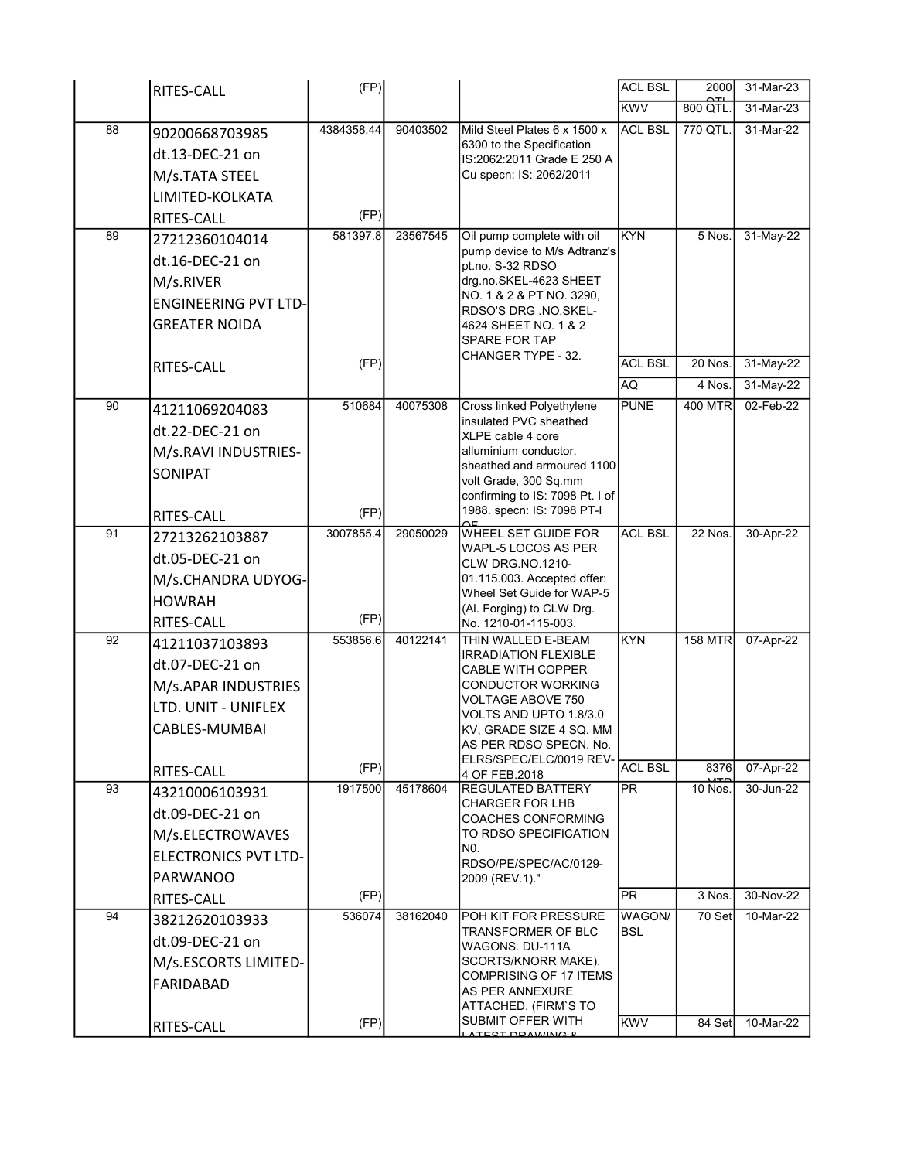|    | RITES-CALL                   | (FP)       |          |                                                          | <b>ACL BSL</b> | 2000           | 31-Mar-23    |
|----|------------------------------|------------|----------|----------------------------------------------------------|----------------|----------------|--------------|
|    |                              |            |          |                                                          | <b>KWV</b>     | 800 QTL.       | 31-Mar-23    |
| 88 | 90200668703985               | 4384358.44 | 90403502 | Mild Steel Plates 6 x 1500 x                             | <b>ACL BSL</b> | 770 QTL.       | $31$ -Mar-22 |
|    | dt.13-DEC-21 on              |            |          | 6300 to the Specification<br>IS:2062:2011 Grade E 250 A  |                |                |              |
|    | M/s.TATA STEEL               |            |          | Cu specn: IS: 2062/2011                                  |                |                |              |
|    | LIMITED-KOLKATA              |            |          |                                                          |                |                |              |
|    | RITES-CALL                   | (FP)       |          |                                                          |                |                |              |
| 89 | 27212360104014               | 581397.8   | 23567545 | Oil pump complete with oil                               | <b>KYN</b>     | $5$ Nos.       | 31-May-22    |
|    | dt.16-DEC-21 on              |            |          | pump device to M/s Adtranz's<br>pt.no. S-32 RDSO         |                |                |              |
|    | M/s.RIVER                    |            |          | drg.no.SKEL-4623 SHEET                                   |                |                |              |
|    | <b>ENGINEERING PVT LTD-</b>  |            |          | NO. 1 & 2 & PT NO. 3290,<br>RDSO'S DRG .NO.SKEL-         |                |                |              |
|    | <b>GREATER NOIDA</b>         |            |          | 4624 SHEET NO. 1 & 2                                     |                |                |              |
|    |                              |            |          | SPARE FOR TAP<br>CHANGER TYPE - 32.                      |                |                |              |
|    | RITES-CALL                   | (FP)       |          |                                                          | <b>ACL BSL</b> | 20 Nos.        | 31-May-22    |
|    |                              |            |          |                                                          | AQ             | 4 Nos.         | 31-May-22    |
| 90 | 41211069204083               | 510684     | 40075308 | Cross linked Polyethylene<br>insulated PVC sheathed      | <b>PUNE</b>    | <b>400 MTR</b> | 02-Feb-22    |
|    | dt.22-DEC-21 on              |            |          | XLPE cable 4 core                                        |                |                |              |
|    | M/s.RAVI INDUSTRIES-         |            |          | alluminium conductor,<br>sheathed and armoured 1100      |                |                |              |
|    | SONIPAT                      |            |          | volt Grade, 300 Sq.mm                                    |                |                |              |
|    |                              |            |          | confirming to IS: 7098 Pt. I of                          |                |                |              |
|    | RITES-CALL                   | (FP)       |          | 1988. specn: IS: 7098 PT-I                               |                |                |              |
| 91 | 27213262103887               | 3007855.4  | 29050029 | <b>WHEEL SET GUIDE FOR</b><br>WAPL-5 LOCOS AS PER        | <b>ACL BSL</b> | 22 Nos.        | 30-Apr-22    |
|    | dt.05-DEC-21 on              |            |          | <b>CLW DRG NO.1210-</b>                                  |                |                |              |
|    | M/s.CHANDRA UDYOG-           |            |          | 01.115.003. Accepted offer:<br>Wheel Set Guide for WAP-5 |                |                |              |
|    | <b>HOWRAH</b>                | (FP)       |          | (Al. Forging) to CLW Drg.                                |                |                |              |
| 92 | RITES-CALL                   | 553856.6   | 40122141 | No. 1210-01-115-003.<br>THIN WALLED E-BEAM               | <b>KYN</b>     | <b>158 MTR</b> | 07-Apr-22    |
|    | 41211037103893               |            |          | <b>IRRADIATION FLEXIBLE</b>                              |                |                |              |
|    | dt.07-DEC-21 on              |            |          | <b>CABLE WITH COPPER</b>                                 |                |                |              |
|    | M/s.APAR INDUSTRIES          |            |          | CONDUCTOR WORKING<br><b>VOLTAGE ABOVE 750</b>            |                |                |              |
|    | LTD. UNIT - UNIFLEX          |            |          | VOLTS AND UPTO 1.8/3.0                                   |                |                |              |
|    | CABLES-MUMBAI                |            |          | KV, GRADE SIZE 4 SQ. MM<br>AS PER RDSO SPECN. No.        |                |                |              |
|    |                              | (FP)       |          | ELRS/SPEC/ELC/0019 REV-                                  | <b>ACL BSL</b> | 8376           | 07-Apr-22    |
| 93 | RITES-CALL<br>43210006103931 | 1917500    | 45178604 | 4 OF FEB.2018<br><b>REGULATED BATTERY</b>                | PR.            | 10 Nos.        | 30-Jun-22    |
|    | dt.09-DEC-21 on              |            |          | <b>CHARGER FOR LHB</b>                                   |                |                |              |
|    | M/s.ELECTROWAVES             |            |          | <b>COACHES CONFORMING</b><br>TO RDSO SPECIFICATION       |                |                |              |
|    | <b>ELECTRONICS PVT LTD-</b>  |            |          | NO.                                                      |                |                |              |
|    | PARWANOO                     |            |          | RDSO/PE/SPEC/AC/0129-<br>2009 (REV.1)."                  |                |                |              |
|    | RITES-CALL                   | (FP)       |          |                                                          | PR             | 3 Nos.         | 30-Nov-22    |
| 94 | 38212620103933               | 536074     | 38162040 | POH KIT FOR PRESSURE                                     | <b>WAGON/</b>  | $70$ Set       | 10-Mar-22    |
|    | dt.09-DEC-21 on              |            |          | TRANSFORMER OF BLC                                       | <b>BSL</b>     |                |              |
|    | M/s.ESCORTS LIMITED-         |            |          | WAGONS. DU-111A<br>SCORTS/KNORR MAKE).                   |                |                |              |
|    | FARIDABAD                    |            |          | <b>COMPRISING OF 17 ITEMS</b>                            |                |                |              |
|    |                              |            |          | AS PER ANNEXURE<br>ATTACHED. (FIRM`S TO                  |                |                |              |
|    | RITES-CALL                   | (FP)       |          | <b>SUBMIT OFFER WITH</b>                                 | <b>KWV</b>     | 84 Set         | 10-Mar-22    |
|    |                              |            |          | ATEST DRAWING &                                          |                |                |              |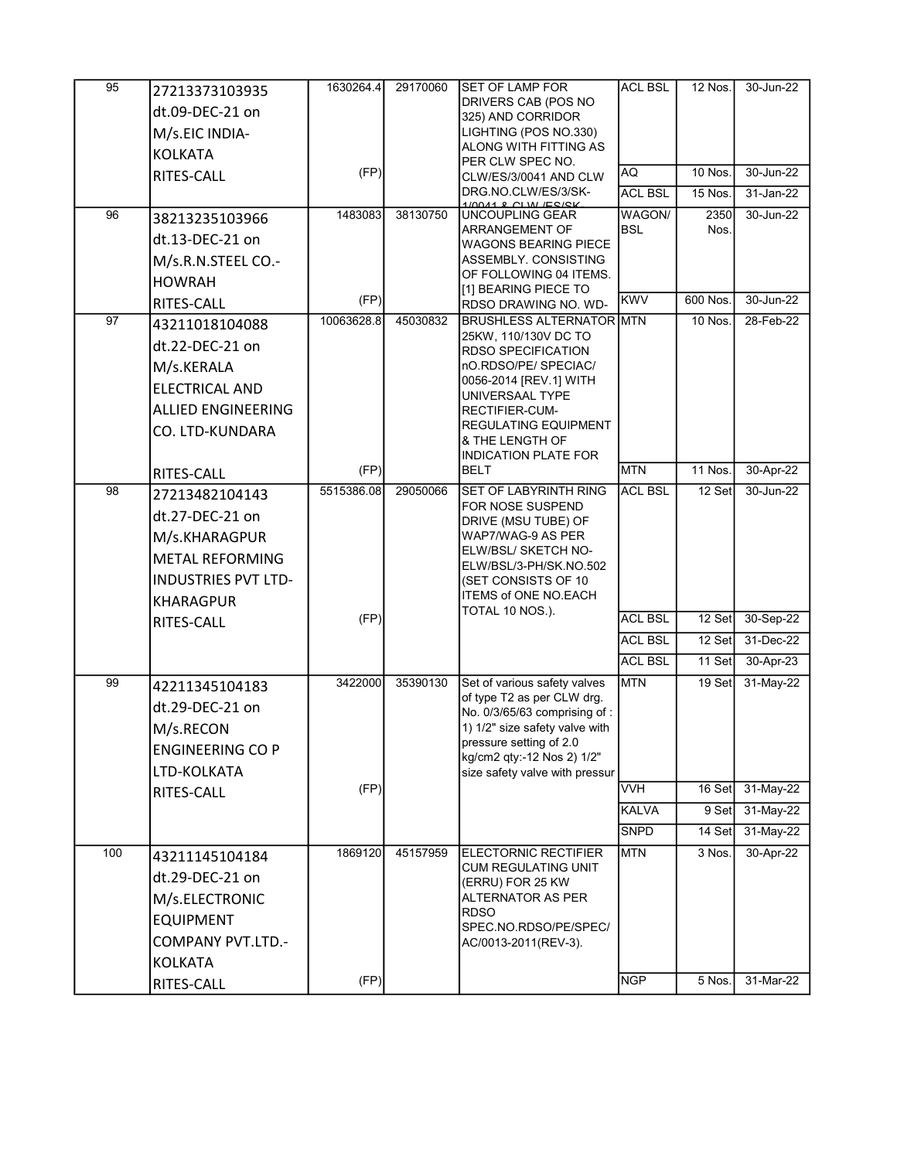| 95  | 27213373103935<br>dt.09-DEC-21 on<br>M/s.EIC INDIA-<br><b>KOLKATA</b>                                                               | 1630264.4       | 29170060 | <b>SET OF LAMP FOR</b><br>DRIVERS CAB (POS NO<br>325) AND CORRIDOR<br>LIGHTING (POS NO.330)<br>ALONG WITH FITTING AS                                                                                                                                         | <b>ACL BSL</b>           | 12 Nos.                   | 30-Jun-22              |
|-----|-------------------------------------------------------------------------------------------------------------------------------------|-----------------|----------|--------------------------------------------------------------------------------------------------------------------------------------------------------------------------------------------------------------------------------------------------------------|--------------------------|---------------------------|------------------------|
|     | RITES-CALL                                                                                                                          | (FP)            |          | PER CLW SPEC NO.<br>CLW/ES/3/0041 AND CLW<br>DRG.NO.CLW/ES/3/SK-                                                                                                                                                                                             | AQ<br><b>ACL BSL</b>     | <b>10 Nos.</b><br>15 Nos. | 30-Jun-22<br>31-Jan-22 |
| 96  | 38213235103966<br>dt.13-DEC-21 on<br>M/s.R.N.STEEL CO.-<br><b>HOWRAH</b>                                                            | 1483083         | 38130750 | <b>11 &amp; CIW ECKY</b><br><b>UNCOUPLING GEAR</b><br><b>ARRANGEMENT OF</b><br><b>WAGONS BEARING PIECE</b><br>ASSEMBLY. CONSISTING<br>OF FOLLOWING 04 ITEMS.<br>[1] BEARING PIECE TO                                                                         | WAGON/<br><b>BSL</b>     | 2350<br>Nos.              | 30-Jun-22              |
|     | RITES-CALL                                                                                                                          | (FP)            |          | RDSO DRAWING NO. WD-                                                                                                                                                                                                                                         | <b>KWV</b>               | 600 Nos.                  | 30-Jun-22              |
| 97  | 43211018104088<br>dt.22-DEC-21 on<br>M/s.KERALA<br><b>ELECTRICAL AND</b><br><b>ALLIED ENGINEERING</b><br>CO. LTD-KUNDARA            | 10063628.8      | 45030832 | <b>BRUSHLESS ALTERNATOR MTN</b><br>25KW, 110/130V DC TO<br><b>RDSO SPECIFICATION</b><br>nO.RDSO/PE/ SPECIAC/<br>0056-2014 [REV.1] WITH<br>UNIVERSAAL TYPE<br>RECTIFIER-CUM-<br><b>REGULATING EQUIPMENT</b><br>& THE LENGTH OF<br><b>INDICATION PLATE FOR</b> |                          | <b>10 Nos.</b>            | 28-Feb-22              |
|     | RITES-CALL                                                                                                                          | (FP)            |          | <b>BELT</b>                                                                                                                                                                                                                                                  | <b>MTN</b>               | 11 Nos.                   | 30-Apr-22              |
| 98  | 27213482104143<br>dt.27-DEC-21 on<br>M/s.KHARAGPUR<br><b>METAL REFORMING</b><br><b>INDUSTRIES PVT LTD-</b><br><b>KHARAGPUR</b>      | 5515386.08      | 29050066 | <b>SET OF LABYRINTH RING</b><br>FOR NOSE SUSPEND<br>DRIVE (MSU TUBE) OF<br>WAP7/WAG-9 AS PER<br>ELW/BSL/ SKETCH NO-<br>ELW/BSL/3-PH/SK.NO.502<br>(SET CONSISTS OF 10)<br><b>ITEMS of ONE NO.EACH</b>                                                         | <b>ACL BSL</b>           | 12 Set                    | 30-Jun-22              |
|     | RITES-CALL                                                                                                                          | (FP)            |          | TOTAL 10 NOS.).                                                                                                                                                                                                                                              | <b>ACL BSL</b>           | $12$ Set                  | 30-Sep-22              |
|     |                                                                                                                                     |                 |          |                                                                                                                                                                                                                                                              | <b>ACL BSL</b>           | 12 Set                    | 31-Dec-22              |
|     |                                                                                                                                     |                 |          |                                                                                                                                                                                                                                                              | <b>ACL BSL</b>           | 11 Set                    | 30-Apr-23              |
| 99  | 42211345104183<br>dt.29-DEC-21 on<br>M/s.RECON<br><b>ENGINEERING CO P</b><br>LTD-KOLKATA                                            | 3422000         | 35390130 | Set of various safety valves<br>of type T2 as per CLW drg.<br>No. 0/3/65/63 comprising of:<br>1) 1/2" size safety valve with<br>pressure setting of 2.0<br>kg/cm2 qty:-12 Nos 2) 1/2"<br>size safety valve with pressur                                      | <b>MTN</b>               | 19 Set                    | 31-May-22              |
|     | RITES-CALL                                                                                                                          | (FP)            |          |                                                                                                                                                                                                                                                              | <b>VVH</b>               | 16 Set                    | 31-May-22              |
|     |                                                                                                                                     |                 |          |                                                                                                                                                                                                                                                              | <b>KALVA</b>             | 9 Set                     | 31-May-22              |
|     |                                                                                                                                     |                 |          |                                                                                                                                                                                                                                                              | <b>SNPD</b>              | 14 Set                    | 31-May-22              |
| 100 | 43211145104184<br>dt.29-DEC-21 on<br>M/s.ELECTRONIC<br><b>EQUIPMENT</b><br><b>COMPANY PVT.LTD.-</b><br><b>KOLKATA</b><br>RITES-CALL | 1869120<br>(FP) | 45157959 | <b>ELECTORNIC RECTIFIER</b><br><b>CUM REGULATING UNIT</b><br>(ERRU) FOR 25 KW<br>ALTERNATOR AS PER<br><b>RDSO</b><br>SPEC.NO.RDSO/PE/SPEC/<br>AC/0013-2011(REV-3).                                                                                           | <b>MTN</b><br><b>NGP</b> | 3 Nos.<br>5 Nos.          | 30-Apr-22<br>31-Mar-22 |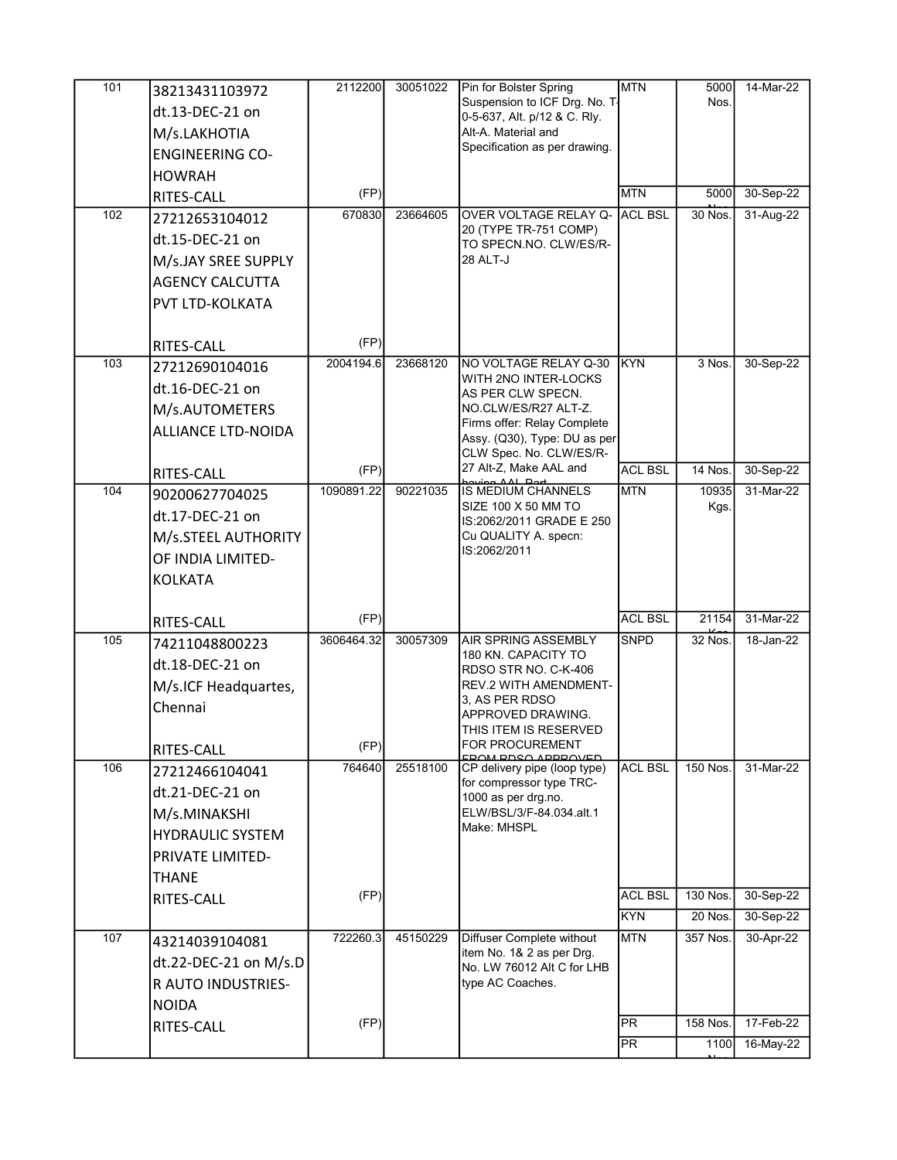| 101<br>102 | 38213431103972<br>dt.13-DEC-21 on<br>M/s.LAKHOTIA<br><b>ENGINEERING CO-</b><br><b>HOWRAH</b><br>RITES-CALL<br>27212653104012<br>dt.15-DEC-21 on<br>M/s.JAY SREE SUPPLY<br><b>AGENCY CALCUTTA</b><br>PVT LTD-KOLKATA<br>RITES-CALL | 2112200<br>(FP)<br>670830<br>(FP) | 30051022<br>23664605 | Pin for Bolster Spring<br>Suspension to ICF Drg. No. T-<br>0-5-637, Alt. p/12 & C. Rly.<br>Alt-A. Material and<br>Specification as per drawing.<br>OVER VOLTAGE RELAY Q-<br>20 (TYPE TR-751 COMP)<br>TO SPECN.NO. CLW/ES/R-<br>28 ALT-J | <b>IMTN</b><br><b>MTN</b><br><b>ACL BSL</b> | 5000<br>Nos.<br>5000<br>30 Nos. | 14-Mar-22<br>30-Sep-22<br>31-Aug-22 |
|------------|-----------------------------------------------------------------------------------------------------------------------------------------------------------------------------------------------------------------------------------|-----------------------------------|----------------------|-----------------------------------------------------------------------------------------------------------------------------------------------------------------------------------------------------------------------------------------|---------------------------------------------|---------------------------------|-------------------------------------|
| 103        | 27212690104016<br>dt.16-DEC-21 on<br>M/s.AUTOMETERS<br><b>ALLIANCE LTD-NOIDA</b>                                                                                                                                                  | 2004194.6                         | 23668120             | NO VOLTAGE RELAY Q-30<br>WITH 2NO INTER-LOCKS<br>AS PER CLW SPECN.<br>NO.CLW/ES/R27 ALT-Z.<br>Firms offer: Relay Complete<br>Assy. (Q30), Type: DU as per<br>CLW Spec. No. CLW/ES/R-<br>27 Alt-Z, Make AAL and                          | <b>IKYN</b>                                 | 3 Nos.                          | 30-Sep-22                           |
| 104        | RITES-CALL<br>90200627704025<br>dt.17-DEC-21 on<br>M/s.STEEL AUTHORITY<br>OF INDIA LIMITED-<br><b>KOLKATA</b>                                                                                                                     | (FP)<br>1090891.22                | 90221035             | <b>Doving AAL Port</b><br>IS MEDIUM CHANNELS<br>SIZE 100 X 50 MM TO<br>IS:2062/2011 GRADE E 250<br>Cu QUALITY A. specn:<br>IS:2062/2011                                                                                                 | <b>ACL BSL</b><br><b>MTN</b>                | 14 Nos.<br>10935<br>Kgs.        | 30-Sep-22<br>31-Mar-22              |
|            | RITES-CALL                                                                                                                                                                                                                        | (FP)                              |                      |                                                                                                                                                                                                                                         | <b>ACL BSL</b>                              | 21154                           | 31-Mar-22                           |
| 105        | 74211048800223<br>dt.18-DEC-21 on<br>M/s.ICF Headquartes,<br>Chennai<br>RITES-CALL                                                                                                                                                | 3606464.32<br>(FP)                | 30057309             | AIR SPRING ASSEMBLY<br>180 KN. CAPACITY TO<br>RDSO STR NO. C-K-406<br><b>REV.2 WITH AMENDMENT-</b><br>3, AS PER RDSO<br>APPROVED DRAWING.<br>THIS ITEM IS RESERVED<br><b>FOR PROCUREMENT</b><br><b>DDSQ ADDDQVED</b>                    | <b>SNPD</b>                                 | 32 Nos.                         | 18-Jan-22                           |
| 106        | 27212466104041<br>dt.21-DEC-21 on<br>M/s.MINAKSHI<br><b>HYDRAULIC SYSTEM</b><br><b>PRIVATE LIMITED-</b><br><b>THANE</b><br><b>RITES-CALL</b>                                                                                      | 764640<br>(FP)                    | 25518100             | CP delivery pipe (loop type)<br>for compressor type TRC-<br>1000 as per drg.no.<br>ELW/BSL/3/F-84.034.alt.1<br>Make: MHSPL                                                                                                              | <b>ACL BSL</b><br><b>ACL BSL</b><br>KYN     | 150 Nos.<br>130 Nos.<br>20 Nos. | 31-Mar-22<br>30-Sep-22<br>30-Sep-22 |
| 107        | 43214039104081<br>dt.22-DEC-21 on M/s.D<br>R AUTO INDUSTRIES-<br><b>NOIDA</b>                                                                                                                                                     | 722260.3                          | 45150229             | Diffuser Complete without<br>item No. 1& 2 as per Drg.<br>No. LW 76012 Alt C for LHB<br>type AC Coaches.                                                                                                                                | <b>MTN</b>                                  | 357 Nos.                        | 30-Apr-22                           |
|            | RITES-CALL                                                                                                                                                                                                                        | (FP)                              |                      |                                                                                                                                                                                                                                         | <b>PR</b><br>IPR.                           | 158 Nos.<br>1100                | 17-Feb-22<br>16-May-22              |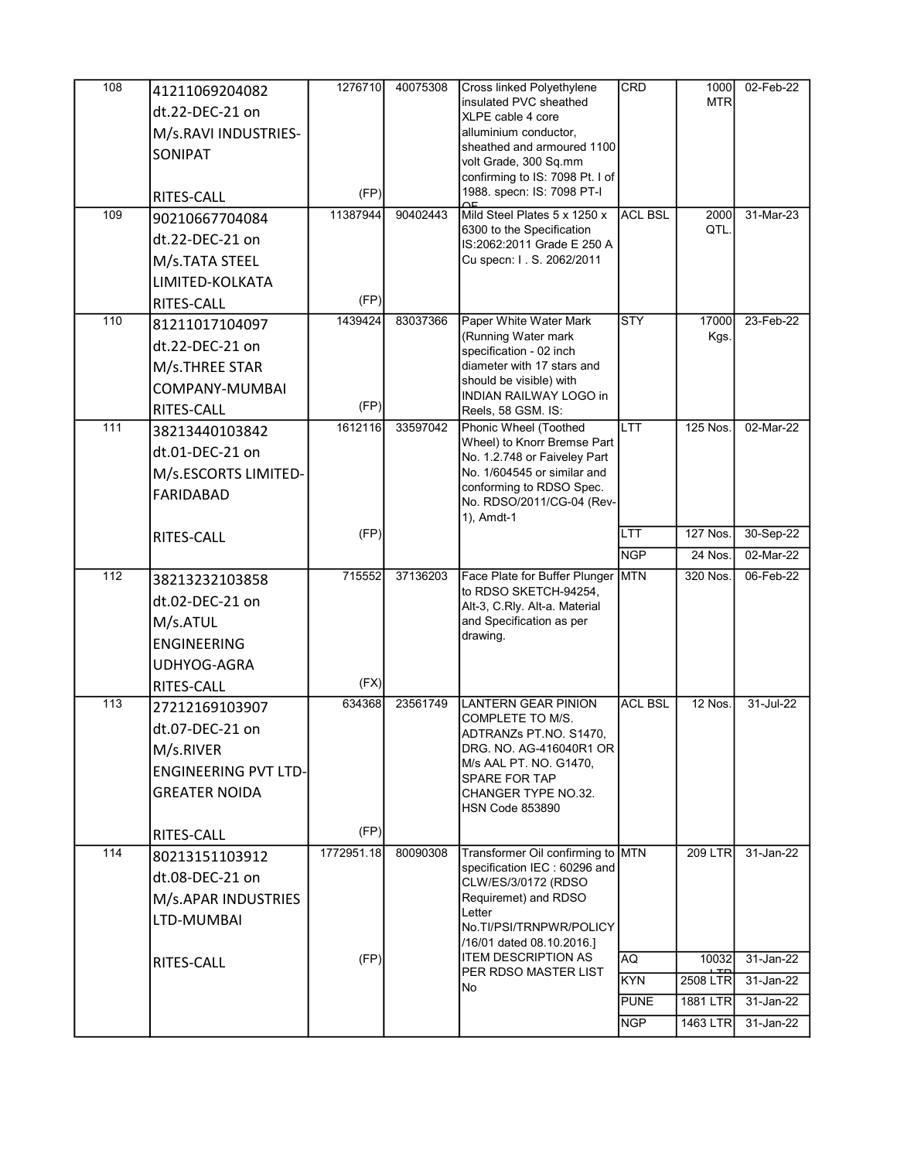| 108<br>109      | 41211069204082<br>dt.22-DEC-21 on<br>M/s.RAVI INDUSTRIES-<br>SONIPAT<br>RITES-CALL<br>90210667704084<br>dt.22-DEC-21 on<br>M/s.TATA STEEL<br>LIMITED-KOLKATA<br>RITES-CALL | 1276710<br>(FP)<br>11387944<br>(FP) | 40075308<br>90402443 | Cross linked Polyethylene<br>insulated PVC sheathed<br>XLPE cable 4 core<br>alluminium conductor,<br>sheathed and armoured 1100<br>volt Grade, 300 Sq.mm<br>confirming to IS: 7098 Pt. I of<br>1988. specn: IS: 7098 PT-I<br>$\overline{a}$<br>Mild Steel Plates 5 x 1250 x<br>6300 to the Specification<br>IS:2062:2011 Grade E 250 A<br>Cu specn: I. S. 2062/2011 | <b>CRD</b><br><b>ACL BSL</b>            | 1000<br><b>MTR</b><br>2000<br>QTL. | 02-Feb-22<br>31-Mar-23              |
|-----------------|----------------------------------------------------------------------------------------------------------------------------------------------------------------------------|-------------------------------------|----------------------|---------------------------------------------------------------------------------------------------------------------------------------------------------------------------------------------------------------------------------------------------------------------------------------------------------------------------------------------------------------------|-----------------------------------------|------------------------------------|-------------------------------------|
| 110             | 81211017104097<br>dt.22-DEC-21 on<br>M/s.THREE STAR<br><b>COMPANY-MUMBAI</b><br>RITES-CALL                                                                                 | 1439424<br>(FP)                     | 83037366             | Paper White Water Mark<br>(Running Water mark<br>specification - 02 inch<br>diameter with 17 stars and<br>should be visible) with<br><b>INDIAN RAILWAY LOGO in</b><br>Reels, 58 GSM. IS:                                                                                                                                                                            | <b>STY</b>                              | 17000<br>Kgs.                      | 23-Feb-22                           |
| 111             | 38213440103842<br>dt.01-DEC-21 on<br>M/s.ESCORTS LIMITED-<br>FARIDABAD                                                                                                     | 1612116                             | 33597042             | Phonic Wheel (Toothed<br>Wheel) to Knorr Bremse Part<br>No. 1.2.748 or Faiveley Part<br>No. 1/604545 or similar and<br>conforming to RDSO Spec.<br>No. RDSO/2011/CG-04 (Rev-<br>1), Amdt-1                                                                                                                                                                          | <b>LTT</b>                              | 125 Nos.                           | 02-Mar-22                           |
|                 | RITES-CALL                                                                                                                                                                 | (FP)                                |                      |                                                                                                                                                                                                                                                                                                                                                                     | LTT<br><b>NGP</b>                       | 127 Nos.<br>24 Nos.                | 30-Sep-22<br>02-Mar-22              |
| $\frac{112}{2}$ | 38213232103858<br>dt.02-DEC-21 on<br>M/s.ATUL<br><b>ENGINEERING</b><br>UDHYOG-AGRA<br><b>RITES-CALL</b>                                                                    | 715552<br>(FX)                      | 37136203             | Face Plate for Buffer Plunger MTN<br>to RDSO SKETCH-94254,<br>Alt-3, C.Rly. Alt-a. Material<br>and Specification as per<br>drawing.                                                                                                                                                                                                                                 |                                         | 320 Nos.                           | 06-Feb-22                           |
| 113             | 27212169103907<br>dt.07-DEC-21 on<br>M/s.RIVER<br><b>ENGINEERING PVT LTD-</b><br><b>GREATER NOIDA</b>                                                                      | 634368                              | 23561749             | LANTERN GEAR PINION<br>COMPLETE TO M/S.<br>ADTRANZs PT.NO. S1470,<br>DRG. NO. AG-416040R1 OR<br>M/s AAL PT. NO. G1470,<br><b>SPARE FOR TAP</b><br>CHANGER TYPE NO.32.<br><b>HSN Code 853890</b>                                                                                                                                                                     | <b>ACL BSL</b>                          | 12 Nos.                            | 31-Jul-22                           |
| 114             | <b>RITES-CALL</b><br>80213151103912<br>dt.08-DEC-21 on<br>M/s.APAR INDUSTRIES<br>LTD-MUMBAI<br>RITES-CALL                                                                  | (FP)<br>1772951.18<br>(FP)          | 80090308             | Transformer Oil confirming to MTN<br>specification IEC: 60296 and<br>CLW/ES/3/0172 (RDSO<br>Requiremet) and RDSO<br>Letter<br>No.TI/PSI/TRNPWR/POLICY<br>/16/01 dated 08.10.2016.]<br><b>ITEM DESCRIPTION AS</b><br>PER RDSO MASTER LIST                                                                                                                            | AQ                                      | 209 LTR<br>10032                   | 31-Jan-22<br>31-Jan-22              |
|                 |                                                                                                                                                                            |                                     |                      | No                                                                                                                                                                                                                                                                                                                                                                  | <b>KYN</b><br><b>PUNE</b><br><b>NGP</b> | 2508 LTR<br>1881 LTR<br>1463 LTR   | 31-Jan-22<br>31-Jan-22<br>31-Jan-22 |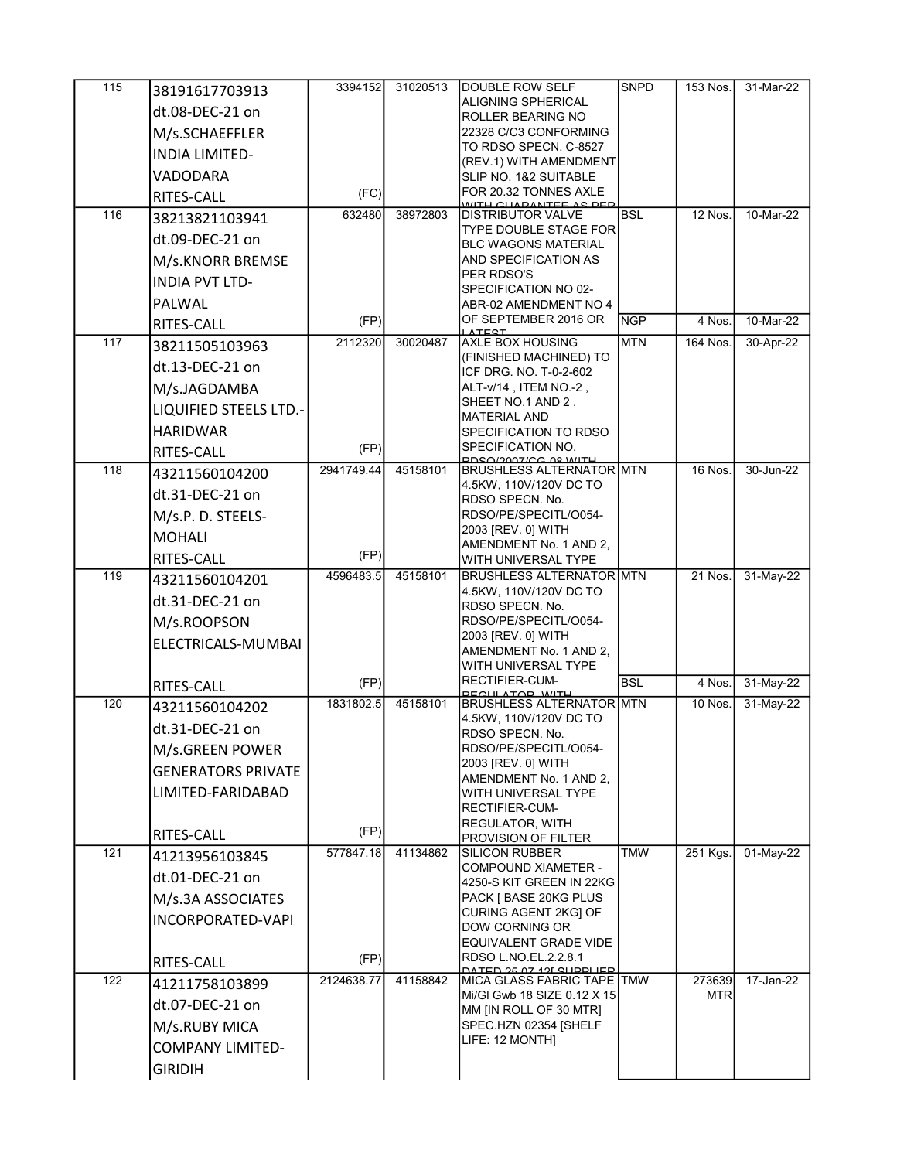| 115 | 38191617703913                | 3394152    | 31020513 | <b>DOUBLE ROW SELF</b>                                         | <b>SNPD</b> | 153 Nos.             | 31-Mar-22    |
|-----|-------------------------------|------------|----------|----------------------------------------------------------------|-------------|----------------------|--------------|
|     | dt.08-DEC-21 on               |            |          | ALIGNING SPHERICAL                                             |             |                      |              |
|     | M/s.SCHAEFFLER                |            |          | ROLLER BEARING NO<br>22328 C/C3 CONFORMING                     |             |                      |              |
|     | <b>INDIA LIMITED-</b>         |            |          | TO RDSO SPECN. C-8527                                          |             |                      |              |
|     |                               |            |          | (REV.1) WITH AMENDMENT                                         |             |                      |              |
|     | VADODARA                      |            |          | SLIP NO. 1&2 SUITABLE<br>FOR 20.32 TONNES AXLE                 |             |                      |              |
|     | RITES-CALL                    | (FC)       |          | <u>MITH CHADANTEE AS DED</u>                                   |             |                      |              |
| 116 | 38213821103941                | 632480     | 38972803 | <b>DISTRIBUTOR VALVE</b><br><b>TYPE DOUBLE STAGE FOR</b>       | <b>BSL</b>  | 12 Nos.              | 10-Mar-22    |
|     | dt.09-DEC-21 on               |            |          | <b>BLC WAGONS MATERIAL</b>                                     |             |                      |              |
|     | M/s.KNORR BREMSE              |            |          | AND SPECIFICATION AS                                           |             |                      |              |
|     | <b>INDIA PVT LTD-</b>         |            |          | PER RDSO'S<br>SPECIFICATION NO 02-                             |             |                      |              |
|     | PALWAL                        |            |          | ABR-02 AMENDMENT NO 4                                          |             |                      |              |
|     | RITES-CALL                    | (FP)       |          | OF SEPTEMBER 2016 OR<br><b>ATEST</b>                           | <b>NGP</b>  | 4 Nos.               | 10-Mar-22    |
| 117 | 38211505103963                | 2112320    | 30020487 | <b>AXLE BOX HOUSING</b>                                        | <b>MTN</b>  | 164 Nos.             | 30-Apr-22    |
|     | dt.13-DEC-21 on               |            |          | (FINISHED MACHINED) TO                                         |             |                      |              |
|     | M/s.JAGDAMBA                  |            |          | ICF DRG. NO. T-0-2-602<br>ALT-v/14, ITEM NO.-2,                |             |                      |              |
|     | <b>LIQUIFIED STEELS LTD.-</b> |            |          | SHEET NO.1 AND 2.                                              |             |                      |              |
|     | <b>HARIDWAR</b>               |            |          | <b>MATERIAL AND</b><br><b>SPECIFICATION TO RDSO</b>            |             |                      |              |
|     | <b>RITES-CALL</b>             | (FP)       |          | SPECIFICATION NO.                                              |             |                      |              |
| 118 |                               | 2941749.44 | 45158101 | <b>DOCOLOGAZICC AS WITH</b><br><b>BRUSHLESS ALTERNATOR MTN</b> |             | $16$ Nos.            | 30-Jun-22    |
|     | 43211560104200                |            |          | 4.5KW, 110V/120V DC TO                                         |             |                      |              |
|     | dt.31-DEC-21 on               |            |          | RDSO SPECN. No.                                                |             |                      |              |
|     | M/s.P. D. STEELS-             |            |          | RDSO/PE/SPECITL/O054-<br>2003 [REV. 0] WITH                    |             |                      |              |
|     | <b>MOHALI</b>                 |            |          | AMENDMENT No. 1 AND 2,                                         |             |                      |              |
|     | RITES-CALL                    | (FP)       |          | WITH UNIVERSAL TYPE                                            |             |                      |              |
| 119 | 43211560104201                | 4596483.5  | 45158101 | <b>BRUSHLESS ALTERNATOR MTN</b><br>4.5KW, 110V/120V DC TO      |             | 21 Nos.              | 31-May-22    |
|     | dt.31-DEC-21 on               |            |          | RDSO SPECN. No.                                                |             |                      |              |
|     | M/s.ROOPSON                   |            |          | RDSO/PE/SPECITL/O054-                                          |             |                      |              |
|     | ELECTRICALS-MUMBAI            |            |          | 2003 [REV. 0] WITH<br>AMENDMENT No. 1 AND 2.                   |             |                      |              |
|     |                               |            |          | WITH UNIVERSAL TYPE                                            |             |                      |              |
|     | <b>RITES-CALL</b>             | (FP)       |          | <b>RECTIFIER-CUM-</b>                                          | <b>BSL</b>  | 4 Nos.               | 31-May-22    |
| 120 | 43211560104202                | 1831802.5  | 45158101 | <b>DECULATOD MUTH</b><br><b>BRUSHLESS ALTERNATOR MTN</b>       |             | 10 Nos.              | 31-May-22    |
|     | dt.31-DEC-21 on               |            |          | 4.5KW, 110V/120V DC TO<br>RDSO SPECN. No.                      |             |                      |              |
|     | M/s.GREEN POWER               |            |          | RDSO/PE/SPECITL/O054-                                          |             |                      |              |
|     | <b>GENERATORS PRIVATE</b>     |            |          | 2003 [REV. 0] WITH                                             |             |                      |              |
|     | LIMITED-FARIDABAD             |            |          | AMENDMENT No. 1 AND 2,<br>WITH UNIVERSAL TYPE                  |             |                      |              |
|     |                               |            |          | RECTIFIER-CUM-                                                 |             |                      |              |
|     |                               | (FP)       |          | <b>REGULATOR, WITH</b>                                         |             |                      |              |
| 121 | <b>RITES-CALL</b>             | 577847.18  | 41134862 | PROVISION OF FILTER<br><b>SILICON RUBBER</b>                   | <b>TMW</b>  | 251 Kgs.             | $01$ -May-22 |
|     | 41213956103845                |            |          | <b>COMPOUND XIAMETER -</b>                                     |             |                      |              |
|     | dt.01-DEC-21 on               |            |          | 4250-S KIT GREEN IN 22KG                                       |             |                      |              |
|     | M/s.3A ASSOCIATES             |            |          | PACK [ BASE 20KG PLUS<br>CURING AGENT 2KG] OF                  |             |                      |              |
|     | <b>INCORPORATED-VAPI</b>      |            |          | <b>DOW CORNING OR</b>                                          |             |                      |              |
|     |                               |            |          | EQUIVALENT GRADE VIDE                                          |             |                      |              |
|     | RITES-CALL                    | (FP)       |          | RDSO L.NO.EL.2.2.8.1<br><u>כםו וממוויס זמי למ אמרים:</u>       |             |                      |              |
| 122 | 41211758103899                | 2124638.77 | 41158842 | MICA GLASS FABRIC TAPE TMW<br>Mi/GI Gwb 18 SIZE 0.12 X 15      |             | 273639<br><b>MTR</b> | 17-Jan-22    |
|     | dt.07-DEC-21 on               |            |          | MM [IN ROLL OF 30 MTR]                                         |             |                      |              |
|     | M/s.RUBY MICA                 |            |          | SPEC.HZN 02354 [SHELF                                          |             |                      |              |
|     | <b>COMPANY LIMITED-</b>       |            |          | LIFE: 12 MONTH]                                                |             |                      |              |
|     | <b>GIRIDIH</b>                |            |          |                                                                |             |                      |              |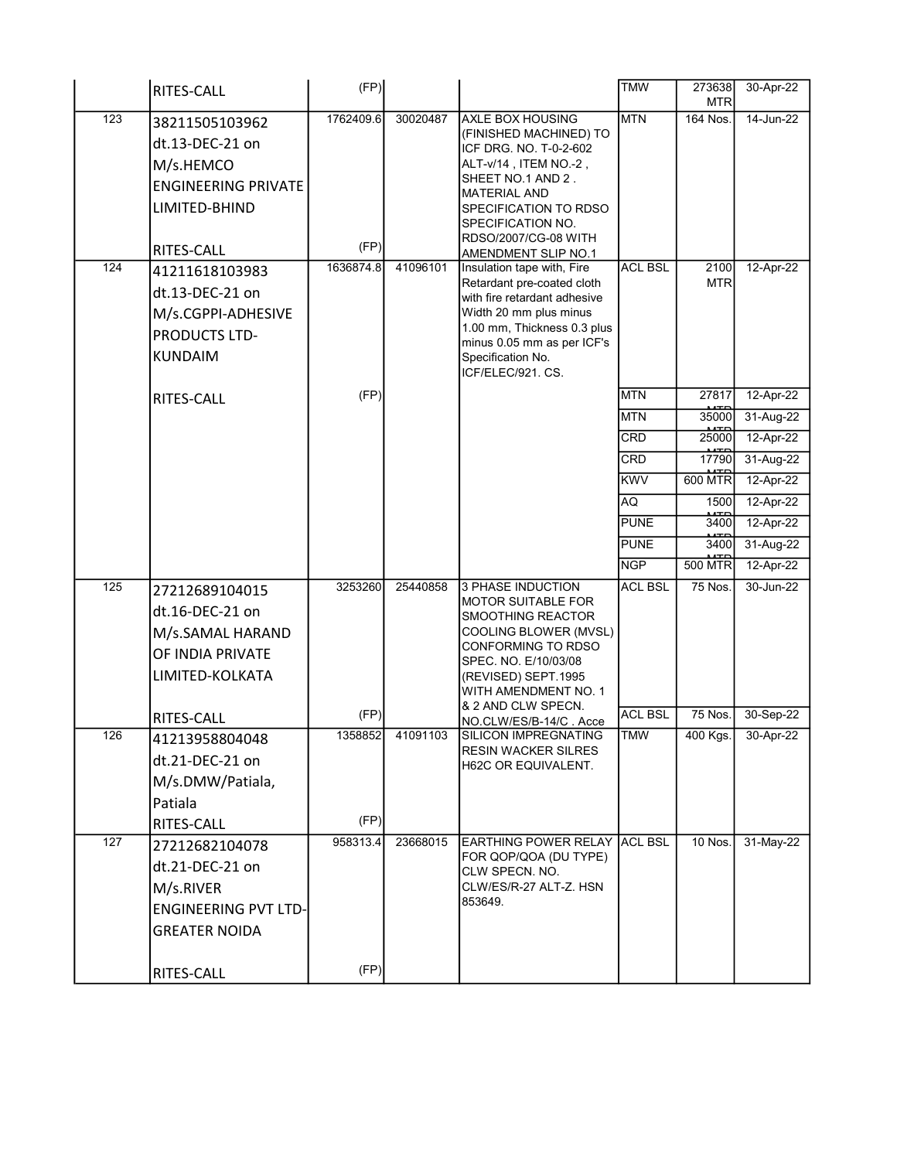|     | <b>RITES-CALL</b>                                                                                                  | (FP)              |          |                                                                                                                                                                                                                                                      | <b>TMW</b>        | 273638<br><b>MTR</b> | 30-Apr-22              |
|-----|--------------------------------------------------------------------------------------------------------------------|-------------------|----------|------------------------------------------------------------------------------------------------------------------------------------------------------------------------------------------------------------------------------------------------------|-------------------|----------------------|------------------------|
| 123 | 38211505103962<br>dt.13-DEC-21 on<br>M/s.HEMCO<br><b>ENGINEERING PRIVATE</b><br>LIMITED-BHIND<br><b>RITES-CALL</b> | 1762409.6<br>(FP) | 30020487 | <b>AXLE BOX HOUSING</b><br>(FINISHED MACHINED) TO<br>ICF DRG. NO. T-0-2-602<br>ALT-v/14, ITEM NO.-2,<br>SHEET NO.1 AND 2.<br><b>MATERIAL AND</b><br><b>SPECIFICATION TO RDSO</b><br>SPECIFICATION NO.<br>RDSO/2007/CG-08 WITH<br>AMENDMENT SLIP NO.1 | <b>MTN</b>        | 164 Nos.             | 14-Jun-22              |
| 124 | 41211618103983<br>dt.13-DEC-21 on<br>M/s.CGPPI-ADHESIVE<br><b>PRODUCTS LTD-</b><br>KUNDAIM                         | 1636874.8         | 41096101 | Insulation tape with, Fire<br>Retardant pre-coated cloth<br>with fire retardant adhesive<br>Width 20 mm plus minus<br>1.00 mm, Thickness 0.3 plus<br>minus 0.05 mm as per ICF's<br>Specification No.<br>ICF/ELEC/921. CS.                            | <b>ACL BSL</b>    | 2100<br><b>MTR</b>   | 12-Apr-22              |
|     | <b>RITES-CALL</b>                                                                                                  | (FP)              |          |                                                                                                                                                                                                                                                      | <b>MTN</b>        | 27817<br>35000       | 12-Apr-22              |
|     |                                                                                                                    |                   |          |                                                                                                                                                                                                                                                      | <b>MTN</b><br>CRD | 25000                | 31-Aug-22<br>12-Apr-22 |
|     |                                                                                                                    |                   |          |                                                                                                                                                                                                                                                      | <b>CRD</b>        | 17790                | 31-Aug-22              |
|     |                                                                                                                    |                   |          |                                                                                                                                                                                                                                                      | <b>KWV</b>        | <b>600 MTR</b>       | 12-Apr-22              |
|     |                                                                                                                    |                   |          |                                                                                                                                                                                                                                                      | AQ                | 1500                 | 12-Apr-22              |
|     |                                                                                                                    |                   |          |                                                                                                                                                                                                                                                      | <b>PUNE</b>       | 3400                 | 12-Apr-22              |
|     |                                                                                                                    |                   |          |                                                                                                                                                                                                                                                      | <b>PUNE</b>       | 3400                 | 31-Aug-22              |
|     |                                                                                                                    |                   |          |                                                                                                                                                                                                                                                      | <b>NGP</b>        | <b>500 MTR</b>       | 12-Apr-22              |
| 125 | 27212689104015<br>dt.16-DEC-21 on<br>M/s.SAMAL HARAND<br>OF INDIA PRIVATE<br>LIMITED-KOLKATA                       | 3253260           | 25440858 | 3 PHASE INDUCTION<br><b>MOTOR SUITABLE FOR</b><br>SMOOTHING REACTOR<br>COOLING BLOWER (MVSL)<br><b>CONFORMING TO RDSO</b><br>SPEC. NO. E/10/03/08<br>(REVISED) SEPT.1995<br>WITH AMENDMENT NO. 1<br>& 2 AND CLW SPECN.                               | <b>ACL BSL</b>    | 75 Nos.              | 30-Jun-22              |
|     | <b>RITES-CALL</b>                                                                                                  | (FP)              |          | NO.CLW/ES/B-14/C. Acce                                                                                                                                                                                                                               | <b>ACL BSL</b>    | 75 Nos.              | 30-Sep-22              |
| 126 | 41213958804048<br>dt.21-DEC-21 on<br>M/s.DMW/Patiala,<br>Patiala                                                   | 1358852           | 41091103 | SILICON IMPREGNATING<br><b>RESIN WACKER SILRES</b><br>H62C OR EQUIVALENT.                                                                                                                                                                            | <b>TMW</b>        | 400 Kgs.             | $30-Apr-22$            |
|     | RITES-CALL                                                                                                         | (FP)              |          |                                                                                                                                                                                                                                                      |                   |                      |                        |
| 127 | 27212682104078<br>dt.21-DEC-21 on<br>M/s.RIVER<br>ENGINEERING PVT LTD-<br><b>GREATER NOIDA</b>                     | 958313.4          | 23668015 | EARTHING POWER RELAY ACL BSL<br>FOR QOP/QOA (DU TYPE)<br>CLW SPECN, NO.<br>CLW/ES/R-27 ALT-Z. HSN<br>853649.                                                                                                                                         |                   | 10 Nos.              | 31-May-22              |
|     | <b>RITES-CALL</b>                                                                                                  | (FP)              |          |                                                                                                                                                                                                                                                      |                   |                      |                        |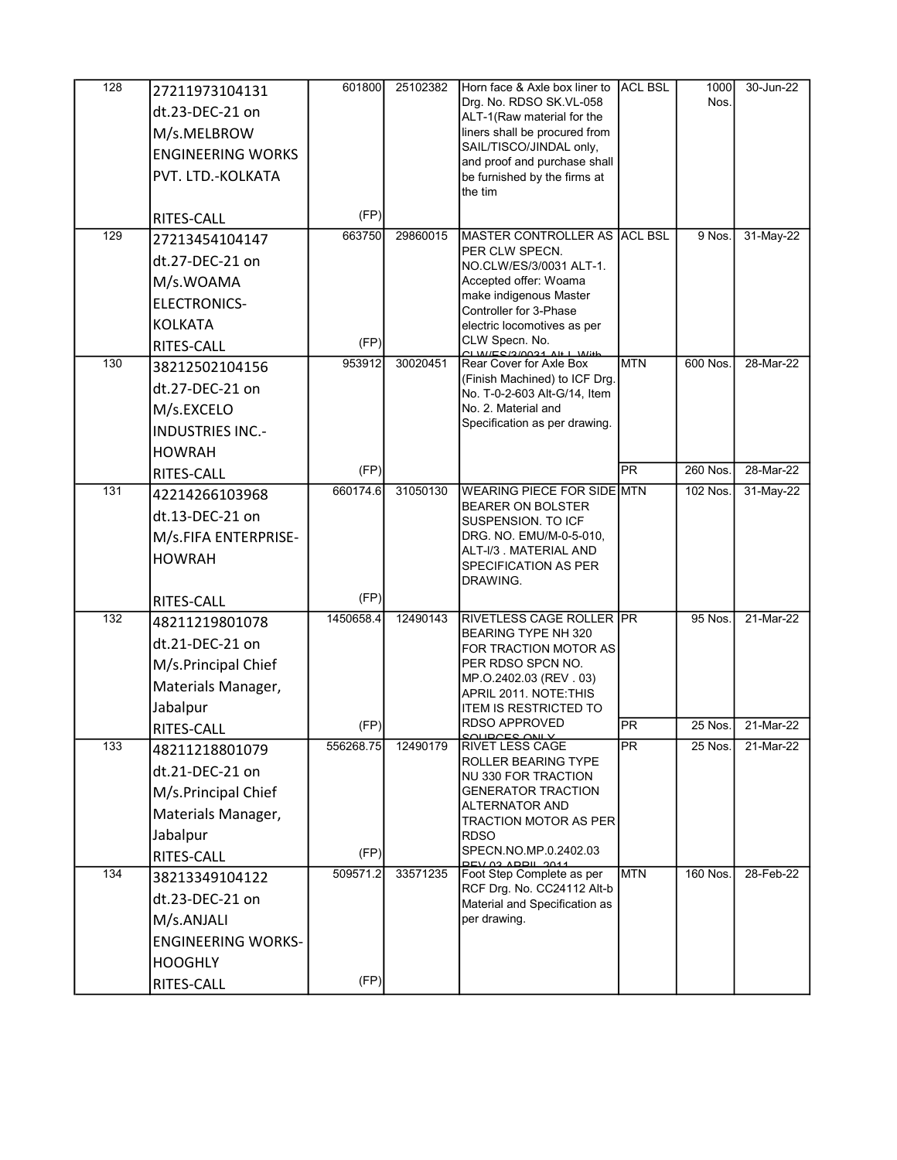| 128              | 27211973104131<br>dt.23-DEC-21 on<br>M/s.MELBROW<br><b>ENGINEERING WORKS</b><br>PVT. LTD.-KOLKATA<br>RITES-CALL | 601800<br>(FP)    | 25102382 | Horn face & Axle box liner to<br>Drg. No. RDSO SK.VL-058<br>ALT-1(Raw material for the<br>liners shall be procured from<br>SAIL/TISCO/JINDAL only,<br>and proof and purchase shall<br>be furnished by the firms at<br>the tim | <b>ACL BSL</b>          | 1000<br>Nos.         | 30-Jun-22              |
|------------------|-----------------------------------------------------------------------------------------------------------------|-------------------|----------|-------------------------------------------------------------------------------------------------------------------------------------------------------------------------------------------------------------------------------|-------------------------|----------------------|------------------------|
| 129              | 27213454104147<br>dt.27-DEC-21 on                                                                               | 663750            | 29860015 | <b>MASTER CONTROLLER AS ACL BSL</b><br>PER CLW SPECN.<br>NO.CLW/ES/3/0031 ALT-1.                                                                                                                                              |                         | 9 Nos.               | 31-May-22              |
|                  | M/s.WOAMA<br>ELECTRONICS-<br><b>KOLKATA</b><br>RITES-CALL                                                       | (FP)              |          | Accepted offer: Woama<br>make indigenous Master<br>Controller for 3-Phase<br>electric locomotives as per<br>CLW Specn. No.                                                                                                    |                         |                      |                        |
| 130              | 38212502104156<br>dt.27-DEC-21 on<br>M/s.EXCELO<br><b>INDUSTRIES INC.-</b><br><b>HOWRAH</b>                     | 953912<br>(FP)    | 30020451 | $C11$ $N/EC/2$ $I0024$ $Al+1$ $Mith$<br>Rear Cover for Axle Box<br>(Finish Machined) to ICF Drg.<br>No. T-0-2-603 Alt-G/14, Item<br>No. 2. Material and<br>Specification as per drawing.                                      | <b>MTN</b><br><b>PR</b> | 600 Nos.<br>260 Nos. | 28-Mar-22<br>28-Mar-22 |
| 131              | <b>RITES-CALL</b><br>42214266103968<br>dt.13-DEC-21 on<br>M/s.FIFA ENTERPRISE-<br><b>HOWRAH</b>                 | 660174.6          | 31050130 | WEARING PIECE FOR SIDE MTN<br><b>BEARER ON BOLSTER</b><br>SUSPENSION. TO ICF<br>DRG. NO. EMU/M-0-5-010,<br>ALT-I/3 . MATERIAL AND<br><b>SPECIFICATION AS PER</b><br>DRAWING.                                                  |                         | 102 Nos.             | 31-May-22              |
| $\overline{132}$ | RITES-CALL<br>48211219801078<br>dt.21-DEC-21 on<br>M/s.Principal Chief<br>Materials Manager,<br>Jabalpur        | (FP)<br>1450658.4 | 12490143 | RIVETLESS CAGE ROLLER PR<br><b>BEARING TYPE NH 320</b><br>FOR TRACTION MOTOR AS<br>PER RDSO SPCN NO.<br>MP.O.2402.03 (REV . 03)<br>APRIL 2011. NOTE THIS<br><b>ITEM IS RESTRICTED TO</b>                                      |                         | 95 Nos.              | 21-Mar-22              |
| 133              | <b>RITES-CALL</b><br>48211218801079<br>dt.21-DEC-21 on<br>M/s.Principal Chief<br>Materials Manager,             | (FP)<br>556268.75 | 12490179 | <b>RDSO APPROVED</b><br>RIVET LESS CAGE<br>ROLLER BEARING TYPE<br>NU 330 FOR TRACTION<br><b>GENERATOR TRACTION</b><br><b>ALTERNATOR AND</b><br><b>TRACTION MOTOR AS PER</b>                                                   | PR<br>PR                | $25$ Nos.<br>25 Nos. | 21-Mar-22<br>21-Mar-22 |
| 134              | Jabalpur<br>RITES-CALL<br>38213349104122                                                                        | (FP)<br>509571.2  | 33571235 | <b>RDSO</b><br>SPECN.NO.MP.0.2402.03<br><b>PEV Q3 ADDIL 2011</b><br>Foot Step Complete as per                                                                                                                                 | <b>MTN</b>              | 160 Nos.             | 28-Feb-22              |
|                  | dt.23-DEC-21 on<br>M/s.ANJALI<br><b>ENGINEERING WORKS-</b><br><b>HOOGHLY</b><br>RITES-CALL                      | (FP)              |          | RCF Drg. No. CC24112 Alt-b<br>Material and Specification as<br>per drawing.                                                                                                                                                   |                         |                      |                        |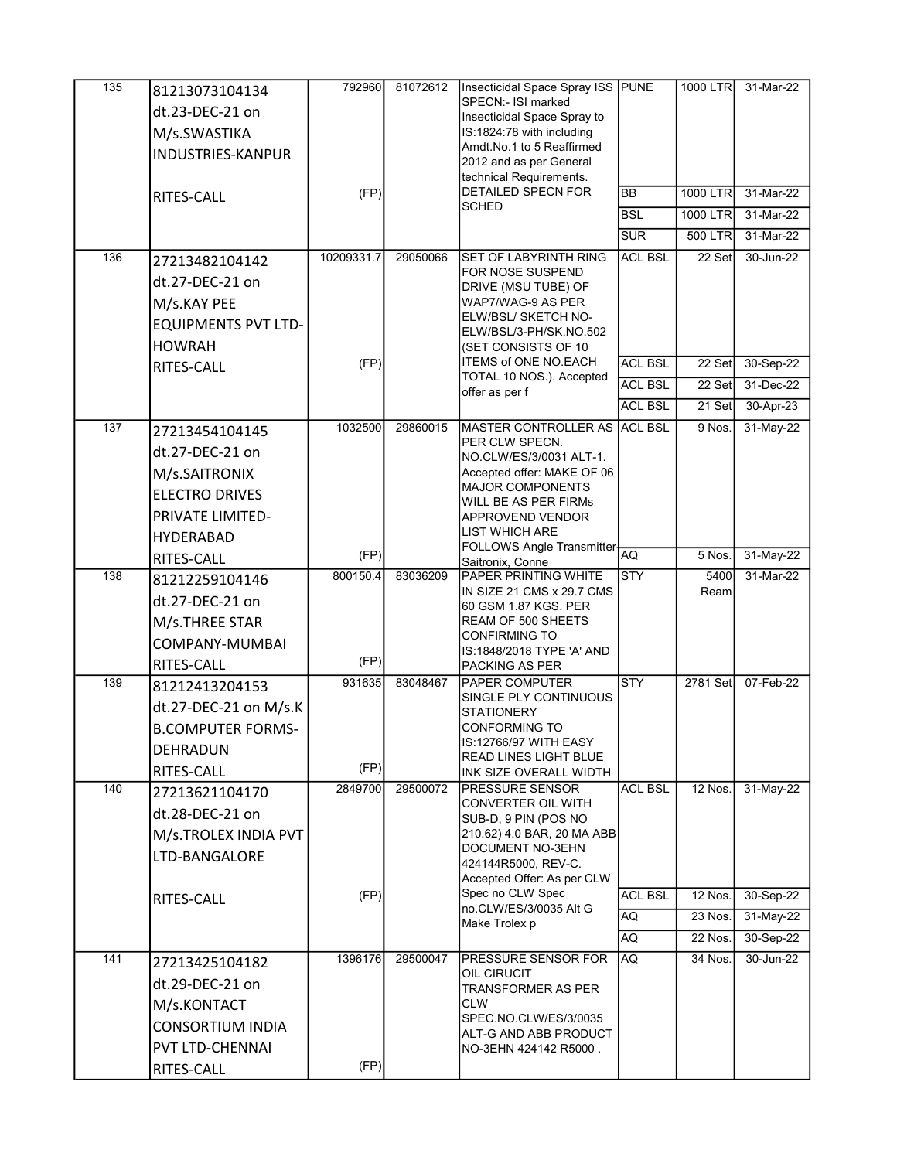| $\overline{135}$ | 81213073104134             | 792960     | 81072612 | Insecticidal Space Spray ISS PUNE                  |                | 1000 LTR             | 31-Mar-22              |
|------------------|----------------------------|------------|----------|----------------------------------------------------|----------------|----------------------|------------------------|
|                  | dt.23-DEC-21 on            |            |          | SPECN:- ISI marked<br>Insecticidal Space Spray to  |                |                      |                        |
|                  | M/s.SWASTIKA               |            |          | IS:1824:78 with including                          |                |                      |                        |
|                  | <b>INDUSTRIES-KANPUR</b>   |            |          | Amdt.No.1 to 5 Reaffirmed                          |                |                      |                        |
|                  |                            |            |          | 2012 and as per General<br>technical Requirements. |                |                      |                        |
|                  | RITES-CALL                 | (FP)       |          | <b>DETAILED SPECN FOR</b>                          | <b>BB</b>      | 1000 LTR             | 31-Mar-22              |
|                  |                            |            |          | <b>SCHED</b>                                       | <b>BSL</b>     | 1000 LTR             | 31-Mar-22              |
|                  |                            |            |          |                                                    | <b>SUR</b>     | 500 LTR              | 31-Mar-22              |
| 136              | 27213482104142             | 10209331.7 | 29050066 | <b>SET OF LABYRINTH RING</b>                       | <b>ACL BSL</b> | 22 Set               | 30-Jun-22              |
|                  | dt.27-DEC-21 on            |            |          | FOR NOSE SUSPEND                                   |                |                      |                        |
|                  | M/s.KAY PEE                |            |          | DRIVE (MSU TUBE) OF<br>WAP7/WAG-9 AS PER           |                |                      |                        |
|                  | <b>EQUIPMENTS PVT LTD-</b> |            |          | ELW/BSL/ SKETCH NO-                                |                |                      |                        |
|                  | <b>HOWRAH</b>              |            |          | ELW/BSL/3-PH/SK.NO.502<br>(SET CONSISTS OF 10      |                |                      |                        |
|                  | RITES-CALL                 | (FP)       |          | <b>ITEMS of ONE NO.EACH</b>                        | <b>ACL BSL</b> | 22 Set               | 30-Sep-22              |
|                  |                            |            |          | TOTAL 10 NOS.). Accepted                           | <b>ACL BSL</b> | 22 Set               | 31-Dec-22              |
|                  |                            |            |          | offer as per f                                     | <b>ACL BSL</b> | 21 Set               | 30-Apr-23              |
| 137              | 27213454104145             | 1032500    | 29860015 | MASTER CONTROLLER AS ACL BSL                       |                | 9 Nos.               | 31-May-22              |
|                  | dt.27-DEC-21 on            |            |          | PER CLW SPECN.<br>NO.CLW/ES/3/0031 ALT-1.          |                |                      |                        |
|                  | M/s.SAITRONIX              |            |          | Accepted offer: MAKE OF 06                         |                |                      |                        |
|                  | <b>ELECTRO DRIVES</b>      |            |          | <b>MAJOR COMPONENTS</b>                            |                |                      |                        |
|                  | PRIVATE LIMITED-           |            |          | WILL BE AS PER FIRMs<br><b>APPROVEND VENDOR</b>    |                |                      |                        |
|                  | <b>HYDERABAD</b>           |            |          | <b>LIST WHICH ARE</b>                              |                |                      |                        |
|                  | RITES-CALL                 | (FP)       |          | FOLLOWS Angle Transmitter-                         | AQ             | 5 Nos.               | 31-May-22              |
| 138              | 81212259104146             | 800150.4   | 83036209 | Saitronix, Conne<br>PAPER PRINTING WHITE           | <b>STY</b>     | 5400                 | 31-Mar-22              |
|                  | dt.27-DEC-21 on            |            |          | IN SIZE 21 CMS x 29.7 CMS                          |                | Ream                 |                        |
|                  | M/s.THREE STAR             |            |          | 60 GSM 1.87 KGS. PER<br>REAM OF 500 SHEETS         |                |                      |                        |
|                  | COMPANY-MUMBAI             |            |          | <b>CONFIRMING TO</b>                               |                |                      |                        |
|                  | RITES-CALL                 | (FP)       |          | IS:1848/2018 TYPE 'A' AND                          |                |                      |                        |
| 139              | 81212413204153             | 931635     | 83048467 | PACKING AS PER<br><b>PAPER COMPUTER</b>            | STY            | 2781 Set             | 07-Feb-22              |
|                  |                            |            |          | SINGLE PLY CONTINUOUS                              |                |                      |                        |
|                  | dt.27-DEC-21 on M/s.K      |            |          | <b>STATIONERY</b><br><b>CONFORMING TO</b>          |                |                      |                        |
|                  | <b>B.COMPUTER FORMS-</b>   |            |          | IS:12766/97 WITH EASY                              |                |                      |                        |
|                  | DEHRADUN                   | (FP)       |          | READ LINES LIGHT BLUE                              |                |                      |                        |
| 140              | <b>RITES-CALL</b>          | 2849700    | 29500072 | INK SIZE OVERALL WIDTH<br><b>PRESSURE SENSOR</b>   | <b>ACL BSL</b> | 12 Nos.              | 31-May-22              |
|                  | 27213621104170             |            |          | CONVERTER OIL WITH                                 |                |                      |                        |
|                  | dt.28-DEC-21 on            |            |          | SUB-D, 9 PIN (POS NO                               |                |                      |                        |
|                  | M/s.TROLEX INDIA PVT       |            |          | 210.62) 4.0 BAR, 20 MA ABB<br>DOCUMENT NO-3EHN     |                |                      |                        |
|                  | LTD-BANGALORE              |            |          | 424144R5000, REV-C.                                |                |                      |                        |
|                  |                            |            |          | Accepted Offer: As per CLW<br>Spec no CLW Spec     |                |                      |                        |
|                  | RITES-CALL                 | (FP)       |          | no.CLW/ES/3/0035 Alt G                             | <b>ACL BSL</b> | 12 Nos.<br>$23$ Nos. | 30-Sep-22              |
|                  |                            |            |          | Make Trolex p                                      | AQ             |                      | 31-May-22              |
| 141              |                            | 1396176    | 29500047 | PRESSURE SENSOR FOR                                | AQ.<br>AQ      | 22 Nos.<br>34 Nos.   | 30-Sep-22<br>30-Jun-22 |
|                  | 27213425104182             |            |          | OIL CIRUCIT                                        |                |                      |                        |
|                  | dt.29-DEC-21 on            |            |          | <b>TRANSFORMER AS PER</b>                          |                |                      |                        |
|                  | M/s.KONTACT                |            |          | <b>CLW</b><br>SPEC.NO.CLW/ES/3/0035                |                |                      |                        |
|                  | <b>CONSORTIUM INDIA</b>    |            |          | ALT-G AND ABB PRODUCT                              |                |                      |                        |
|                  | PVT LTD-CHENNAI            |            |          | NO-3EHN 424142 R5000.                              |                |                      |                        |
|                  | RITES-CALL                 | (FP)       |          |                                                    |                |                      |                        |